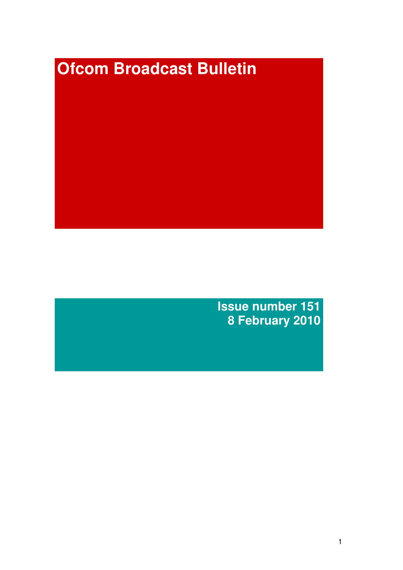# **Ofcom Broadcast Bulletin**

**Issue number 151 8 February 2010**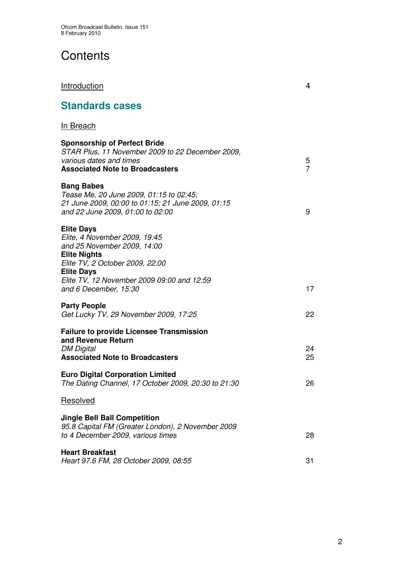# **Contents**

| <b>Standards cases</b>                                                                                                                                                                                                                  |                     |
|-----------------------------------------------------------------------------------------------------------------------------------------------------------------------------------------------------------------------------------------|---------------------|
| <b>In Breach</b>                                                                                                                                                                                                                        |                     |
| <b>Sponsorship of Perfect Bride</b><br>STAR Plus, 11 November 2009 to 22 December 2009,<br>various dates and times<br><b>Associated Note to Broadcasters</b>                                                                            | 5<br>$\overline{7}$ |
| <b>Bang Babes</b><br>Tease Me, 20 June 2009, 01:15 to 02:45;<br>21 June 2009, 00:00 to 01:15; 21 June 2009, 01:15<br>and 22 June 2009, 01:00 to 02:00                                                                                   | 9                   |
| <b>Elite Days</b><br>Elite, 4 November 2009, 19:45<br>and 25 November 2009, 14:00<br><b>Elite Nights</b><br>Elite TV, 2 October 2009, 22:00<br><b>Elite Days</b><br>Elite TV, 12 November 2009 09:00 and 12:59<br>and 6 December, 15:30 | 17                  |
| <b>Party People</b><br>Get Lucky TV, 29 November 2009, 17:25                                                                                                                                                                            | 22                  |
| <b>Failure to provide Licensee Transmission</b><br>and Revenue Return<br><b>DM Digital</b><br><b>Associated Note to Broadcasters</b>                                                                                                    | 24<br>25            |
| <b>Euro Digital Corporation Limited</b><br>The Dating Channel, 17 October 2009, 20:30 to 21:30                                                                                                                                          | 26                  |
| <b>Resolved</b>                                                                                                                                                                                                                         |                     |
| <b>Jingle Bell Ball Competition</b><br>95.8 Capital FM (Greater London), 2 November 2009<br>to 4 December 2009, various times                                                                                                           | 28                  |
| <b>Heart Breakfast</b><br>Heart 97.6 FM, 28 October 2009, 08:55                                                                                                                                                                         | 31                  |

**Introduction** 4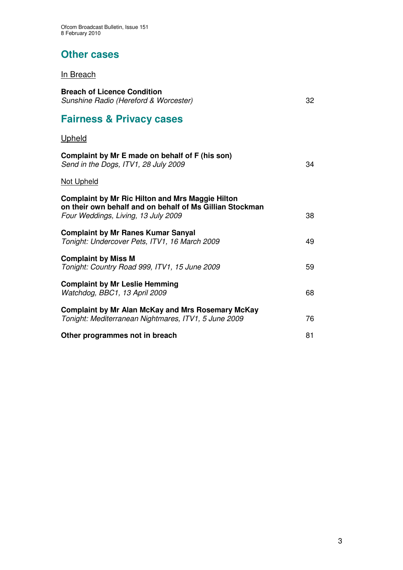## **Other cases**

## In Breach

| <b>Breach of Licence Condition</b><br>Sunshine Radio (Hereford & Worcester)                                                                                | 32 |
|------------------------------------------------------------------------------------------------------------------------------------------------------------|----|
| <b>Fairness &amp; Privacy cases</b>                                                                                                                        |    |
| Upheld                                                                                                                                                     |    |
| Complaint by Mr E made on behalf of F (his son)<br>Send in the Dogs, ITV1, 28 July 2009                                                                    | 34 |
| <b>Not Upheld</b>                                                                                                                                          |    |
| <b>Complaint by Mr Ric Hilton and Mrs Maggie Hilton</b><br>on their own behalf and on behalf of Ms Gillian Stockman<br>Four Weddings, Living, 13 July 2009 | 38 |
| <b>Complaint by Mr Ranes Kumar Sanyal</b><br>Tonight: Undercover Pets, ITV1, 16 March 2009                                                                 | 49 |
| <b>Complaint by Miss M</b><br>Tonight: Country Road 999, ITV1, 15 June 2009                                                                                | 59 |
| <b>Complaint by Mr Leslie Hemming</b><br>Watchdog, BBC1, 13 April 2009                                                                                     | 68 |
| <b>Complaint by Mr Alan McKay and Mrs Rosemary McKay</b><br>Tonight: Mediterranean Nightmares, ITV1, 5 June 2009                                           | 76 |
| Other programmes not in breach                                                                                                                             | 81 |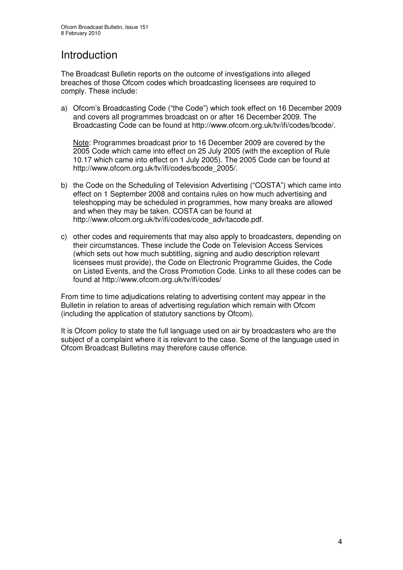# Introduction

The Broadcast Bulletin reports on the outcome of investigations into alleged breaches of those Ofcom codes which broadcasting licensees are required to comply. These include:

a) Ofcom's Broadcasting Code ("the Code") which took effect on 16 December 2009 and covers all programmes broadcast on or after 16 December 2009. The Broadcasting Code can be found at http://www.ofcom.org.uk/tv/ifi/codes/bcode/.

Note: Programmes broadcast prior to 16 December 2009 are covered by the 2005 Code which came into effect on 25 July 2005 (with the exception of Rule 10.17 which came into effect on 1 July 2005). The 2005 Code can be found at http://www.ofcom.org.uk/tv/ifi/codes/bcode\_2005/.

- b) the Code on the Scheduling of Television Advertising ("COSTA") which came into effect on 1 September 2008 and contains rules on how much advertising and teleshopping may be scheduled in programmes, how many breaks are allowed and when they may be taken. COSTA can be found at http://www.ofcom.org.uk/tv/ifi/codes/code\_adv/tacode.pdf.
- c) other codes and requirements that may also apply to broadcasters, depending on their circumstances. These include the Code on Television Access Services (which sets out how much subtitling, signing and audio description relevant licensees must provide), the Code on Electronic Programme Guides, the Code on Listed Events, and the Cross Promotion Code. Links to all these codes can be found at http://www.ofcom.org.uk/tv/ifi/codes/

From time to time adjudications relating to advertising content may appear in the Bulletin in relation to areas of advertising regulation which remain with Ofcom (including the application of statutory sanctions by Ofcom).

It is Ofcom policy to state the full language used on air by broadcasters who are the subject of a complaint where it is relevant to the case. Some of the language used in Ofcom Broadcast Bulletins may therefore cause offence.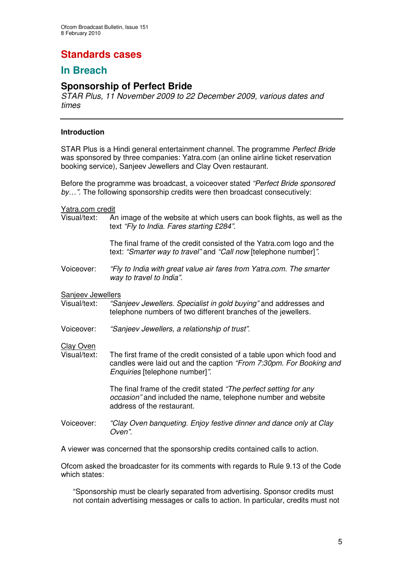# **Standards cases**

## **In Breach**

## **Sponsorship of Perfect Bride**

*STAR Plus, 11 November 2009 to 22 December 2009, various dates and times*

#### **Introduction**

STAR Plus is a Hindi general entertainment channel. The programme *Perfect Bride* was sponsored by three companies: Yatra.com (an online airline ticket reservation booking service), Sanjeev Jewellers and Clay Oven restaurant.

Before the programme was broadcast, a voiceover stated *"Perfect Bride sponsored by…".* The following sponsorship credits were then broadcast consecutively:

Yatra.com credit

Visual/text: An image of the website at which users can book flights, as well as the text *"Fly to India. Fares starting £284"*.

> The final frame of the credit consisted of the Yatra.com logo and the text: *"Smarter way to travel"* and *"Call now* [telephone number]*"*.

Voiceover: *"Fly to India with great value air fares from Yatra.com. The smarter way to travel to India".*

# Sanjeev Jewellers<br>Visual/text: "Sa

- "Sanjeev *Jewellers. Specialist in gold buying*" and addresses and telephone numbers of two different branches of the jewellers.
- Voiceover: *"Sanjeev Jewellers, a relationship of trust"*.

# Clay Oven<br>Visual/text:

The first frame of the credit consisted of a table upon which food and candles were laid out and the caption *"From 7:30pm. For Booking and Enquiries* [telephone number]*"*.

> The final frame of the credit stated *"The perfect setting for any occasion"* and included the name, telephone number and website address of the restaurant.

Voiceover: *"Clay Oven banqueting. Enjoy festive dinner and dance only at Clay Oven".*

A viewer was concerned that the sponsorship credits contained calls to action.

Ofcom asked the broadcaster for its comments with regards to Rule 9.13 of the Code which states:

"Sponsorship must be clearly separated from advertising. Sponsor credits must not contain advertising messages or calls to action. In particular, credits must not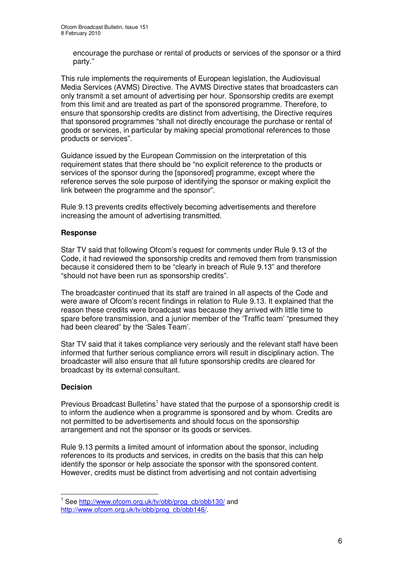encourage the purchase or rental of products or services of the sponsor or a third party."

This rule implements the requirements of European legislation, the Audiovisual Media Services (AVMS) Directive. The AVMS Directive states that broadcasters can only transmit a set amount of advertising per hour. Sponsorship credits are exempt from this limit and are treated as part of the sponsored programme. Therefore, to ensure that sponsorship credits are distinct from advertising, the Directive requires that sponsored programmes "shall not directly encourage the purchase or rental of goods or services, in particular by making special promotional references to those products or services".

Guidance issued by the European Commission on the interpretation of this requirement states that there should be "no explicit reference to the products or services of the sponsor during the [sponsored] programme, except where the reference serves the sole purpose of identifying the sponsor or making explicit the link between the programme and the sponsor".

Rule 9.13 prevents credits effectively becoming advertisements and therefore increasing the amount of advertising transmitted.

#### **Response**

Star TV said that following Ofcom's request for comments under Rule 9.13 of the Code, it had reviewed the sponsorship credits and removed them from transmission because it considered them to be "clearly in breach of Rule 9.13" and therefore "should not have been run as sponsorship credits".

The broadcaster continued that its staff are trained in all aspects of the Code and were aware of Ofcom's recent findings in relation to Rule 9.13. It explained that the reason these credits were broadcast was because they arrived with little time to spare before transmission, and a junior member of the 'Traffic team' "presumed they had been cleared" by the 'Sales Team'.

Star TV said that it takes compliance very seriously and the relevant staff have been informed that further serious compliance errors will result in disciplinary action. The broadcaster will also ensure that all future sponsorship credits are cleared for broadcast by its external consultant.

#### **Decision**

Previous Broadcast Bulletins<sup>1</sup> have stated that the purpose of a sponsorship credit is to inform the audience when a programme is sponsored and by whom. Credits are not permitted to be advertisements and should focus on the sponsorship arrangement and not the sponsor or its goods or services.

Rule 9.13 permits a limited amount of information about the sponsor, including references to its products and services, in credits on the basis that this can help identify the sponsor or help associate the sponsor with the sponsored content. However, credits must be distinct from advertising and not contain advertising

<sup>1</sup> See http://www.ofcom.org.uk/tv/obb/prog\_cb/obb130/ and http://www.ofcom.org.uk/tv/obb/prog\_cb/obb146/.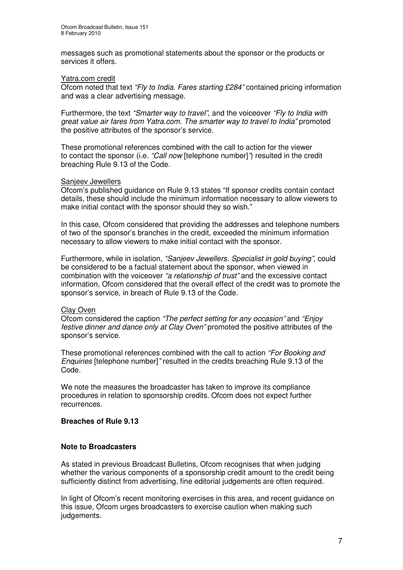messages such as promotional statements about the sponsor or the products or services it offers.

#### Yatra.com credit

Ofcom noted that text *"Fly to India. Fares starting £284"* contained pricing information and was a clear advertising message.

Furthermore, the text *"Smarter way to travel"*, and the voiceover *"Fly to India with great value air fares from Yatra.com. The smarter way to travel to India"* promoted the positive attributes of the sponsor's service.

These promotional references combined with the call to action for the viewer to contact the sponsor (i.e. *"Call now* [telephone number]*"*) resulted in the credit breaching Rule 9.13 of the Code.

#### Sanjeev Jewellers

Ofcom's published guidance on Rule 9.13 states "If sponsor credits contain contact details, these should include the minimum information necessary to allow viewers to make initial contact with the sponsor should they so wish."

In this case, Ofcom considered that providing the addresses and telephone numbers of two of the sponsor's branches in the credit, exceeded the minimum information necessary to allow viewers to make initial contact with the sponsor.

Furthermore, while in isolation, *"Sanjeev Jewellers. Specialist in gold buying"*, could be considered to be a factual statement about the sponsor, when viewed in combination with the voiceover *"a relationship of trust"* and the excessive contact information, Ofcom considered that the overall effect of the credit was to promote the sponsor's service, in breach of Rule 9.13 of the Code.

#### Clay Oven

Ofcom considered the caption *"The perfect setting for any occasion"* and *"Enjoy festive dinner and dance only at Clay Oven"* promoted the positive attributes of the sponsor's service.

These promotional references combined with the call to action *"For Booking and Enquiries* [telephone number]*"* resulted in the credits breaching Rule 9.13 of the Code.

We note the measures the broadcaster has taken to improve its compliance procedures in relation to sponsorship credits. Ofcom does not expect further recurrences.

#### **Breaches of Rule 9.13**

#### **Note to Broadcasters**

As stated in previous Broadcast Bulletins, Ofcom recognises that when judging whether the various components of a sponsorship credit amount to the credit being sufficiently distinct from advertising, fine editorial judgements are often required.

In light of Ofcom's recent monitoring exercises in this area, and recent guidance on this issue, Ofcom urges broadcasters to exercise caution when making such judgements.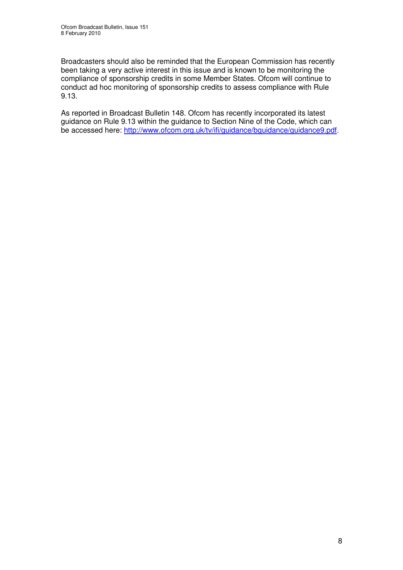Broadcasters should also be reminded that the European Commission has recently been taking a very active interest in this issue and is known to be monitoring the compliance of sponsorship credits in some Member States. Ofcom will continue to conduct ad hoc monitoring of sponsorship credits to assess compliance with Rule 9.13.

As reported in Broadcast Bulletin 148. Ofcom has recently incorporated its latest guidance on Rule 9.13 within the guidance to Section Nine of the Code, which can be accessed here: http://www.ofcom.org.uk/tv/ifi/guidance/bguidance/guidance9.pdf.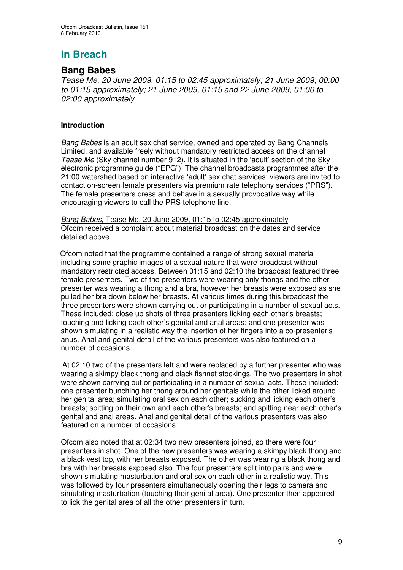# **In Breach**

### **Bang Babes**

*Tease Me, 20 June 2009, 01:15 to 02:45 approximately; 21 June 2009, 00:00 to 01:15 approximately; 21 June 2009, 01:15 and 22 June 2009, 01:00 to 02:00 approximately*

#### **Introduction**

*Bang Babes* is an adult sex chat service, owned and operated by Bang Channels Limited, and available freely without mandatory restricted access on the channel *Tease Me* (Sky channel number 912). It is situated in the 'adult' section of the Sky electronic programme guide ("EPG"). The channel broadcasts programmes after the 21:00 watershed based on interactive 'adult' sex chat services: viewers are invited to contact on-screen female presenters via premium rate telephony services ("PRS"). The female presenters dress and behave in a sexually provocative way while encouraging viewers to call the PRS telephone line.

*Bang Babes,* Tease Me, 20 June 2009, 01:15 to 02:45 approximately Ofcom received a complaint about material broadcast on the dates and service detailed above.

Ofcom noted that the programme contained a range of strong sexual material including some graphic images of a sexual nature that were broadcast without mandatory restricted access. Between 01:15 and 02:10 the broadcast featured three female presenters. Two of the presenters were wearing only thongs and the other presenter was wearing a thong and a bra, however her breasts were exposed as she pulled her bra down below her breasts. At various times during this broadcast the three presenters were shown carrying out or participating in a number of sexual acts. These included: close up shots of three presenters licking each other's breasts; touching and licking each other's genital and anal areas; and one presenter was shown simulating in a realistic way the insertion of her fingers into a co-presenter's anus. Anal and genital detail of the various presenters was also featured on a number of occasions.

At 02:10 two of the presenters left and were replaced by a further presenter who was wearing a skimpy black thong and black fishnet stockings. The two presenters in shot were shown carrying out or participating in a number of sexual acts. These included: one presenter bunching her thong around her genitals while the other licked around her genital area; simulating oral sex on each other; sucking and licking each other's breasts; spitting on their own and each other's breasts; and spitting near each other's genital and anal areas. Anal and genital detail of the various presenters was also featured on a number of occasions.

Ofcom also noted that at 02:34 two new presenters joined, so there were four presenters in shot. One of the new presenters was wearing a skimpy black thong and a black vest top, with her breasts exposed. The other was wearing a black thong and bra with her breasts exposed also. The four presenters split into pairs and were shown simulating masturbation and oral sex on each other in a realistic way. This was followed by four presenters simultaneously opening their legs to camera and simulating masturbation (touching their genital area). One presenter then appeared to lick the genital area of all the other presenters in turn.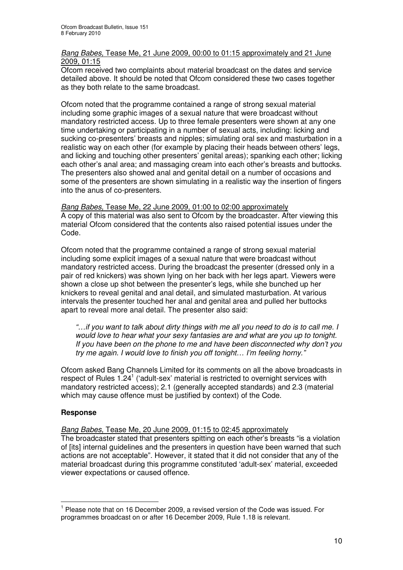#### *Bang Babes,* Tease Me, 21 June 2009, 00:00 to 01:15 approximately and 21 June 2009, 01:15

Ofcom received two complaints about material broadcast on the dates and service detailed above. It should be noted that Ofcom considered these two cases together as they both relate to the same broadcast.

Ofcom noted that the programme contained a range of strong sexual material including some graphic images of a sexual nature that were broadcast without mandatory restricted access. Up to three female presenters were shown at any one time undertaking or participating in a number of sexual acts, including: licking and sucking co-presenters' breasts and nipples; simulating oral sex and masturbation in a realistic way on each other (for example by placing their heads between others' legs, and licking and touching other presenters' genital areas); spanking each other; licking each other's anal area; and massaging cream into each other's breasts and buttocks. The presenters also showed anal and genital detail on a number of occasions and some of the presenters are shown simulating in a realistic way the insertion of fingers into the anus of co-presenters.

*Bang Babes,* Tease Me, 22 June 2009, 01:00 to 02:00 approximately A copy of this material was also sent to Ofcom by the broadcaster. After viewing this material Ofcom considered that the contents also raised potential issues under the Code.

Ofcom noted that the programme contained a range of strong sexual material including some explicit images of a sexual nature that were broadcast without mandatory restricted access. During the broadcast the presenter (dressed only in a pair of red knickers) was shown lying on her back with her legs apart. Viewers were shown a close up shot between the presenter's legs, while she bunched up her knickers to reveal genital and anal detail, and simulated masturbation. At various intervals the presenter touched her anal and genital area and pulled her buttocks apart to reveal more anal detail. The presenter also said:

*"…if you want to talk about dirty things with me all you need to do is to call me. I would love to hear what your sexy fantasies are and what are you up to tonight. If you have been on the phone to me and have been disconnected why don't you try me again. I would love to finish you off tonight… I'm feeling horny."*

Ofcom asked Bang Channels Limited for its comments on all the above broadcasts in respect of Rules 1.24<sup>1</sup> ('adult-sex' material is restricted to overnight services with mandatory restricted access); 2.1 (generally accepted standards) and 2.3 (material which may cause offence must be justified by context) of the Code.

#### **Response**

*Bang Babes,* Tease Me, 20 June 2009, 01:15 to 02:45 approximately

The broadcaster stated that presenters spitting on each other's breasts "is a violation of [its] internal guidelines and the presenters in question have been warned that such actions are not acceptable". However, it stated that it did not consider that any of the material broadcast during this programme constituted 'adult-sex' material, exceeded viewer expectations or caused offence.

<sup>&</sup>lt;sup>1</sup> Please note that on 16 December 2009, a revised version of the Code was issued. For programmes broadcast on or after 16 December 2009, Rule 1.18 is relevant.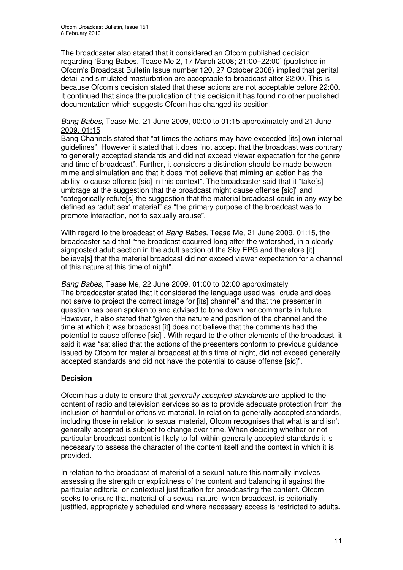The broadcaster also stated that it considered an Ofcom published decision regarding 'Bang Babes, Tease Me 2, 17 March 2008; 21:00–22:00' (published in Ofcom's Broadcast Bulletin Issue number 120, 27 October 2008) implied that genital detail and simulated masturbation are acceptable to broadcast after 22:00. This is because Ofcom's decision stated that these actions are not acceptable before 22:00. It continued that since the publication of this decision it has found no other published documentation which suggests Ofcom has changed its position.

#### *Bang Babes,* Tease Me, 21 June 2009, 00:00 to 01:15 approximately and 21 June 2009, 01:15

Bang Channels stated that "at times the actions may have exceeded [its] own internal guidelines". However it stated that it does "not accept that the broadcast was contrary to generally accepted standards and did not exceed viewer expectation for the genre and time of broadcast". Further, it considers a distinction should be made between mime and simulation and that it does "not believe that miming an action has the ability to cause offense [sic] in this context". The broadcaster said that it "take[s] umbrage at the suggestion that the broadcast might cause offense [sic]" and "categorically refute[s] the suggestion that the material broadcast could in any way be defined as 'adult sex' material" as "the primary purpose of the broadcast was to promote interaction, not to sexually arouse".

With regard to the broadcast of *Bang Babes,* Tease Me, 21 June 2009*,* 01:15, the broadcaster said that "the broadcast occurred long after the watershed, in a clearly signposted adult section in the adult section of the Sky EPG and therefore [it] believe[s] that the material broadcast did not exceed viewer expectation for a channel of this nature at this time of night".

#### *Bang Babes,* Tease Me, 22 June 2009, 01:00 to 02:00 approximately

The broadcaster stated that it considered the language used was "crude and does not serve to project the correct image for [its] channel" and that the presenter in question has been spoken to and advised to tone down her comments in future. However, it also stated that:"given the nature and position of the channel and the time at which it was broadcast [it] does not believe that the comments had the potential to cause offense [sic]". With regard to the other elements of the broadcast, it said it was "satisfied that the actions of the presenters conform to previous guidance issued by Ofcom for material broadcast at this time of night, did not exceed generally accepted standards and did not have the potential to cause offense [sic]".

#### **Decision**

Ofcom has a duty to ensure that *generally accepted standards* are applied to the content of radio and television services so as to provide adequate protection from the inclusion of harmful or offensive material. In relation to generally accepted standards, including those in relation to sexual material, Ofcom recognises that what is and isn't generally accepted is subject to change over time. When deciding whether or not particular broadcast content is likely to fall within generally accepted standards it is necessary to assess the character of the content itself and the context in which it is provided.

In relation to the broadcast of material of a sexual nature this normally involves assessing the strength or explicitness of the content and balancing it against the particular editorial or contextual justification for broadcasting the content. Ofcom seeks to ensure that material of a sexual nature, when broadcast, is editorially justified, appropriately scheduled and where necessary access is restricted to adults.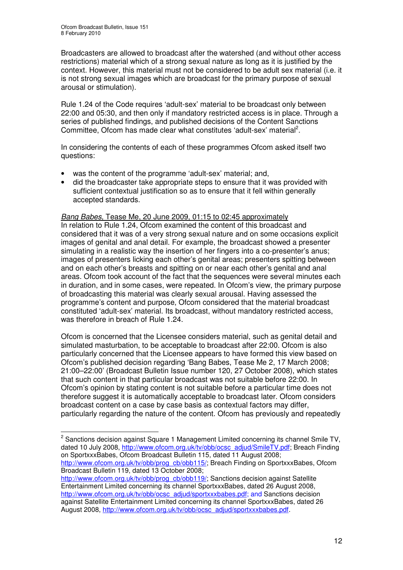Broadcasters are allowed to broadcast after the watershed (and without other access restrictions) material which of a strong sexual nature as long as it is justified by the context. However, this material must not be considered to be adult sex material (i.e. it is not strong sexual images which are broadcast for the primary purpose of sexual arousal or stimulation).

Rule 1.24 of the Code requires 'adult-sex' material to be broadcast only between 22:00 and 05:30, and then only if mandatory restricted access is in place. Through a series of published findings, and published decisions of the Content Sanctions Committee, Ofcom has made clear what constitutes 'adult-sex' material<sup>2</sup>.

In considering the contents of each of these programmes Ofcom asked itself two questions:

- was the content of the programme 'adult-sex' material; and,
- did the broadcaster take appropriate steps to ensure that it was provided with sufficient contextual justification so as to ensure that it fell within generally accepted standards.

#### *Bang Babes,* Tease Me, 20 June 2009, 01:15 to 02:45 approximately

In relation to Rule 1.24, Ofcom examined the content of this broadcast and considered that it was of a very strong sexual nature and on some occasions explicit images of genital and anal detail. For example, the broadcast showed a presenter simulating in a realistic way the insertion of her fingers into a co-presenter's anus; images of presenters licking each other's genital areas; presenters spitting between and on each other's breasts and spitting on or near each other's genital and anal areas. Ofcom took account of the fact that the sequences were several minutes each in duration, and in some cases, were repeated. In Ofcom's view, the primary purpose of broadcasting this material was clearly sexual arousal. Having assessed the programme's content and purpose, Ofcom considered that the material broadcast constituted 'adult-sex' material. Its broadcast, without mandatory restricted access, was therefore in breach of Rule 1.24.

Ofcom is concerned that the Licensee considers material, such as genital detail and simulated masturbation, to be acceptable to broadcast after 22:00. Ofcom is also particularly concerned that the Licensee appears to have formed this view based on Ofcom's published decision regarding 'Bang Babes, Tease Me 2, 17 March 2008; 21:00–22:00' (Broadcast Bulletin Issue number 120, 27 October 2008), which states that such content in that particular broadcast was not suitable before 22:00. In Ofcom's opinion by stating content is not suitable before a particular time does not therefore suggest it is automatically acceptable to broadcast later. Ofcom considers broadcast content on a case by case basis as contextual factors may differ, particularly regarding the nature of the content. Ofcom has previously and repeatedly

http://www.ofcom.org.uk/tv/obb/prog\_cb/obb115/; Breach Finding on SportxxxBabes, Ofcom Broadcast Bulletin 119, dated 13 October 2008;

<sup>&</sup>lt;sup>2</sup> Sanctions decision against Square 1 Management Limited concerning its channel Smile TV, dated 10 July 2008, http://www.ofcom.org.uk/tv/obb/ocsc\_adjud/SmileTV.pdf; Breach Finding on SportxxxBabes, Ofcom Broadcast Bulletin 115, dated 11 August 2008;

http://www.ofcom.org.uk/tv/obb/prog\_cb/obb119/; Sanctions decision against Satellite Entertainment Limited concerning its channel SportxxxBabes, dated 26 August 2008, http://www.ofcom.org.uk/tv/obb/ocsc\_adjud/sportxxxbabes.pdf; and Sanctions decision against Satellite Entertainment Limited concerning its channel SportxxxBabes, dated 26 August 2008, http://www.ofcom.org.uk/ty/obb/ocsc\_adjud/sportxxxbabes.pdf.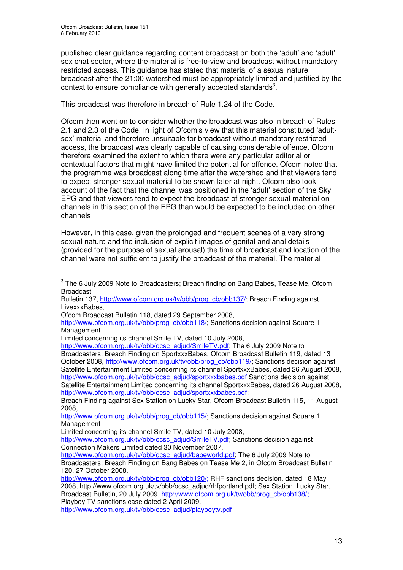published clear guidance regarding content broadcast on both the 'adult' and 'adult' sex chat sector, where the material is free-to-view and broadcast without mandatory restricted access. This guidance has stated that material of a sexual nature broadcast after the 21:00 watershed must be appropriately limited and justified by the context to ensure compliance with generally accepted standards<sup>3</sup>.

This broadcast was therefore in breach of Rule 1.24 of the Code.

Ofcom then went on to consider whether the broadcast was also in breach of Rules 2.1 and 2.3 of the Code. In light of Ofcom's view that this material constituted 'adultsex' material and therefore unsuitable for broadcast without mandatory restricted access, the broadcast was clearly capable of causing considerable offence. Ofcom therefore examined the extent to which there were any particular editorial or contextual factors that might have limited the potential for offence. Ofcom noted that the programme was broadcast along time after the watershed and that viewers tend to expect stronger sexual material to be shown later at night. Ofcom also took account of the fact that the channel was positioned in the 'adult' section of the Sky EPG and that viewers tend to expect the broadcast of stronger sexual material on channels in this section of the EPG than would be expected to be included on other channels

However, in this case, given the prolonged and frequent scenes of a very strong sexual nature and the inclusion of explicit images of genital and anal details (provided for the purpose of sexual arousal) the time of broadcast and location of the channel were not sufficient to justify the broadcast of the material. The material

Bulletin 137, http://www.ofcom.org.uk/tv/obb/prog\_cb/obb137/; Breach Finding against LivexxxBabes,

http://www.ofcom.org.uk/tv/obb/prog\_cb/obb118/; Sanctions decision against Square 1 Management

 $^3$  The 6 July 2009 Note to Broadcasters; Breach finding on Bang Babes, Tease Me, Ofcom Broadcast

Ofcom Broadcast Bulletin 118, dated 29 September 2008,

Limited concerning its channel Smile TV, dated 10 July 2008,

http://www.ofcom.org.uk/tv/obb/ocsc\_adjud/SmileTV.pdf; The 6 July 2009 Note to Broadcasters; Breach Finding on SportxxxBabes, Ofcom Broadcast Bulletin 119, dated 13 October 2008, http://www.ofcom.org.uk/tv/obb/prog\_cb/obb119/; Sanctions decision against Satellite Entertainment Limited concerning its channel SportxxxBabes, dated 26 August 2008, http://www.ofcom.org.uk/tv/obb/ocsc\_adjud/sportxxxbabes.pdf Sanctions decision against Satellite Entertainment Limited concerning its channel SportxxxBabes, dated 26 August 2008, http://www.ofcom.org.uk/tv/obb/ocsc\_adjud/sportxxxbabes.pdf;

Breach Finding against Sex Station on Lucky Star, Ofcom Broadcast Bulletin 115, 11 August 2008,

http://www.ofcom.org.uk/tv/obb/prog\_cb/obb115/; Sanctions decision against Square 1 Management

Limited concerning its channel Smile TV, dated 10 July 2008,

http://www.ofcom.org.uk/tv/obb/ocsc\_adjud/SmileTV.pdf: Sanctions decision against Connection Makers Limited dated 30 November 2007,

http://www.ofcom.org.uk/tv/obb/ocsc\_adjud/babeworld.pdf; The 6 July 2009 Note to Broadcasters; Breach Finding on Bang Babes on Tease Me 2, in Ofcom Broadcast Bulletin 120, 27 October 2008,

http://www.ofcom.org.uk/tv/obb/prog\_cb/obb120/; RHF sanctions decision, dated 18 May 2008, http://www.ofcom.org.uk/tv/obb/ocsc\_adjud/rhfportland.pdf; Sex Station, Lucky Star, Broadcast Bulletin, 20 July 2009, http://www.ofcom.org.uk/tv/obb/prog\_cb/obb138/; Playboy TV sanctions case dated 2 April 2009,

http://www.ofcom.org.uk/tv/obb/ocsc\_adjud/playboytv.pdf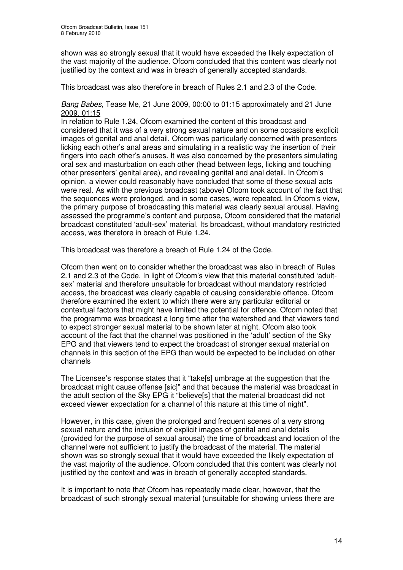shown was so strongly sexual that it would have exceeded the likely expectation of the vast majority of the audience. Ofcom concluded that this content was clearly not justified by the context and was in breach of generally accepted standards.

This broadcast was also therefore in breach of Rules 2.1 and 2.3 of the Code.

#### *Bang Babes,* Tease Me, 21 June 2009, 00:00 to 01:15 approximately and 21 June 2009, 01:15

In relation to Rule 1.24, Ofcom examined the content of this broadcast and considered that it was of a very strong sexual nature and on some occasions explicit images of genital and anal detail. Ofcom was particularly concerned with presenters licking each other's anal areas and simulating in a realistic way the insertion of their fingers into each other's anuses. It was also concerned by the presenters simulating oral sex and masturbation on each other (head between legs, licking and touching other presenters' genital area), and revealing genital and anal detail. In Ofcom's opinion, a viewer could reasonably have concluded that some of these sexual acts were real. As with the previous broadcast (above) Ofcom took account of the fact that the sequences were prolonged, and in some cases, were repeated. In Ofcom's view, the primary purpose of broadcasting this material was clearly sexual arousal. Having assessed the programme's content and purpose, Ofcom considered that the material broadcast constituted 'adult-sex' material. Its broadcast, without mandatory restricted access, was therefore in breach of Rule 1.24.

This broadcast was therefore a breach of Rule 1.24 of the Code.

Ofcom then went on to consider whether the broadcast was also in breach of Rules 2.1 and 2.3 of the Code. In light of Ofcom's view that this material constituted 'adultsex' material and therefore unsuitable for broadcast without mandatory restricted access, the broadcast was clearly capable of causing considerable offence. Ofcom therefore examined the extent to which there were any particular editorial or contextual factors that might have limited the potential for offence. Ofcom noted that the programme was broadcast a long time after the watershed and that viewers tend to expect stronger sexual material to be shown later at night. Ofcom also took account of the fact that the channel was positioned in the 'adult' section of the Sky EPG and that viewers tend to expect the broadcast of stronger sexual material on channels in this section of the EPG than would be expected to be included on other channels

The Licensee's response states that it "take[s] umbrage at the suggestion that the broadcast might cause offense [sic]" and that because the material was broadcast in the adult section of the Sky EPG it "believe[s] that the material broadcast did not exceed viewer expectation for a channel of this nature at this time of night".

However, in this case, given the prolonged and frequent scenes of a very strong sexual nature and the inclusion of explicit images of genital and anal details (provided for the purpose of sexual arousal) the time of broadcast and location of the channel were not sufficient to justify the broadcast of the material. The material shown was so strongly sexual that it would have exceeded the likely expectation of the vast majority of the audience. Ofcom concluded that this content was clearly not justified by the context and was in breach of generally accepted standards.

It is important to note that Ofcom has repeatedly made clear, however, that the broadcast of such strongly sexual material (unsuitable for showing unless there are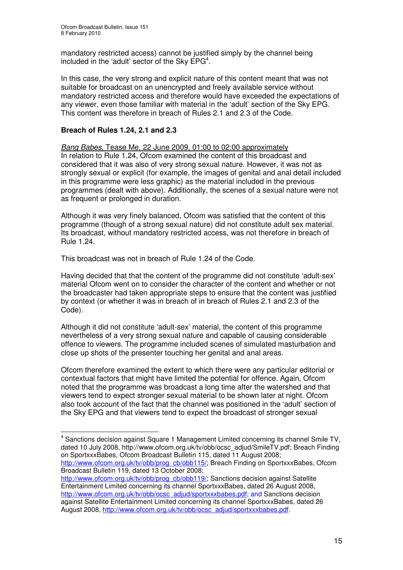mandatory restricted access) cannot be justified simply by the channel being included in the 'adult' sector of the Sky  $EPG<sup>4</sup>$ .

In this case, the very strong and explicit nature of this content meant that was not suitable for broadcast on an unencrypted and freely available service without mandatory restricted access and therefore would have exceeded the expectations of any viewer, even those familiar with material in the 'adult' section of the Sky EPG. This content was therefore in breach of Rules 2.1 and 2.3 of the Code.

#### **Breach of Rules 1.24, 2.1 and 2.3**

*Bang Babes,* Tease Me, 22 June 2009, 01:00 to 02:00 approximately In relation to Rule 1.24, Ofcom examined the content of this broadcast and considered that it was also of very strong sexual nature. However, it was not as strongly sexual or explicit (for example, the images of genital and anal detail included in this programme were less graphic) as the material included in the previous programmes (dealt with above). Additionally, the scenes of a sexual nature were not as frequent or prolonged in duration.

Although it was very finely balanced, Ofcom was satisfied that the content of this programme (though of a strong sexual nature) did not constitute adult sex material. Its broadcast, without mandatory restricted access, was not therefore in breach of Rule 1.24.

This broadcast was not in breach of Rule 1.24 of the Code.

Having decided that that the content of the programme did not constitute 'adult-sex' material Ofcom went on to consider the character of the content and whether or not the broadcaster had taken appropriate steps to ensure that the content was justified by context (or whether it was in breach of in breach of Rules 2.1 and 2.3 of the Code).

Although it did not constitute 'adult-sex' material, the content of this programme nevertheless of a very strong sexual nature and capable of causing considerable offence to viewers. The programme included scenes of simulated masturbation and close up shots of the presenter touching her genital and anal areas.

Ofcom therefore examined the extent to which there were any particular editorial or contextual factors that might have limited the potential for offence. Again, Ofcom noted that the programme was broadcast a long time after the watershed and that viewers tend to expect stronger sexual material to be shown later at night. Ofcom also took account of the fact that the channel was positioned in the 'adult' section of the Sky EPG and that viewers tend to expect the broadcast of stronger sexual

<sup>&</sup>lt;sup>4</sup> Sanctions decision against Square 1 Management Limited concerning its channel Smile TV, dated 10 July 2008, http://www.ofcom.org.uk/tv/obb/ocsc\_adjud/SmileTV.pdf; Breach Finding on SportxxxBabes, Ofcom Broadcast Bulletin 115, dated 11 August 2008;

http://www.ofcom.org.uk/tv/obb/prog\_cb/obb115/; Breach Finding on SportxxxBabes, Ofcom Broadcast Bulletin 119, dated 13 October 2008;

http://www.ofcom.org.uk/tv/obb/prog\_cb/obb119/; Sanctions decision against Satellite Entertainment Limited concerning its channel SportxxxBabes, dated 26 August 2008, http://www.ofcom.org.uk/tv/obb/ocsc\_adjud/sportxxxbabes.pdf; and Sanctions decision against Satellite Entertainment Limited concerning its channel SportxxxBabes, dated 26 August 2008, http://www.ofcom.org.uk/ty/obb/ocsc\_adjud/sportxxxbabes.pdf.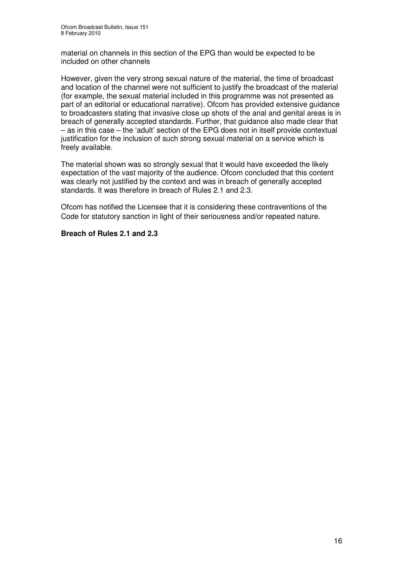material on channels in this section of the EPG than would be expected to be included on other channels

However, given the very strong sexual nature of the material, the time of broadcast and location of the channel were not sufficient to justify the broadcast of the material (for example, the sexual material included in this programme was not presented as part of an editorial or educational narrative). Ofcom has provided extensive guidance to broadcasters stating that invasive close up shots of the anal and genital areas is in breach of generally accepted standards. Further, that guidance also made clear that – as in this case – the 'adult' section of the EPG does not in itself provide contextual justification for the inclusion of such strong sexual material on a service which is freely available.

The material shown was so strongly sexual that it would have exceeded the likely expectation of the vast majority of the audience. Ofcom concluded that this content was clearly not justified by the context and was in breach of generally accepted standards. It was therefore in breach of Rules 2.1 and 2.3.

Ofcom has notified the Licensee that it is considering these contraventions of the Code for statutory sanction in light of their seriousness and/or repeated nature.

#### **Breach of Rules 2.1 and 2.3**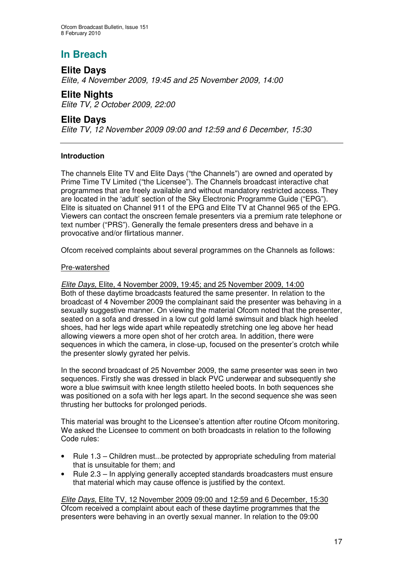# **In Breach**

## **Elite Days** *Elite, 4 November 2009, 19:45 and 25 November 2009, 14:00*

**Elite Nights** *Elite TV, 2 October 2009, 22:00*

## **Elite Days**

*Elite TV, 12 November 2009 09:00 and 12:59 and 6 December, 15:30*

#### **Introduction**

The channels Elite TV and Elite Days ("the Channels") are owned and operated by Prime Time TV Limited ("the Licensee"). The Channels broadcast interactive chat programmes that are freely available and without mandatory restricted access. They are located in the 'adult' section of the Sky Electronic Programme Guide ("EPG"). Elite is situated on Channel 911 of the EPG and Elite TV at Channel 965 of the EPG. Viewers can contact the onscreen female presenters via a premium rate telephone or text number ("PRS"). Generally the female presenters dress and behave in a provocative and/or flirtatious manner.

Ofcom received complaints about several programmes on the Channels as follows:

#### Pre-watershed

*Elite Days,* Elite, 4 November 2009, 19:45; and 25 November 2009, 14:00 Both of these daytime broadcasts featured the same presenter. In relation to the broadcast of 4 November 2009 the complainant said the presenter was behaving in a sexually suggestive manner. On viewing the material Ofcom noted that the presenter, seated on a sofa and dressed in a low cut gold lamé swimsuit and black high heeled shoes, had her legs wide apart while repeatedly stretching one leg above her head allowing viewers a more open shot of her crotch area. In addition, there were sequences in which the camera, in close-up, focused on the presenter's crotch while the presenter slowly gyrated her pelvis.

In the second broadcast of 25 November 2009, the same presenter was seen in two sequences. Firstly she was dressed in black PVC underwear and subsequently she wore a blue swimsuit with knee length stiletto heeled boots. In both sequences she was positioned on a sofa with her legs apart. In the second sequence she was seen thrusting her buttocks for prolonged periods.

This material was brought to the Licensee's attention after routine Ofcom monitoring. We asked the Licensee to comment on both broadcasts in relation to the following Code rules:

- Rule 1.3 Children must...be protected by appropriate scheduling from material that is unsuitable for them; and
- Rule 2.3 In applying generally accepted standards broadcasters must ensure that material which may cause offence is justified by the context.

*Elite Days,* Elite TV, 12 November 2009 09:00 and 12:59 and 6 December, 15:30 Ofcom received a complaint about each of these daytime programmes that the presenters were behaving in an overtly sexual manner. In relation to the 09:00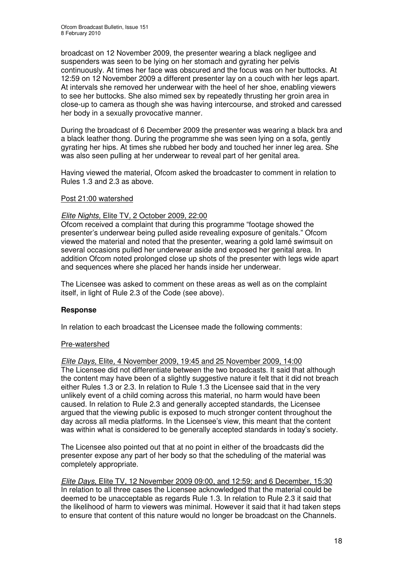broadcast on 12 November 2009, the presenter wearing a black negligee and suspenders was seen to be lying on her stomach and gyrating her pelvis continuously. At times her face was obscured and the focus was on her buttocks. At 12:59 on 12 November 2009 a different presenter lay on a couch with her legs apart. At intervals she removed her underwear with the heel of her shoe, enabling viewers to see her buttocks. She also mimed sex by repeatedly thrusting her groin area in close-up to camera as though she was having intercourse, and stroked and caressed her body in a sexually provocative manner.

During the broadcast of 6 December 2009 the presenter was wearing a black bra and a black leather thong. During the programme she was seen lying on a sofa, gently gyrating her hips. At times she rubbed her body and touched her inner leg area. She was also seen pulling at her underwear to reveal part of her genital area.

Having viewed the material, Ofcom asked the broadcaster to comment in relation to Rules 1.3 and 2.3 as above.

#### Post 21:00 watershed

#### *Elite Nights,* Elite TV*,* 2 October 2009, 22:00

Ofcom received a complaint that during this programme "footage showed the presenter's underwear being pulled aside revealing exposure of genitals." Ofcom viewed the material and noted that the presenter, wearing a gold lamé swimsuit on several occasions pulled her underwear aside and exposed her genital area. In addition Ofcom noted prolonged close up shots of the presenter with legs wide apart and sequences where she placed her hands inside her underwear.

The Licensee was asked to comment on these areas as well as on the complaint itself, in light of Rule 2.3 of the Code (see above).

#### **Response**

In relation to each broadcast the Licensee made the following comments:

#### Pre-watershed

*Elite Days,* Elite*,* 4 November 2009, 19:45 and 25 November 2009, 14:00 The Licensee did not differentiate between the two broadcasts. It said that although the content may have been of a slightly suggestive nature it felt that it did not breach either Rules 1.3 or 2.3. In relation to Rule 1.3 the Licensee said that in the very unlikely event of a child coming across this material, no harm would have been caused. In relation to Rule 2.3 and generally accepted standards, the Licensee argued that the viewing public is exposed to much stronger content throughout the day across all media platforms. In the Licensee's view, this meant that the content was within what is considered to be generally accepted standards in today's society.

The Licensee also pointed out that at no point in either of the broadcasts did the presenter expose any part of her body so that the scheduling of the material was completely appropriate.

*Elite Days*, Elite TV*,* 12 November 2009 09:00, and 12:59; and 6 December, 15:30 In relation to all three cases the Licensee acknowledged that the material could be deemed to be unacceptable as regards Rule 1.3. In relation to Rule 2.3 it said that the likelihood of harm to viewers was minimal. However it said that it had taken steps to ensure that content of this nature would no longer be broadcast on the Channels.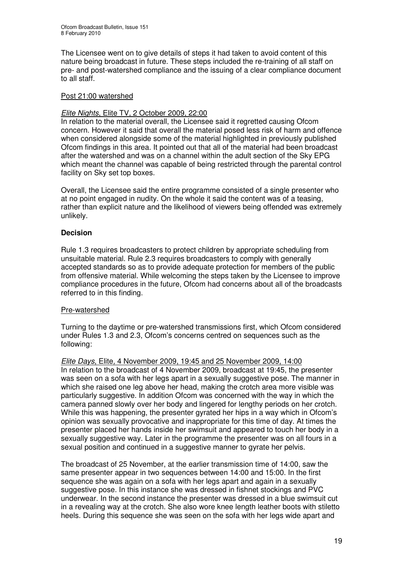The Licensee went on to give details of steps it had taken to avoid content of this nature being broadcast in future. These steps included the re-training of all staff on pre- and post-watershed compliance and the issuing of a clear compliance document to all staff.

#### Post 21:00 watershed

#### *Elite Nights*, Elite TV*,* 2 October 2009, 22:00

In relation to the material overall, the Licensee said it regretted causing Ofcom concern. However it said that overall the material posed less risk of harm and offence when considered alongside some of the material highlighted in previously published Ofcom findings in this area. It pointed out that all of the material had been broadcast after the watershed and was on a channel within the adult section of the Sky EPG which meant the channel was capable of being restricted through the parental control facility on Sky set top boxes.

Overall, the Licensee said the entire programme consisted of a single presenter who at no point engaged in nudity. On the whole it said the content was of a teasing, rather than explicit nature and the likelihood of viewers being offended was extremely unlikely.

#### **Decision**

Rule 1.3 requires broadcasters to protect children by appropriate scheduling from unsuitable material. Rule 2.3 requires broadcasters to comply with generally accepted standards so as to provide adequate protection for members of the public from offensive material. While welcoming the steps taken by the Licensee to improve compliance procedures in the future, Ofcom had concerns about all of the broadcasts referred to in this finding.

#### Pre-watershed

Turning to the daytime or pre-watershed transmissions first, which Ofcom considered under Rules 1.3 and 2.3, Ofcom's concerns centred on sequences such as the following:

*Elite Days*, Elite*,* 4 November 2009, 19:45 and 25 November 2009, 14:00 In relation to the broadcast of 4 November 2009, broadcast at 19:45, the presenter was seen on a sofa with her legs apart in a sexually suggestive pose. The manner in which she raised one leg above her head, making the crotch area more visible was particularly suggestive. In addition Ofcom was concerned with the way in which the camera panned slowly over her body and lingered for lengthy periods on her crotch. While this was happening, the presenter gyrated her hips in a way which in Ofcom's opinion was sexually provocative and inappropriate for this time of day. At times the presenter placed her hands inside her swimsuit and appeared to touch her body in a sexually suggestive way. Later in the programme the presenter was on all fours in a sexual position and continued in a suggestive manner to gyrate her pelvis.

The broadcast of 25 November, at the earlier transmission time of 14:00, saw the same presenter appear in two sequences between 14:00 and 15:00. In the first sequence she was again on a sofa with her legs apart and again in a sexually suggestive pose. In this instance she was dressed in fishnet stockings and PVC underwear. In the second instance the presenter was dressed in a blue swimsuit cut in a revealing way at the crotch. She also wore knee length leather boots with stiletto heels. During this sequence she was seen on the sofa with her legs wide apart and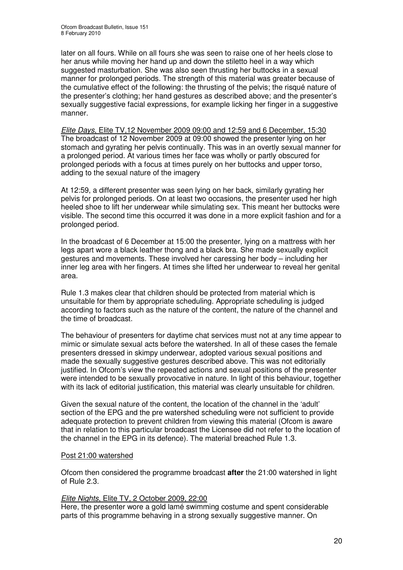later on all fours. While on all fours she was seen to raise one of her heels close to her anus while moving her hand up and down the stiletto heel in a way which suggested masturbation. She was also seen thrusting her buttocks in a sexual manner for prolonged periods. The strength of this material was greater because of the cumulative effect of the following: the thrusting of the pelvis; the risqué nature of the presenter's clothing; her hand gestures as described above; and the presenter's sexually suggestive facial expressions, for example licking her finger in a suggestive manner.

*Elite Days*, Elite TV*,*12 November 2009 09:00 and 12:59 and 6 December, 15:30 The broadcast of 12 November 2009 at 09:00 showed the presenter lying on her stomach and gyrating her pelvis continually. This was in an overtly sexual manner for a prolonged period. At various times her face was wholly or partly obscured for prolonged periods with a focus at times purely on her buttocks and upper torso, adding to the sexual nature of the imagery

At 12:59, a different presenter was seen lying on her back, similarly gyrating her pelvis for prolonged periods. On at least two occasions, the presenter used her high heeled shoe to lift her underwear while simulating sex. This meant her buttocks were visible. The second time this occurred it was done in a more explicit fashion and for a prolonged period.

In the broadcast of 6 December at 15:00 the presenter, lying on a mattress with her legs apart wore a black leather thong and a black bra. She made sexually explicit gestures and movements. These involved her caressing her body – including her inner leg area with her fingers. At times she lifted her underwear to reveal her genital area.

Rule 1.3 makes clear that children should be protected from material which is unsuitable for them by appropriate scheduling. Appropriate scheduling is judged according to factors such as the nature of the content, the nature of the channel and the time of broadcast.

The behaviour of presenters for daytime chat services must not at any time appear to mimic or simulate sexual acts before the watershed. In all of these cases the female presenters dressed in skimpy underwear, adopted various sexual positions and made the sexually suggestive gestures described above. This was not editorially justified. In Ofcom's view the repeated actions and sexual positions of the presenter were intended to be sexually provocative in nature. In light of this behaviour, together with its lack of editorial justification, this material was clearly unsuitable for children.

Given the sexual nature of the content, the location of the channel in the 'adult' section of the EPG and the pre watershed scheduling were not sufficient to provide adequate protection to prevent children from viewing this material (Ofcom is aware that in relation to this particular broadcast the Licensee did not refer to the location of the channel in the EPG in its defence). The material breached Rule 1.3.

#### Post 21:00 watershed

Ofcom then considered the programme broadcast **after** the 21:00 watershed in light of Rule 2.3.

#### *Elite Nights*, Elite TV*,* 2 October 2009, 22:00

Here, the presenter wore a gold lamé swimming costume and spent considerable parts of this programme behaving in a strong sexually suggestive manner. On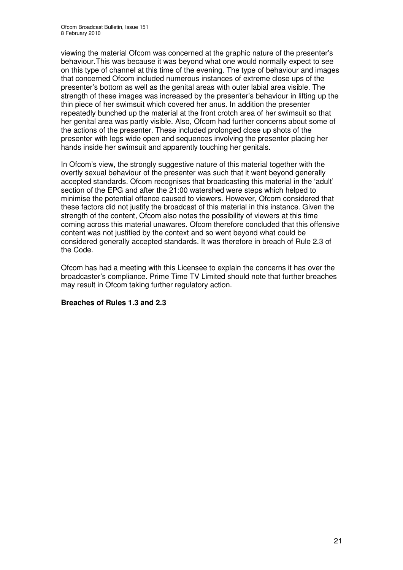viewing the material Ofcom was concerned at the graphic nature of the presenter's behaviour.This was because it was beyond what one would normally expect to see on this type of channel at this time of the evening. The type of behaviour and images that concerned Ofcom included numerous instances of extreme close ups of the presenter's bottom as well as the genital areas with outer labial area visible. The strength of these images was increased by the presenter's behaviour in lifting up the thin piece of her swimsuit which covered her anus. In addition the presenter repeatedly bunched up the material at the front crotch area of her swimsuit so that her genital area was partly visible. Also, Ofcom had further concerns about some of the actions of the presenter. These included prolonged close up shots of the presenter with legs wide open and sequences involving the presenter placing her hands inside her swimsuit and apparently touching her genitals.

In Ofcom's view, the strongly suggestive nature of this material together with the overtly sexual behaviour of the presenter was such that it went beyond generally accepted standards. Ofcom recognises that broadcasting this material in the 'adult' section of the EPG and after the 21:00 watershed were steps which helped to minimise the potential offence caused to viewers. However, Ofcom considered that these factors did not justify the broadcast of this material in this instance. Given the strength of the content, Ofcom also notes the possibility of viewers at this time coming across this material unawares. Ofcom therefore concluded that this offensive content was not justified by the context and so went beyond what could be considered generally accepted standards. It was therefore in breach of Rule 2.3 of the Code.

Ofcom has had a meeting with this Licensee to explain the concerns it has over the broadcaster's compliance. Prime Time TV Limited should note that further breaches may result in Ofcom taking further regulatory action.

#### **Breaches of Rules 1.3 and 2.3**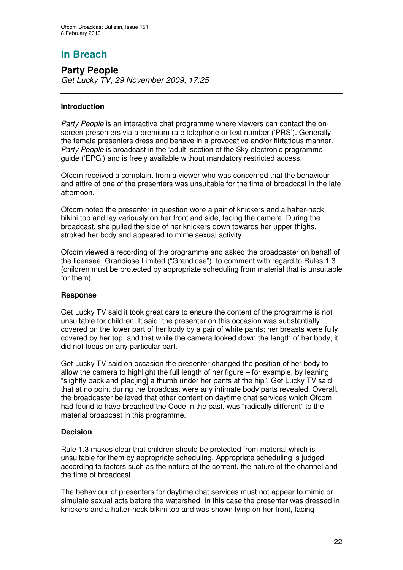# **In Breach**

**Party People** *Get Lucky TV, 29 November 2009, 17:25*

#### **Introduction**

*Party People* is an interactive chat programme where viewers can contact the onscreen presenters via a premium rate telephone or text number ('PRS'). Generally, the female presenters dress and behave in a provocative and/or flirtatious manner. *Party People* is broadcast in the 'adult' section of the Sky electronic programme guide ('EPG') and is freely available without mandatory restricted access.

Ofcom received a complaint from a viewer who was concerned that the behaviour and attire of one of the presenters was unsuitable for the time of broadcast in the late afternoon.

Ofcom noted the presenter in question wore a pair of knickers and a halter-neck bikini top and lay variously on her front and side, facing the camera. During the broadcast, she pulled the side of her knickers down towards her upper thighs, stroked her body and appeared to mime sexual activity.

Ofcom viewed a recording of the programme and asked the broadcaster on behalf of the licensee, Grandiose Limited ("Grandiose"), to comment with regard to Rules 1.3 (children must be protected by appropriate scheduling from material that is unsuitable for them).

#### **Response**

Get Lucky TV said it took great care to ensure the content of the programme is not unsuitable for children. It said: the presenter on this occasion was substantially covered on the lower part of her body by a pair of white pants; her breasts were fully covered by her top; and that while the camera looked down the length of her body, it did not focus on any particular part.

Get Lucky TV said on occasion the presenter changed the position of her body to allow the camera to highlight the full length of her figure – for example, by leaning "slightly back and plac[ing] a thumb under her pants at the hip". Get Lucky TV said that at no point during the broadcast were any intimate body parts revealed. Overall, the broadcaster believed that other content on daytime chat services which Ofcom had found to have breached the Code in the past, was "radically different" to the material broadcast in this programme.

#### **Decision**

Rule 1.3 makes clear that children should be protected from material which is unsuitable for them by appropriate scheduling. Appropriate scheduling is judged according to factors such as the nature of the content, the nature of the channel and the time of broadcast.

The behaviour of presenters for daytime chat services must not appear to mimic or simulate sexual acts before the watershed. In this case the presenter was dressed in knickers and a halter-neck bikini top and was shown lying on her front, facing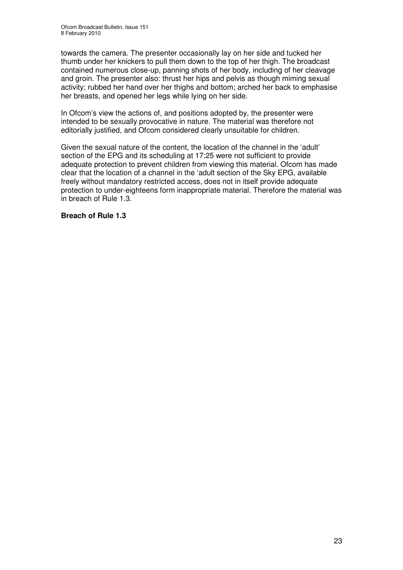towards the camera. The presenter occasionally lay on her side and tucked her thumb under her knickers to pull them down to the top of her thigh. The broadcast contained numerous close-up, panning shots of her body, including of her cleavage and groin. The presenter also: thrust her hips and pelvis as though miming sexual activity; rubbed her hand over her thighs and bottom; arched her back to emphasise her breasts, and opened her legs while lying on her side.

In Ofcom's view the actions of, and positions adopted by, the presenter were intended to be sexually provocative in nature. The material was therefore not editorially justified, and Ofcom considered clearly unsuitable for children.

Given the sexual nature of the content, the location of the channel in the 'adult' section of the EPG and its scheduling at 17:25 were not sufficient to provide adequate protection to prevent children from viewing this material. Ofcom has made clear that the location of a channel in the 'adult section of the Sky EPG, available freely without mandatory restricted access, does not in itself provide adequate protection to under-eighteens form inappropriate material. Therefore the material was in breach of Rule 1.3.

#### **Breach of Rule 1.3**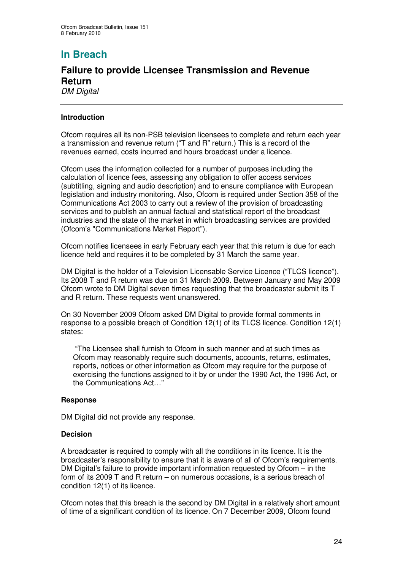# **In Breach**

#### **Failure to provide Licensee Transmission and Revenue Return** *DM Digital*

#### **Introduction**

Ofcom requires all its non-PSB television licensees to complete and return each year a transmission and revenue return ("T and R" return.) This is a record of the revenues earned, costs incurred and hours broadcast under a licence.

Ofcom uses the information collected for a number of purposes including the calculation of licence fees, assessing any obligation to offer access services (subtitling, signing and audio description) and to ensure compliance with European legislation and industry monitoring. Also, Ofcom is required under Section 358 of the Communications Act 2003 to carry out a review of the provision of broadcasting services and to publish an annual factual and statistical report of the broadcast industries and the state of the market in which broadcasting services are provided (Ofcom's "Communications Market Report").

Ofcom notifies licensees in early February each year that this return is due for each licence held and requires it to be completed by 31 March the same year.

DM Digital is the holder of a Television Licensable Service Licence ("TLCS licence"). Its 2008 T and R return was due on 31 March 2009. Between January and May 2009 Ofcom wrote to DM Digital seven times requesting that the broadcaster submit its T and R return. These requests went unanswered.

On 30 November 2009 Ofcom asked DM Digital to provide formal comments in response to a possible breach of Condition 12(1) of its TLCS licence. Condition 12(1) states:

"The Licensee shall furnish to Ofcom in such manner and at such times as Ofcom may reasonably require such documents, accounts, returns, estimates, reports, notices or other information as Ofcom may require for the purpose of exercising the functions assigned to it by or under the 1990 Act, the 1996 Act, or the Communications Act…"

#### **Response**

DM Digital did not provide any response.

#### **Decision**

A broadcaster is required to comply with all the conditions in its licence. It is the broadcaster's responsibility to ensure that it is aware of all of Ofcom's requirements. DM Digital's failure to provide important information requested by Ofcom – in the form of its 2009 T and R return – on numerous occasions, is a serious breach of condition 12(1) of its licence.

Ofcom notes that this breach is the second by DM Digital in a relatively short amount of time of a significant condition of its licence. On 7 December 2009, Ofcom found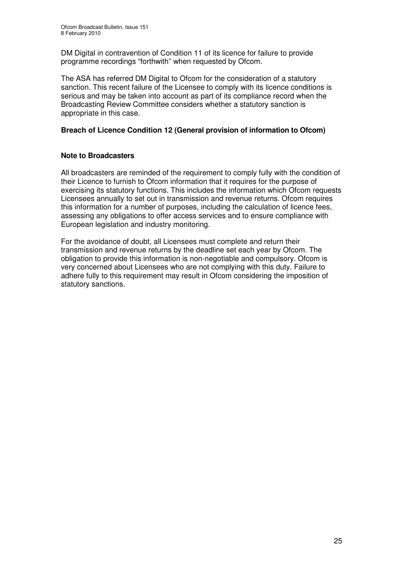DM Digital in contravention of Condition 11 of its licence for failure to provide programme recordings "forthwith" when requested by Ofcom.

The ASA has referred DM Digital to Ofcom for the consideration of a statutory sanction. This recent failure of the Licensee to comply with its licence conditions is serious and may be taken into account as part of its compliance record when the Broadcasting Review Committee considers whether a statutory sanction is appropriate in this case.

#### **Breach of Licence Condition 12 (General provision of information to Ofcom)**

#### **Note to Broadcasters**

All broadcasters are reminded of the requirement to comply fully with the condition of their Licence to furnish to Ofcom information that it requires for the purpose of exercising its statutory functions. This includes the information which Ofcom requests Licensees annually to set out in transmission and revenue returns. Ofcom requires this information for a number of purposes, including the calculation of licence fees, assessing any obligations to offer access services and to ensure compliance with European legislation and industry monitoring.

For the avoidance of doubt, all Licensees must complete and return their transmission and revenue returns by the deadline set each year by Ofcom. The obligation to provide this information is non-negotiable and compulsory. Ofcom is very concerned about Licensees who are not complying with this duty. Failure to adhere fully to this requirement may result in Ofcom considering the imposition of statutory sanctions.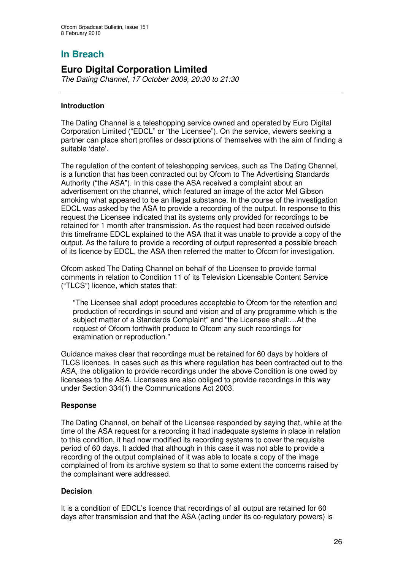## **In Breach**

## **Euro Digital Corporation Limited**

*The Dating Channel*, *17 October 2009, 20:30 to 21:30*

#### **Introduction**

The Dating Channel is a teleshopping service owned and operated by Euro Digital Corporation Limited ("EDCL" or "the Licensee"). On the service, viewers seeking a partner can place short profiles or descriptions of themselves with the aim of finding a suitable 'date'.

The regulation of the content of teleshopping services, such as The Dating Channel, is a function that has been contracted out by Ofcom to The Advertising Standards Authority ("the ASA"). In this case the ASA received a complaint about an advertisement on the channel, which featured an image of the actor Mel Gibson smoking what appeared to be an illegal substance. In the course of the investigation EDCL was asked by the ASA to provide a recording of the output. In response to this request the Licensee indicated that its systems only provided for recordings to be retained for 1 month after transmission. As the request had been received outside this timeframe EDCL explained to the ASA that it was unable to provide a copy of the output. As the failure to provide a recording of output represented a possible breach of its licence by EDCL, the ASA then referred the matter to Ofcom for investigation.

Ofcom asked The Dating Channel on behalf of the Licensee to provide formal comments in relation to Condition 11 of its Television Licensable Content Service ("TLCS") licence, which states that:

"The Licensee shall adopt procedures acceptable to Ofcom for the retention and production of recordings in sound and vision and of any programme which is the subject matter of a Standards Complaint" and "the Licensee shall:…At the request of Ofcom forthwith produce to Ofcom any such recordings for examination or reproduction."

Guidance makes clear that recordings must be retained for 60 days by holders of TLCS licences. In cases such as this where regulation has been contracted out to the ASA, the obligation to provide recordings under the above Condition is one owed by licensees to the ASA. Licensees are also obliged to provide recordings in this way under Section 334(1) the Communications Act 2003.

#### **Response**

The Dating Channel, on behalf of the Licensee responded by saying that, while at the time of the ASA request for a recording it had inadequate systems in place in relation to this condition, it had now modified its recording systems to cover the requisite period of 60 days. It added that although in this case it was not able to provide a recording of the output complained of it was able to locate a copy of the image complained of from its archive system so that to some extent the concerns raised by the complainant were addressed.

#### **Decision**

It is a condition of EDCL's licence that recordings of all output are retained for 60 days after transmission and that the ASA (acting under its co-regulatory powers) is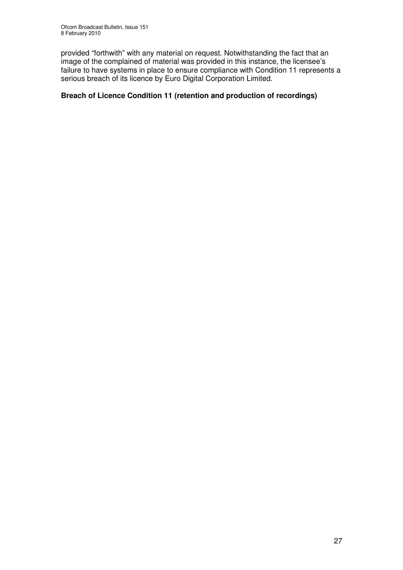provided "forthwith" with any material on request. Notwithstanding the fact that an image of the complained of material was provided in this instance, the licensee's failure to have systems in place to ensure compliance with Condition 11 represents a serious breach of its licence by Euro Digital Corporation Limited.

#### **Breach of Licence Condition 11 (retention and production of recordings)**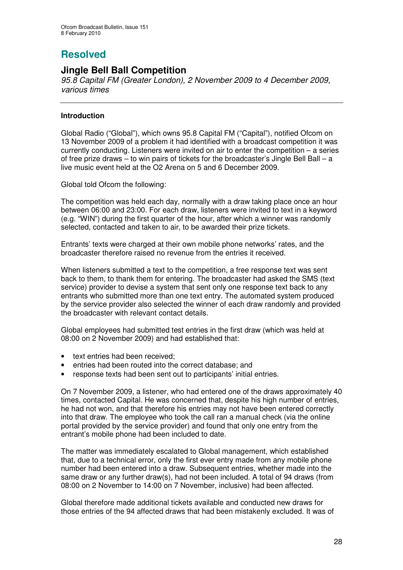# **Resolved**

## **Jingle Bell Ball Competition**

*95.8 Capital FM (Greater London), 2 November 2009 to 4 December 2009, various times*

#### **Introduction**

Global Radio ("Global"), which owns 95.8 Capital FM ("Capital"), notified Ofcom on 13 November 2009 of a problem it had identified with a broadcast competition it was currently conducting. Listeners were invited on air to enter the competition – a series of free prize draws  $-$  to win pairs of tickets for the broadcaster's Jingle Bell Ball  $-$  a live music event held at the O2 Arena on 5 and 6 December 2009.

Global told Ofcom the following:

The competition was held each day, normally with a draw taking place once an hour between 06:00 and 23:00. For each draw, listeners were invited to text in a keyword (e.g. "WIN") during the first quarter of the hour, after which a winner was randomly selected, contacted and taken to air, to be awarded their prize tickets.

Entrants' texts were charged at their own mobile phone networks' rates, and the broadcaster therefore raised no revenue from the entries it received.

When listeners submitted a text to the competition, a free response text was sent back to them, to thank them for entering. The broadcaster had asked the SMS (text service) provider to devise a system that sent only one response text back to any entrants who submitted more than one text entry. The automated system produced by the service provider also selected the winner of each draw randomly and provided the broadcaster with relevant contact details.

Global employees had submitted test entries in the first draw (which was held at 08:00 on 2 November 2009) and had established that:

- text entries had been received;
- entries had been routed into the correct database; and
- response texts had been sent out to participants' initial entries.

On 7 November 2009, a listener, who had entered one of the draws approximately 40 times, contacted Capital. He was concerned that, despite his high number of entries, he had not won, and that therefore his entries may not have been entered correctly into that draw. The employee who took the call ran a manual check (via the online portal provided by the service provider) and found that only one entry from the entrant's mobile phone had been included to date.

The matter was immediately escalated to Global management, which established that, due to a technical error, only the first ever entry made from any mobile phone number had been entered into a draw. Subsequent entries, whether made into the same draw or any further draw(s), had not been included. A total of 94 draws (from 08:00 on 2 November to 14:00 on 7 November, inclusive) had been affected.

Global therefore made additional tickets available and conducted new draws for those entries of the 94 affected draws that had been mistakenly excluded. It was of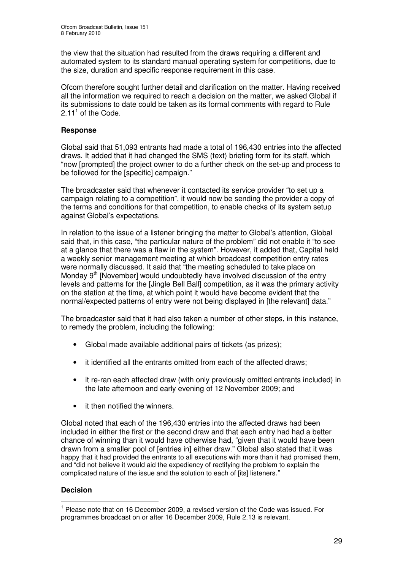the view that the situation had resulted from the draws requiring a different and automated system to its standard manual operating system for competitions, due to the size, duration and specific response requirement in this case.

Ofcom therefore sought further detail and clarification on the matter. Having received all the information we required to reach a decision on the matter, we asked Global if its submissions to date could be taken as its formal comments with regard to Rule  $2.11<sup>1</sup>$  of the Code.

#### **Response**

Global said that 51,093 entrants had made a total of 196,430 entries into the affected draws. It added that it had changed the SMS (text) briefing form for its staff, which "now [prompted] the project owner to do a further check on the set-up and process to be followed for the [specific] campaign."

The broadcaster said that whenever it contacted its service provider "to set up a campaign relating to a competition", it would now be sending the provider a copy of the terms and conditions for that competition, to enable checks of its system setup against Global's expectations.

In relation to the issue of a listener bringing the matter to Global's attention, Global said that, in this case, "the particular nature of the problem" did not enable it "to see at a glance that there was a flaw in the system". However, it added that, Capital held a weekly senior management meeting at which broadcast competition entry rates were normally discussed. It said that "the meeting scheduled to take place on Monday 9<sup>th</sup> [November] would undoubtedly have involved discussion of the entry levels and patterns for the [Jingle Bell Ball] competition, as it was the primary activity on the station at the time, at which point it would have become evident that the normal/expected patterns of entry were not being displayed in [the relevant] data."

The broadcaster said that it had also taken a number of other steps, in this instance, to remedy the problem, including the following:

- Global made available additional pairs of tickets (as prizes);
- it identified all the entrants omitted from each of the affected draws;
- it re-ran each affected draw (with only previously omitted entrants included) in the late afternoon and early evening of 12 November 2009; and
- it then notified the winners.

Global noted that each of the 196,430 entries into the affected draws had been included in either the first or the second draw and that each entry had had a better chance of winning than it would have otherwise had, "given that it would have been drawn from a smaller pool of [entries in] either draw." Global also stated that it was happy that it had provided the entrants to all executions with more than it had promised them, and "did not believe it would aid the expediency of rectifying the problem to explain the complicated nature of the issue and the solution to each of [its] listeners."

#### **Decision**

<sup>&</sup>lt;sup>1</sup> Please note that on 16 December 2009, a revised version of the Code was issued. For programmes broadcast on or after 16 December 2009, Rule 2.13 is relevant.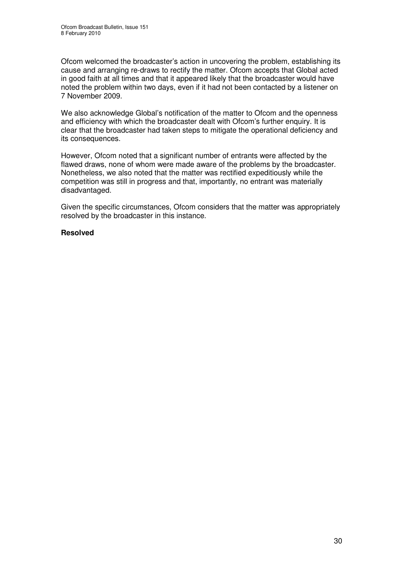Ofcom welcomed the broadcaster's action in uncovering the problem, establishing its cause and arranging re-draws to rectify the matter. Ofcom accepts that Global acted in good faith at all times and that it appeared likely that the broadcaster would have noted the problem within two days, even if it had not been contacted by a listener on 7 November 2009.

We also acknowledge Global's notification of the matter to Ofcom and the openness and efficiency with which the broadcaster dealt with Ofcom's further enquiry. It is clear that the broadcaster had taken steps to mitigate the operational deficiency and its consequences.

However, Ofcom noted that a significant number of entrants were affected by the flawed draws, none of whom were made aware of the problems by the broadcaster. Nonetheless, we also noted that the matter was rectified expeditiously while the competition was still in progress and that, importantly, no entrant was materially disadvantaged.

Given the specific circumstances, Ofcom considers that the matter was appropriately resolved by the broadcaster in this instance.

#### **Resolved**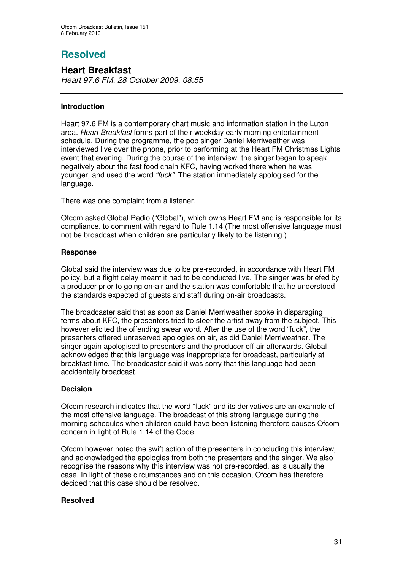# **Resolved**

## **Heart Breakfast**

*Heart 97.6 FM, 28 October 2009, 08:55*

#### **Introduction**

Heart 97.6 FM is a contemporary chart music and information station in the Luton area*. Heart Breakfast* forms part of their weekday early morning entertainment schedule. During the programme, the pop singer Daniel Merriweather was interviewed live over the phone, prior to performing at the Heart FM Christmas Lights event that evening. During the course of the interview, the singer began to speak negatively about the fast food chain KFC, having worked there when he was younger, and used the word *"fuck"*. The station immediately apologised for the language.

There was one complaint from a listener.

Ofcom asked Global Radio ("Global"), which owns Heart FM and is responsible for its compliance, to comment with regard to Rule 1.14 (The most offensive language must not be broadcast when children are particularly likely to be listening.)

#### **Response**

Global said the interview was due to be pre-recorded, in accordance with Heart FM policy, but a flight delay meant it had to be conducted live. The singer was briefed by a producer prior to going on-air and the station was comfortable that he understood the standards expected of guests and staff during on-air broadcasts.

The broadcaster said that as soon as Daniel Merriweather spoke in disparaging terms about KFC, the presenters tried to steer the artist away from the subject. This however elicited the offending swear word. After the use of the word "fuck", the presenters offered unreserved apologies on air, as did Daniel Merriweather. The singer again apologised to presenters and the producer off air afterwards. Global acknowledged that this language was inappropriate for broadcast, particularly at breakfast time. The broadcaster said it was sorry that this language had been accidentally broadcast.

#### **Decision**

Ofcom research indicates that the word "fuck" and its derivatives are an example of the most offensive language. The broadcast of this strong language during the morning schedules when children could have been listening therefore causes Ofcom concern in light of Rule 1.14 of the Code.

Ofcom however noted the swift action of the presenters in concluding this interview, and acknowledged the apologies from both the presenters and the singer. We also recognise the reasons why this interview was not pre-recorded, as is usually the case. In light of these circumstances and on this occasion, Ofcom has therefore decided that this case should be resolved.

#### **Resolved**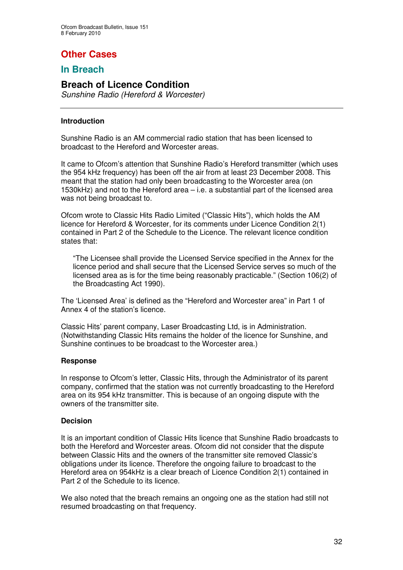# **Other Cases**

## **In Breach**

## **Breach of Licence Condition**

*Sunshine Radio (Hereford & Worcester)*

#### **Introduction**

Sunshine Radio is an AM commercial radio station that has been licensed to broadcast to the Hereford and Worcester areas.

It came to Ofcom's attention that Sunshine Radio's Hereford transmitter (which uses the 954 kHz frequency) has been off the air from at least 23 December 2008. This meant that the station had only been broadcasting to the Worcester area (on 1530kHz) and not to the Hereford area – i.e. a substantial part of the licensed area was not being broadcast to.

Ofcom wrote to Classic Hits Radio Limited ("Classic Hits"), which holds the AM licence for Hereford & Worcester, for its comments under Licence Condition 2(1) contained in Part 2 of the Schedule to the Licence. The relevant licence condition states that:

"The Licensee shall provide the Licensed Service specified in the Annex for the licence period and shall secure that the Licensed Service serves so much of the licensed area as is for the time being reasonably practicable." (Section 106(2) of the Broadcasting Act 1990).

The 'Licensed Area' is defined as the "Hereford and Worcester area" in Part 1 of Annex 4 of the station's licence.

Classic Hits' parent company, Laser Broadcasting Ltd, is in Administration. (Notwithstanding Classic Hits remains the holder of the licence for Sunshine, and Sunshine continues to be broadcast to the Worcester area.)

#### **Response**

In response to Ofcom's letter, Classic Hits, through the Administrator of its parent company, confirmed that the station was not currently broadcasting to the Hereford area on its 954 kHz transmitter. This is because of an ongoing dispute with the owners of the transmitter site.

#### **Decision**

It is an important condition of Classic Hits licence that Sunshine Radio broadcasts to both the Hereford and Worcester areas. Ofcom did not consider that the dispute between Classic Hits and the owners of the transmitter site removed Classic's obligations under its licence. Therefore the ongoing failure to broadcast to the Hereford area on 954kHz is a clear breach of Licence Condition 2(1) contained in Part 2 of the Schedule to its licence.

We also noted that the breach remains an ongoing one as the station had still not resumed broadcasting on that frequency.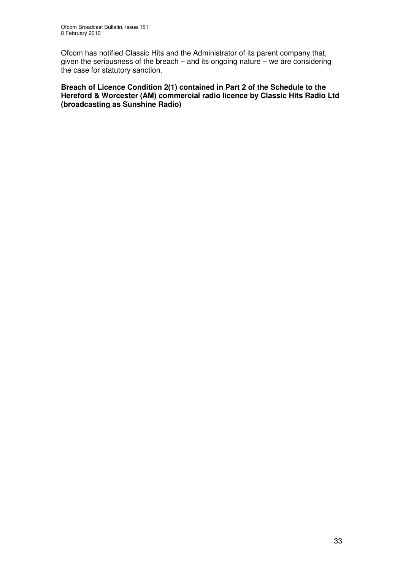Ofcom has notified Classic Hits and the Administrator of its parent company that, given the seriousness of the breach – and its ongoing nature – we are considering the case for statutory sanction.

**Breach of Licence Condition 2(1) contained in Part 2 of the Schedule to the Hereford & Worcester (AM) commercial radio licence by Classic Hits Radio Ltd (broadcasting as Sunshine Radio)**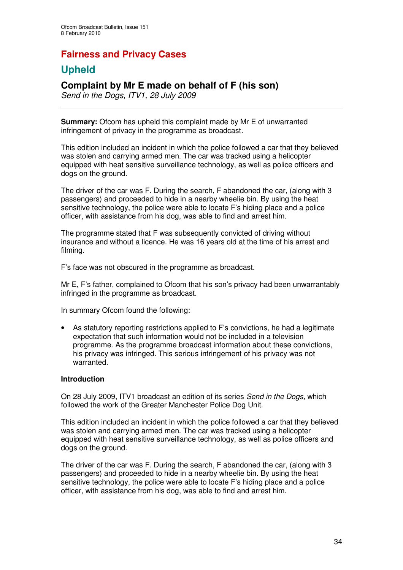# **Fairness and Privacy Cases**

# **Upheld**

## **Complaint by Mr E made on behalf of F (his son)**

*Send in the Dogs, ITV1, 28 July 2009*

**Summary:** Ofcom has upheld this complaint made by Mr E of unwarranted infringement of privacy in the programme as broadcast.

This edition included an incident in which the police followed a car that they believed was stolen and carrying armed men. The car was tracked using a helicopter equipped with heat sensitive surveillance technology, as well as police officers and dogs on the ground.

The driver of the car was F. During the search, F abandoned the car, (along with 3 passengers) and proceeded to hide in a nearby wheelie bin. By using the heat sensitive technology, the police were able to locate F's hiding place and a police officer, with assistance from his dog, was able to find and arrest him.

The programme stated that F was subsequently convicted of driving without insurance and without a licence. He was 16 years old at the time of his arrest and filming.

F's face was not obscured in the programme as broadcast.

Mr E, F's father, complained to Ofcom that his son's privacy had been unwarrantably infringed in the programme as broadcast.

In summary Ofcom found the following:

• As statutory reporting restrictions applied to F's convictions, he had a legitimate expectation that such information would not be included in a television programme. As the programme broadcast information about these convictions, his privacy was infringed. This serious infringement of his privacy was not warranted.

#### **Introduction**

On 28 July 2009, ITV1 broadcast an edition of its series *Send in the Dogs*, which followed the work of the Greater Manchester Police Dog Unit.

This edition included an incident in which the police followed a car that they believed was stolen and carrying armed men. The car was tracked using a helicopter equipped with heat sensitive surveillance technology, as well as police officers and dogs on the ground.

The driver of the car was F. During the search, F abandoned the car, (along with 3 passengers) and proceeded to hide in a nearby wheelie bin. By using the heat sensitive technology, the police were able to locate F's hiding place and a police officer, with assistance from his dog, was able to find and arrest him.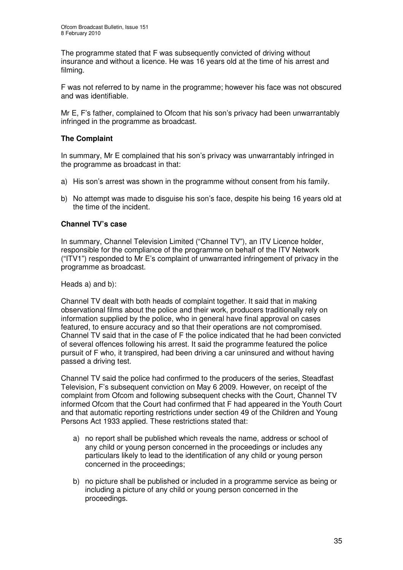The programme stated that F was subsequently convicted of driving without insurance and without a licence. He was 16 years old at the time of his arrest and filming.

F was not referred to by name in the programme; however his face was not obscured and was identifiable.

Mr E, F's father, complained to Ofcom that his son's privacy had been unwarrantably infringed in the programme as broadcast.

#### **The Complaint**

In summary, Mr E complained that his son's privacy was unwarrantably infringed in the programme as broadcast in that:

- a) His son's arrest was shown in the programme without consent from his family.
- b) No attempt was made to disguise his son's face, despite his being 16 years old at the time of the incident.

#### **Channel TV's case**

In summary, Channel Television Limited ("Channel TV"), an ITV Licence holder, responsible for the compliance of the programme on behalf of the ITV Network ("ITV1") responded to Mr E's complaint of unwarranted infringement of privacy in the programme as broadcast.

Heads a) and b):

Channel TV dealt with both heads of complaint together. It said that in making observational films about the police and their work, producers traditionally rely on information supplied by the police, who in general have final approval on cases featured, to ensure accuracy and so that their operations are not compromised. Channel TV said that in the case of F the police indicated that he had been convicted of several offences following his arrest. It said the programme featured the police pursuit of F who, it transpired, had been driving a car uninsured and without having passed a driving test.

Channel TV said the police had confirmed to the producers of the series, Steadfast Television, F's subsequent conviction on May 6 2009. However, on receipt of the complaint from Ofcom and following subsequent checks with the Court, Channel TV informed Ofcom that the Court had confirmed that F had appeared in the Youth Court and that automatic reporting restrictions under section 49 of the Children and Young Persons Act 1933 applied. These restrictions stated that:

- a) no report shall be published which reveals the name, address or school of any child or young person concerned in the proceedings or includes any particulars likely to lead to the identification of any child or young person concerned in the proceedings;
- b) no picture shall be published or included in a programme service as being or including a picture of any child or young person concerned in the proceedings.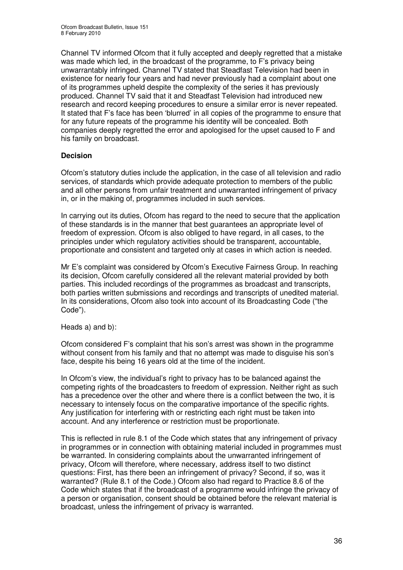Channel TV informed Ofcom that it fully accepted and deeply regretted that a mistake was made which led, in the broadcast of the programme, to F's privacy being unwarrantably infringed. Channel TV stated that Steadfast Television had been in existence for nearly four years and had never previously had a complaint about one of its programmes upheld despite the complexity of the series it has previously produced. Channel TV said that it and Steadfast Television had introduced new research and record keeping procedures to ensure a similar error is never repeated. It stated that F's face has been 'blurred' in all copies of the programme to ensure that for any future repeats of the programme his identity will be concealed. Both companies deeply regretted the error and apologised for the upset caused to F and his family on broadcast.

#### **Decision**

Ofcom's statutory duties include the application, in the case of all television and radio services, of standards which provide adequate protection to members of the public and all other persons from unfair treatment and unwarranted infringement of privacy in, or in the making of, programmes included in such services.

In carrying out its duties, Ofcom has regard to the need to secure that the application of these standards is in the manner that best guarantees an appropriate level of freedom of expression. Ofcom is also obliged to have regard, in all cases, to the principles under which regulatory activities should be transparent, accountable, proportionate and consistent and targeted only at cases in which action is needed.

Mr E's complaint was considered by Ofcom's Executive Fairness Group. In reaching its decision, Ofcom carefully considered all the relevant material provided by both parties. This included recordings of the programmes as broadcast and transcripts, both parties written submissions and recordings and transcripts of unedited material. In its considerations, Ofcom also took into account of its Broadcasting Code ("the Code").

Heads a) and b):

Ofcom considered F's complaint that his son's arrest was shown in the programme without consent from his family and that no attempt was made to disguise his son's face, despite his being 16 years old at the time of the incident.

In Ofcom's view, the individual's right to privacy has to be balanced against the competing rights of the broadcasters to freedom of expression. Neither right as such has a precedence over the other and where there is a conflict between the two, it is necessary to intensely focus on the comparative importance of the specific rights. Any justification for interfering with or restricting each right must be taken into account. And any interference or restriction must be proportionate.

This is reflected in rule 8.1 of the Code which states that any infringement of privacy in programmes or in connection with obtaining material included in programmes must be warranted. In considering complaints about the unwarranted infringement of privacy, Ofcom will therefore, where necessary, address itself to two distinct questions: First, has there been an infringement of privacy? Second, if so, was it warranted? (Rule 8.1 of the Code.) Ofcom also had regard to Practice 8.6 of the Code which states that if the broadcast of a programme would infringe the privacy of a person or organisation, consent should be obtained before the relevant material is broadcast, unless the infringement of privacy is warranted.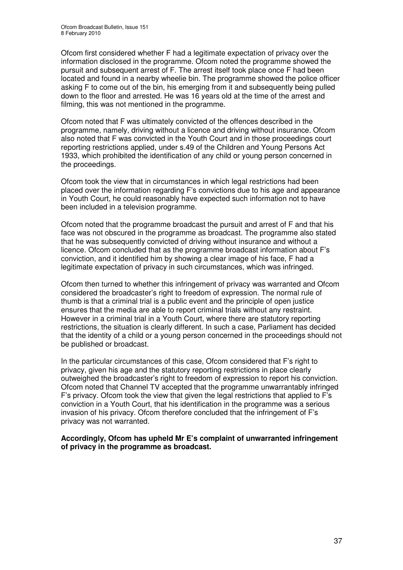Ofcom first considered whether F had a legitimate expectation of privacy over the information disclosed in the programme. Ofcom noted the programme showed the pursuit and subsequent arrest of F. The arrest itself took place once F had been located and found in a nearby wheelie bin. The programme showed the police officer asking F to come out of the bin, his emerging from it and subsequently being pulled down to the floor and arrested. He was 16 years old at the time of the arrest and filming, this was not mentioned in the programme.

Ofcom noted that F was ultimately convicted of the offences described in the programme, namely, driving without a licence and driving without insurance. Ofcom also noted that F was convicted in the Youth Court and in those proceedings court reporting restrictions applied, under s.49 of the Children and Young Persons Act 1933, which prohibited the identification of any child or young person concerned in the proceedings.

Ofcom took the view that in circumstances in which legal restrictions had been placed over the information regarding F's convictions due to his age and appearance in Youth Court, he could reasonably have expected such information not to have been included in a television programme.

Ofcom noted that the programme broadcast the pursuit and arrest of F and that his face was not obscured in the programme as broadcast. The programme also stated that he was subsequently convicted of driving without insurance and without a licence. Ofcom concluded that as the programme broadcast information about F's conviction, and it identified him by showing a clear image of his face, F had a legitimate expectation of privacy in such circumstances, which was infringed.

Ofcom then turned to whether this infringement of privacy was warranted and Ofcom considered the broadcaster's right to freedom of expression. The normal rule of thumb is that a criminal trial is a public event and the principle of open justice ensures that the media are able to report criminal trials without any restraint. However in a criminal trial in a Youth Court, where there are statutory reporting restrictions, the situation is clearly different. In such a case, Parliament has decided that the identity of a child or a young person concerned in the proceedings should not be published or broadcast.

In the particular circumstances of this case, Ofcom considered that F's right to privacy, given his age and the statutory reporting restrictions in place clearly outweighed the broadcaster's right to freedom of expression to report his conviction. Ofcom noted that Channel TV accepted that the programme unwarrantably infringed F's privacy. Ofcom took the view that given the legal restrictions that applied to F's conviction in a Youth Court, that his identification in the programme was a serious invasion of his privacy. Ofcom therefore concluded that the infringement of F's privacy was not warranted.

**Accordingly, Ofcom has upheld Mr E's complaint of unwarranted infringement of privacy in the programme as broadcast.**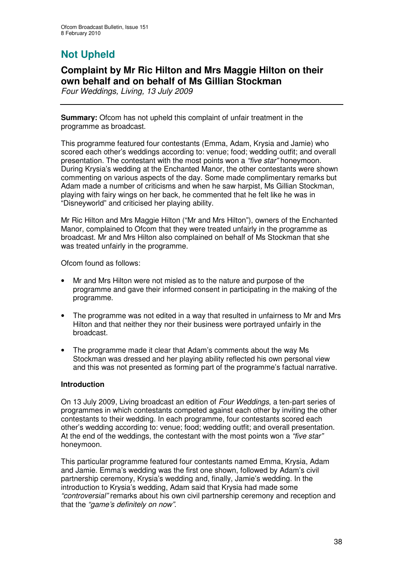# **Not Upheld**

## **Complaint by Mr Ric Hilton and Mrs Maggie Hilton on their own behalf and on behalf of Ms Gillian Stockman**

*Four Weddings, Living, 13 July 2009*

**Summary:** Ofcom has not upheld this complaint of unfair treatment in the programme as broadcast.

This programme featured four contestants (Emma, Adam, Krysia and Jamie) who scored each other's weddings according to: venue; food; wedding outfit; and overall presentation. The contestant with the most points won a *"five star"* honeymoon. During Krysia's wedding at the Enchanted Manor, the other contestants were shown commenting on various aspects of the day. Some made complimentary remarks but Adam made a number of criticisms and when he saw harpist, Ms Gillian Stockman, playing with fairy wings on her back, he commented that he felt like he was in "Disneyworld" and criticised her playing ability.

Mr Ric Hilton and Mrs Maggie Hilton ("Mr and Mrs Hilton"), owners of the Enchanted Manor, complained to Ofcom that they were treated unfairly in the programme as broadcast. Mr and Mrs Hilton also complained on behalf of Ms Stockman that she was treated unfairly in the programme.

Ofcom found as follows:

- Mr and Mrs Hilton were not misled as to the nature and purpose of the programme and gave their informed consent in participating in the making of the programme.
- The programme was not edited in a way that resulted in unfairness to Mr and Mrs Hilton and that neither they nor their business were portrayed unfairly in the broadcast.
- The programme made it clear that Adam's comments about the way Ms Stockman was dressed and her playing ability reflected his own personal view and this was not presented as forming part of the programme's factual narrative.

### **Introduction**

On 13 July 2009, Living broadcast an edition of *Four Weddings*, a ten-part series of programmes in which contestants competed against each other by inviting the other contestants to their wedding. In each programme, four contestants scored each other's wedding according to: venue; food; wedding outfit; and overall presentation. At the end of the weddings, the contestant with the most points won a *"five star"* honeymoon.

This particular programme featured four contestants named Emma, Krysia, Adam and Jamie. Emma's wedding was the first one shown, followed by Adam's civil partnership ceremony, Krysia's wedding and, finally, Jamie's wedding. In the introduction to Krysia's wedding, Adam said that Krysia had made some *"controversial"* remarks about his own civil partnership ceremony and reception and that the *"game's definitely on now"*.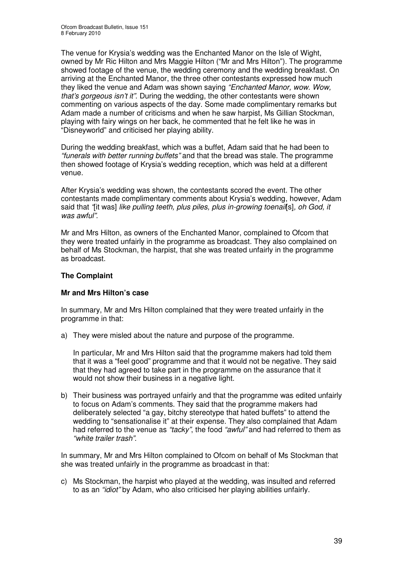The venue for Krysia's wedding was the Enchanted Manor on the Isle of Wight, owned by Mr Ric Hilton and Mrs Maggie Hilton ("Mr and Mrs Hilton"). The programme showed footage of the venue, the wedding ceremony and the wedding breakfast. On arriving at the Enchanted Manor, the three other contestants expressed how much they liked the venue and Adam was shown saying *"Enchanted Manor, wow. Wow, that's gorgeous isn't it"*. During the wedding, the other contestants were shown commenting on various aspects of the day. Some made complimentary remarks but Adam made a number of criticisms and when he saw harpist, Ms Gillian Stockman, playing with fairy wings on her back, he commented that he felt like he was in "Disneyworld" and criticised her playing ability.

During the wedding breakfast, which was a buffet, Adam said that he had been to *"funerals with better running buffets"* and that the bread was stale. The programme then showed footage of Krysia's wedding reception, which was held at a different venue.

After Krysia's wedding was shown, the contestants scored the event. The other contestants made complimentary comments about Krysia's wedding, however, Adam said that *"*[it was] *like pulling teeth, plus piles, plus in-growing toenail*[s]*, oh God, it was awful"*.

Mr and Mrs Hilton, as owners of the Enchanted Manor, complained to Ofcom that they were treated unfairly in the programme as broadcast. They also complained on behalf of Ms Stockman, the harpist, that she was treated unfairly in the programme as broadcast.

### **The Complaint**

### **Mr and Mrs Hilton's case**

In summary, Mr and Mrs Hilton complained that they were treated unfairly in the programme in that:

a) They were misled about the nature and purpose of the programme.

In particular, Mr and Mrs Hilton said that the programme makers had told them that it was a "feel good" programme and that it would not be negative. They said that they had agreed to take part in the programme on the assurance that it would not show their business in a negative light.

b) Their business was portrayed unfairly and that the programme was edited unfairly to focus on Adam's comments. They said that the programme makers had deliberately selected "a gay, bitchy stereotype that hated buffets" to attend the wedding to "sensationalise it" at their expense. They also complained that Adam had referred to the venue as *"tacky"*, the food *"awful"* and had referred to them as *"white trailer trash"*.

In summary, Mr and Mrs Hilton complained to Ofcom on behalf of Ms Stockman that she was treated unfairly in the programme as broadcast in that:

c) Ms Stockman, the harpist who played at the wedding, was insulted and referred to as an *"idiot"* by Adam, who also criticised her playing abilities unfairly.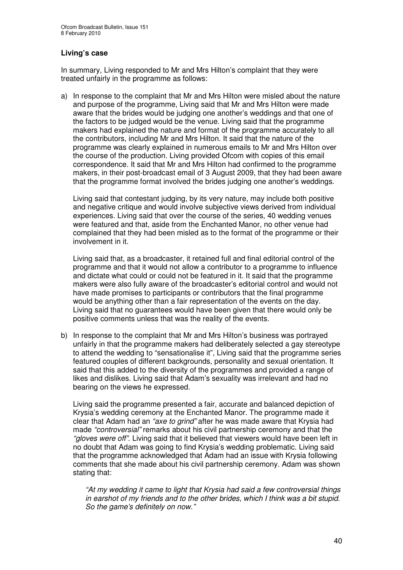### **Living's case**

In summary, Living responded to Mr and Mrs Hilton's complaint that they were treated unfairly in the programme as follows:

a) In response to the complaint that Mr and Mrs Hilton were misled about the nature and purpose of the programme, Living said that Mr and Mrs Hilton were made aware that the brides would be judging one another's weddings and that one of the factors to be judged would be the venue. Living said that the programme makers had explained the nature and format of the programme accurately to all the contributors, including Mr and Mrs Hilton. It said that the nature of the programme was clearly explained in numerous emails to Mr and Mrs Hilton over the course of the production. Living provided Ofcom with copies of this email correspondence. It said that Mr and Mrs Hilton had confirmed to the programme makers, in their post-broadcast email of 3 August 2009, that they had been aware that the programme format involved the brides judging one another's weddings.

Living said that contestant judging, by its very nature, may include both positive and negative critique and would involve subjective views derived from individual experiences. Living said that over the course of the series, 40 wedding venues were featured and that, aside from the Enchanted Manor, no other venue had complained that they had been misled as to the format of the programme or their involvement in it.

Living said that, as a broadcaster, it retained full and final editorial control of the programme and that it would not allow a contributor to a programme to influence and dictate what could or could not be featured in it. It said that the programme makers were also fully aware of the broadcaster's editorial control and would not have made promises to participants or contributors that the final programme would be anything other than a fair representation of the events on the day. Living said that no guarantees would have been given that there would only be positive comments unless that was the reality of the events.

b) In response to the complaint that Mr and Mrs Hilton's business was portrayed unfairly in that the programme makers had deliberately selected a gay stereotype to attend the wedding to "sensationalise it", Living said that the programme series featured couples of different backgrounds, personality and sexual orientation. It said that this added to the diversity of the programmes and provided a range of likes and dislikes. Living said that Adam's sexuality was irrelevant and had no bearing on the views he expressed.

Living said the programme presented a fair, accurate and balanced depiction of Krysia's wedding ceremony at the Enchanted Manor. The programme made it clear that Adam had an *"axe to grind"* after he was made aware that Krysia had made *"controversial"* remarks about his civil partnership ceremony and that the *"gloves were off"*. Living said that it believed that viewers would have been left in no doubt that Adam was going to find Krysia's wedding problematic. Living said that the programme acknowledged that Adam had an issue with Krysia following comments that she made about his civil partnership ceremony. Adam was shown stating that:

*"At my wedding it came to light that Krysia had said a few controversial things in earshot of my friends and to the other brides, which I think was a bit stupid. So the game's definitely on now."*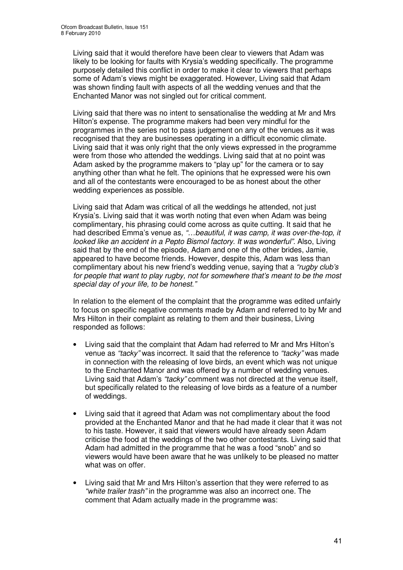Living said that it would therefore have been clear to viewers that Adam was likely to be looking for faults with Krysia's wedding specifically. The programme purposely detailed this conflict in order to make it clear to viewers that perhaps some of Adam's views might be exaggerated. However, Living said that Adam was shown finding fault with aspects of all the wedding venues and that the Enchanted Manor was not singled out for critical comment.

Living said that there was no intent to sensationalise the wedding at Mr and Mrs Hilton's expense. The programme makers had been very mindful for the programmes in the series not to pass judgement on any of the venues as it was recognised that they are businesses operating in a difficult economic climate. Living said that it was only right that the only views expressed in the programme were from those who attended the weddings. Living said that at no point was Adam asked by the programme makers to "play up" for the camera or to say anything other than what he felt. The opinions that he expressed were his own and all of the contestants were encouraged to be as honest about the other wedding experiences as possible.

Living said that Adam was critical of all the weddings he attended, not just Krysia's. Living said that it was worth noting that even when Adam was being complimentary, his phrasing could come across as quite cutting. It said that he had described Emma's venue as, *"…beautiful, it was camp, it was over-the-top, it looked like an accident in a Pepto Bismol factory. It was wonderful".* Also, Living said that by the end of the episode, Adam and one of the other brides, Jamie, appeared to have become friends. However, despite this, Adam was less than complimentary about his new friend's wedding venue, saying that a *"rugby club's for people that want to play rugby, not for somewhere that's meant to be the most special day of your life, to be honest*.*"*

In relation to the element of the complaint that the programme was edited unfairly to focus on specific negative comments made by Adam and referred to by Mr and Mrs Hilton in their complaint as relating to them and their business, Living responded as follows:

- Living said that the complaint that Adam had referred to Mr and Mrs Hilton's venue as *"tacky"* was incorrect. It said that the reference to *"tacky"* was made in connection with the releasing of love birds, an event which was not unique to the Enchanted Manor and was offered by a number of wedding venues. Living said that Adam's *"tacky"* comment was not directed at the venue itself, but specifically related to the releasing of love birds as a feature of a number of weddings.
- Living said that it agreed that Adam was not complimentary about the food provided at the Enchanted Manor and that he had made it clear that it was not to his taste. However, it said that viewers would have already seen Adam criticise the food at the weddings of the two other contestants. Living said that Adam had admitted in the programme that he was a food "snob" and so viewers would have been aware that he was unlikely to be pleased no matter what was on offer.
- Living said that Mr and Mrs Hilton's assertion that they were referred to as *"white trailer trash"* in the programme was also an incorrect one. The comment that Adam actually made in the programme was: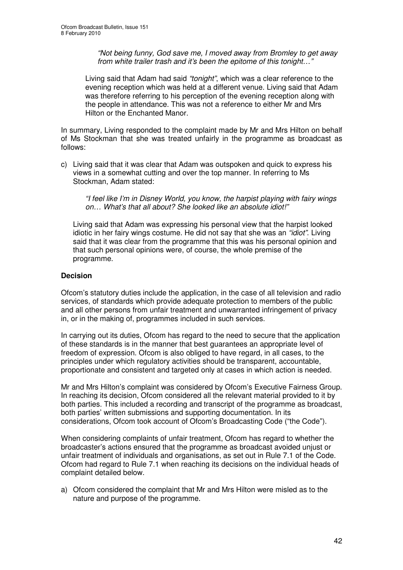*"Not being funny, God save me, I moved away from Bromley to get away from white trailer trash and it's been the epitome of this tonight…"*

Living said that Adam had said *"tonight"*, which was a clear reference to the evening reception which was held at a different venue. Living said that Adam was therefore referring to his perception of the evening reception along with the people in attendance. This was not a reference to either Mr and Mrs Hilton or the Enchanted Manor.

In summary, Living responded to the complaint made by Mr and Mrs Hilton on behalf of Ms Stockman that she was treated unfairly in the programme as broadcast as follows:

c) Living said that it was clear that Adam was outspoken and quick to express his views in a somewhat cutting and over the top manner. In referring to Ms Stockman, Adam stated:

*"I feel like I'm in Disney World, you know, the harpist playing with fairy wings on… What's that all about? She looked like an absolute idiot!"*

Living said that Adam was expressing his personal view that the harpist looked idiotic in her fairy wings costume. He did not say that she was an *"idiot"*. Living said that it was clear from the programme that this was his personal opinion and that such personal opinions were, of course, the whole premise of the programme.

### **Decision**

Ofcom's statutory duties include the application, in the case of all television and radio services, of standards which provide adequate protection to members of the public and all other persons from unfair treatment and unwarranted infringement of privacy in, or in the making of, programmes included in such services.

In carrying out its duties, Ofcom has regard to the need to secure that the application of these standards is in the manner that best guarantees an appropriate level of freedom of expression. Ofcom is also obliged to have regard, in all cases, to the principles under which regulatory activities should be transparent, accountable, proportionate and consistent and targeted only at cases in which action is needed.

Mr and Mrs Hilton's complaint was considered by Ofcom's Executive Fairness Group. In reaching its decision, Ofcom considered all the relevant material provided to it by both parties. This included a recording and transcript of the programme as broadcast, both parties' written submissions and supporting documentation. In its considerations, Ofcom took account of Ofcom's Broadcasting Code ("the Code").

When considering complaints of unfair treatment, Ofcom has regard to whether the broadcaster's actions ensured that the programme as broadcast avoided unjust or unfair treatment of individuals and organisations, as set out in Rule 7.1 of the Code. Ofcom had regard to Rule 7.1 when reaching its decisions on the individual heads of complaint detailed below.

a) Ofcom considered the complaint that Mr and Mrs Hilton were misled as to the nature and purpose of the programme.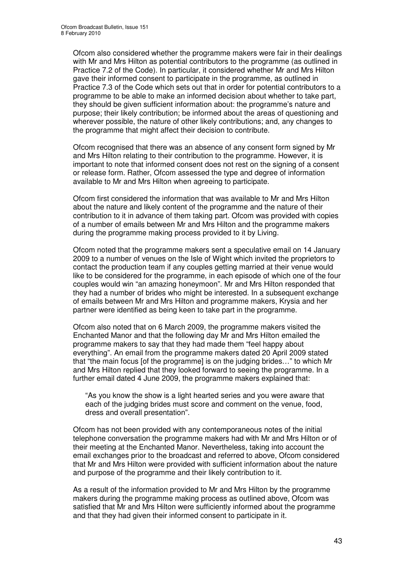Ofcom also considered whether the programme makers were fair in their dealings with Mr and Mrs Hilton as potential contributors to the programme (as outlined in Practice 7.2 of the Code). In particular, it considered whether Mr and Mrs Hilton gave their informed consent to participate in the programme, as outlined in Practice 7.3 of the Code which sets out that in order for potential contributors to a programme to be able to make an informed decision about whether to take part, they should be given sufficient information about: the programme's nature and purpose; their likely contribution; be informed about the areas of questioning and wherever possible, the nature of other likely contributions; and, any changes to the programme that might affect their decision to contribute.

Ofcom recognised that there was an absence of any consent form signed by Mr and Mrs Hilton relating to their contribution to the programme. However, it is important to note that informed consent does not rest on the signing of a consent or release form. Rather, Ofcom assessed the type and degree of information available to Mr and Mrs Hilton when agreeing to participate.

Ofcom first considered the information that was available to Mr and Mrs Hilton about the nature and likely content of the programme and the nature of their contribution to it in advance of them taking part. Ofcom was provided with copies of a number of emails between Mr and Mrs Hilton and the programme makers during the programme making process provided to it by Living.

Ofcom noted that the programme makers sent a speculative email on 14 January 2009 to a number of venues on the Isle of Wight which invited the proprietors to contact the production team if any couples getting married at their venue would like to be considered for the programme, in each episode of which one of the four couples would win "an amazing honeymoon". Mr and Mrs Hilton responded that they had a number of brides who might be interested. In a subsequent exchange of emails between Mr and Mrs Hilton and programme makers, Krysia and her partner were identified as being keen to take part in the programme.

Ofcom also noted that on 6 March 2009, the programme makers visited the Enchanted Manor and that the following day Mr and Mrs Hilton emailed the programme makers to say that they had made them "feel happy about everything". An email from the programme makers dated 20 April 2009 stated that "the main focus [of the programme] is on the judging brides…" to which Mr and Mrs Hilton replied that they looked forward to seeing the programme. In a further email dated 4 June 2009, the programme makers explained that:

"As you know the show is a light hearted series and you were aware that each of the judging brides must score and comment on the venue, food, dress and overall presentation".

Ofcom has not been provided with any contemporaneous notes of the initial telephone conversation the programme makers had with Mr and Mrs Hilton or of their meeting at the Enchanted Manor. Nevertheless, taking into account the email exchanges prior to the broadcast and referred to above, Ofcom considered that Mr and Mrs Hilton were provided with sufficient information about the nature and purpose of the programme and their likely contribution to it.

As a result of the information provided to Mr and Mrs Hilton by the programme makers during the programme making process as outlined above, Ofcom was satisfied that Mr and Mrs Hilton were sufficiently informed about the programme and that they had given their informed consent to participate in it.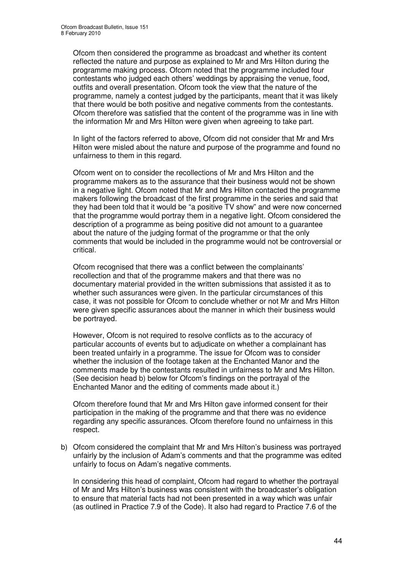Ofcom then considered the programme as broadcast and whether its content reflected the nature and purpose as explained to Mr and Mrs Hilton during the programme making process. Ofcom noted that the programme included four contestants who judged each others' weddings by appraising the venue, food, outfits and overall presentation. Ofcom took the view that the nature of the programme, namely a contest judged by the participants, meant that it was likely that there would be both positive and negative comments from the contestants. Ofcom therefore was satisfied that the content of the programme was in line with the information Mr and Mrs Hilton were given when agreeing to take part.

In light of the factors referred to above, Ofcom did not consider that Mr and Mrs Hilton were misled about the nature and purpose of the programme and found no unfairness to them in this regard.

Ofcom went on to consider the recollections of Mr and Mrs Hilton and the programme makers as to the assurance that their business would not be shown in a negative light. Ofcom noted that Mr and Mrs Hilton contacted the programme makers following the broadcast of the first programme in the series and said that they had been told that it would be "a positive TV show" and were now concerned that the programme would portray them in a negative light. Ofcom considered the description of a programme as being positive did not amount to a guarantee about the nature of the judging format of the programme or that the only comments that would be included in the programme would not be controversial or critical.

Ofcom recognised that there was a conflict between the complainants' recollection and that of the programme makers and that there was no documentary material provided in the written submissions that assisted it as to whether such assurances were given. In the particular circumstances of this case, it was not possible for Ofcom to conclude whether or not Mr and Mrs Hilton were given specific assurances about the manner in which their business would be portrayed.

However, Ofcom is not required to resolve conflicts as to the accuracy of particular accounts of events but to adjudicate on whether a complainant has been treated unfairly in a programme. The issue for Ofcom was to consider whether the inclusion of the footage taken at the Enchanted Manor and the comments made by the contestants resulted in unfairness to Mr and Mrs Hilton. (See decision head b) below for Ofcom's findings on the portrayal of the Enchanted Manor and the editing of comments made about it.)

Ofcom therefore found that Mr and Mrs Hilton gave informed consent for their participation in the making of the programme and that there was no evidence regarding any specific assurances. Ofcom therefore found no unfairness in this respect.

b) Ofcom considered the complaint that Mr and Mrs Hilton's business was portrayed unfairly by the inclusion of Adam's comments and that the programme was edited unfairly to focus on Adam's negative comments.

In considering this head of complaint, Ofcom had regard to whether the portrayal of Mr and Mrs Hilton's business was consistent with the broadcaster's obligation to ensure that material facts had not been presented in a way which was unfair (as outlined in Practice 7.9 of the Code). It also had regard to Practice 7.6 of the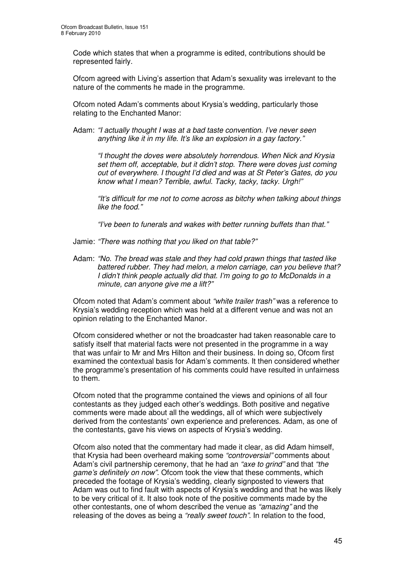Code which states that when a programme is edited, contributions should be represented fairly.

Ofcom agreed with Living's assertion that Adam's sexuality was irrelevant to the nature of the comments he made in the programme.

Ofcom noted Adam's comments about Krysia's wedding, particularly those relating to the Enchanted Manor:

Adam: *"I actually thought I was at a bad taste convention. I've never seen anything like it in my life. It's like an explosion in a gay factory."*

*"I thought the doves were absolutely horrendous. When Nick and Krysia set them off, acceptable, but it didn't stop. There were doves just coming out of everywhere. I thought I'd died and was at St Peter's Gates, do you know what I mean? Terrible, awful. Tacky, tacky, tacky. Urgh!"*

*"It's difficult for me not to come across as bitchy when talking about things like the food*.*"*

*"I've been to funerals and wakes with better running buffets than that."*

- Jamie: *"There was nothing that you liked on that table?"*
- Adam: *"No. The bread was stale and they had cold prawn things that tasted like battered rubber. They had melon, a melon carriage, can you believe that? I didn't think people actually did that. I'm going to go to McDonalds in a minute, can anyone give me a lift?"*

Ofcom noted that Adam's comment about *"white trailer trash"* was a reference to Krysia's wedding reception which was held at a different venue and was not an opinion relating to the Enchanted Manor.

Ofcom considered whether or not the broadcaster had taken reasonable care to satisfy itself that material facts were not presented in the programme in a way that was unfair to Mr and Mrs Hilton and their business. In doing so, Ofcom first examined the contextual basis for Adam's comments. It then considered whether the programme's presentation of his comments could have resulted in unfairness to them.

Ofcom noted that the programme contained the views and opinions of all four contestants as they judged each other's weddings. Both positive and negative comments were made about all the weddings, all of which were subjectively derived from the contestants' own experience and preferences. Adam, as one of the contestants, gave his views on aspects of Krysia's wedding.

Ofcom also noted that the commentary had made it clear, as did Adam himself, that Krysia had been overheard making some *"controversial"* comments about Adam's civil partnership ceremony, that he had an *"axe to grind"* and that *"the game's definitely on now"*. Ofcom took the view that these comments, which preceded the footage of Krysia's wedding, clearly signposted to viewers that Adam was out to find fault with aspects of Krysia's wedding and that he was likely to be very critical of it. It also took note of the positive comments made by the other contestants, one of whom described the venue as *"amazing"* and the releasing of the doves as being a *"really sweet touch"*. In relation to the food,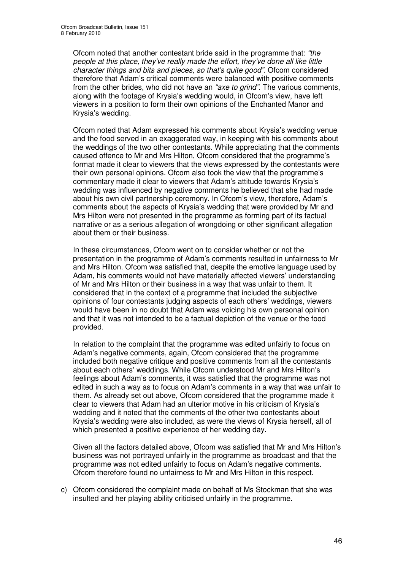Ofcom noted that another contestant bride said in the programme that: *"the people at this place, they've really made the effort, they've done all like little character things and bits and pieces, so that's quite good"*. Ofcom considered therefore that Adam's critical comments were balanced with positive comments from the other brides, who did not have an *"axe to grind"*. The various comments, along with the footage of Krysia's wedding would, in Ofcom's view, have left viewers in a position to form their own opinions of the Enchanted Manor and Krysia's wedding.

Ofcom noted that Adam expressed his comments about Krysia's wedding venue and the food served in an exaggerated way, in keeping with his comments about the weddings of the two other contestants. While appreciating that the comments caused offence to Mr and Mrs Hilton, Ofcom considered that the programme's format made it clear to viewers that the views expressed by the contestants were their own personal opinions. Ofcom also took the view that the programme's commentary made it clear to viewers that Adam's attitude towards Krysia's wedding was influenced by negative comments he believed that she had made about his own civil partnership ceremony. In Ofcom's view, therefore, Adam's comments about the aspects of Krysia's wedding that were provided by Mr and Mrs Hilton were not presented in the programme as forming part of its factual narrative or as a serious allegation of wrongdoing or other significant allegation about them or their business.

In these circumstances, Ofcom went on to consider whether or not the presentation in the programme of Adam's comments resulted in unfairness to Mr and Mrs Hilton. Ofcom was satisfied that, despite the emotive language used by Adam, his comments would not have materially affected viewers' understanding of Mr and Mrs Hilton or their business in a way that was unfair to them. It considered that in the context of a programme that included the subjective opinions of four contestants judging aspects of each others' weddings, viewers would have been in no doubt that Adam was voicing his own personal opinion and that it was not intended to be a factual depiction of the venue or the food provided.

In relation to the complaint that the programme was edited unfairly to focus on Adam's negative comments, again, Ofcom considered that the programme included both negative critique and positive comments from all the contestants about each others' weddings. While Ofcom understood Mr and Mrs Hilton's feelings about Adam's comments, it was satisfied that the programme was not edited in such a way as to focus on Adam's comments in a way that was unfair to them. As already set out above, Ofcom considered that the programme made it clear to viewers that Adam had an ulterior motive in his criticism of Krysia's wedding and it noted that the comments of the other two contestants about Krysia's wedding were also included, as were the views of Krysia herself, all of which presented a positive experience of her wedding day.

Given all the factors detailed above, Ofcom was satisfied that Mr and Mrs Hilton's business was not portrayed unfairly in the programme as broadcast and that the programme was not edited unfairly to focus on Adam's negative comments. Ofcom therefore found no unfairness to Mr and Mrs Hilton in this respect.

c) Ofcom considered the complaint made on behalf of Ms Stockman that she was insulted and her playing ability criticised unfairly in the programme.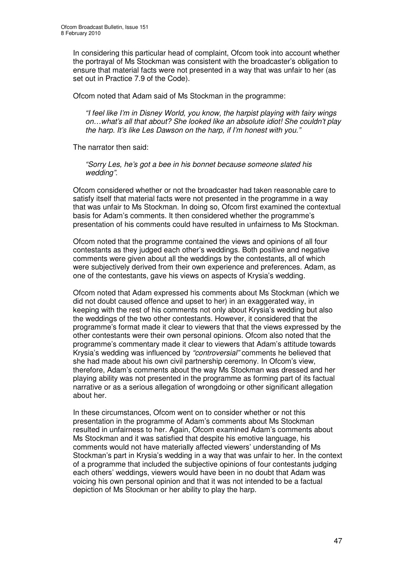In considering this particular head of complaint, Ofcom took into account whether the portrayal of Ms Stockman was consistent with the broadcaster's obligation to ensure that material facts were not presented in a way that was unfair to her (as set out in Practice 7.9 of the Code).

Ofcom noted that Adam said of Ms Stockman in the programme:

*"I feel like I'm in Disney World, you know, the harpist playing with fairy wings on…what's all that about? She looked like an absolute idiot! She couldn't play the harp. It's like Les Dawson on the harp, if I'm honest with you."*

The narrator then said:

*"Sorry Les, he's got a bee in his bonnet because someone slated his wedding"*.

Ofcom considered whether or not the broadcaster had taken reasonable care to satisfy itself that material facts were not presented in the programme in a way that was unfair to Ms Stockman. In doing so, Ofcom first examined the contextual basis for Adam's comments. It then considered whether the programme's presentation of his comments could have resulted in unfairness to Ms Stockman.

Ofcom noted that the programme contained the views and opinions of all four contestants as they judged each other's weddings. Both positive and negative comments were given about all the weddings by the contestants, all of which were subjectively derived from their own experience and preferences. Adam, as one of the contestants, gave his views on aspects of Krysia's wedding.

Ofcom noted that Adam expressed his comments about Ms Stockman (which we did not doubt caused offence and upset to her) in an exaggerated way, in keeping with the rest of his comments not only about Krysia's wedding but also the weddings of the two other contestants. However, it considered that the programme's format made it clear to viewers that that the views expressed by the other contestants were their own personal opinions. Ofcom also noted that the programme's commentary made it clear to viewers that Adam's attitude towards Krysia's wedding was influenced by *"controversial"* comments he believed that she had made about his own civil partnership ceremony. In Ofcom's view, therefore, Adam's comments about the way Ms Stockman was dressed and her playing ability was not presented in the programme as forming part of its factual narrative or as a serious allegation of wrongdoing or other significant allegation about her.

In these circumstances, Ofcom went on to consider whether or not this presentation in the programme of Adam's comments about Ms Stockman resulted in unfairness to her. Again, Ofcom examined Adam's comments about Ms Stockman and it was satisfied that despite his emotive language, his comments would not have materially affected viewers' understanding of Ms Stockman's part in Krysia's wedding in a way that was unfair to her. In the context of a programme that included the subjective opinions of four contestants judging each others' weddings, viewers would have been in no doubt that Adam was voicing his own personal opinion and that it was not intended to be a factual depiction of Ms Stockman or her ability to play the harp.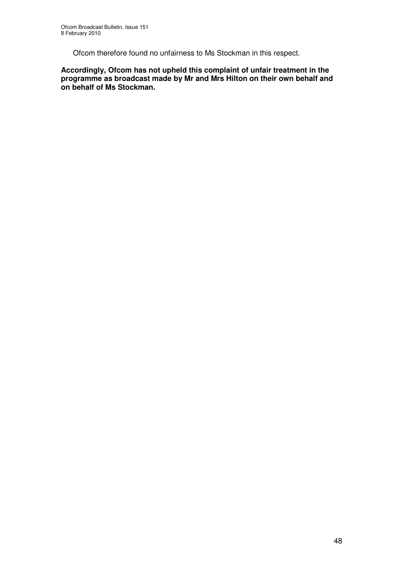Ofcom therefore found no unfairness to Ms Stockman in this respect.

**Accordingly, Ofcom has not upheld this complaint of unfair treatment in the programme as broadcast made by Mr and Mrs Hilton on their own behalf and on behalf of Ms Stockman.**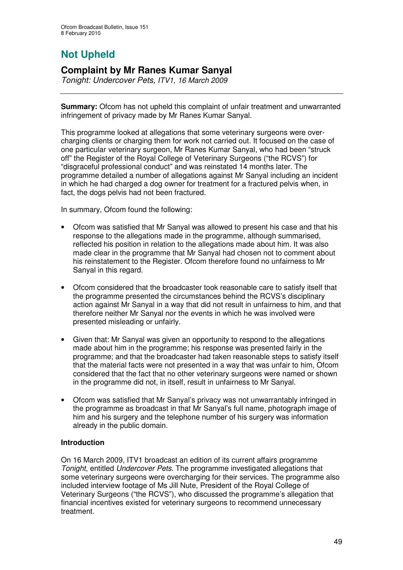# **Not Upheld**

## **Complaint by Mr Ranes Kumar Sanyal**

*Tonight: Undercover Pets, ITV1, 16 March 2009*

**Summary:** Ofcom has not upheld this complaint of unfair treatment and unwarranted infringement of privacy made by Mr Ranes Kumar Sanyal.

This programme looked at allegations that some veterinary surgeons were overcharging clients or charging them for work not carried out. It focused on the case of one particular veterinary surgeon, Mr Ranes Kumar Sanyal, who had been "struck off" the Register of the Royal College of Veterinary Surgeons ("the RCVS") for "disgraceful professional conduct" and was reinstated 14 months later. The programme detailed a number of allegations against Mr Sanyal including an incident in which he had charged a dog owner for treatment for a fractured pelvis when, in fact, the dogs pelvis had not been fractured.

In summary, Ofcom found the following:

- Ofcom was satisfied that Mr Sanyal was allowed to present his case and that his response to the allegations made in the programme, although summarised, reflected his position in relation to the allegations made about him. It was also made clear in the programme that Mr Sanyal had chosen not to comment about his reinstatement to the Register. Ofcom therefore found no unfairness to Mr Sanyal in this regard.
- Ofcom considered that the broadcaster took reasonable care to satisfy itself that the programme presented the circumstances behind the RCVS's disciplinary action against Mr Sanyal in a way that did not result in unfairness to him, and that therefore neither Mr Sanyal nor the events in which he was involved were presented misleading or unfairly.
- Given that: Mr Sanyal was given an opportunity to respond to the allegations made about him in the programme; his response was presented fairly in the programme; and that the broadcaster had taken reasonable steps to satisfy itself that the material facts were not presented in a way that was unfair to him, Ofcom considered that the fact that no other veterinary surgeons were named or shown in the programme did not, in itself, result in unfairness to Mr Sanyal.
- Ofcom was satisfied that Mr Sanyal's privacy was not unwarrantably infringed in the programme as broadcast in that Mr Sanyal's full name, photograph image of him and his surgery and the telephone number of his surgery was information already in the public domain.

### **Introduction**

On 16 March 2009, ITV1 broadcast an edition of its current affairs programme *Tonight,* entitled *Undercover Pets*. The programme investigated allegations that some veterinary surgeons were overcharging for their services. The programme also included interview footage of Ms Jill Nute, President of the Royal College of Veterinary Surgeons ("the RCVS"), who discussed the programme's allegation that financial incentives existed for veterinary surgeons to recommend unnecessary treatment.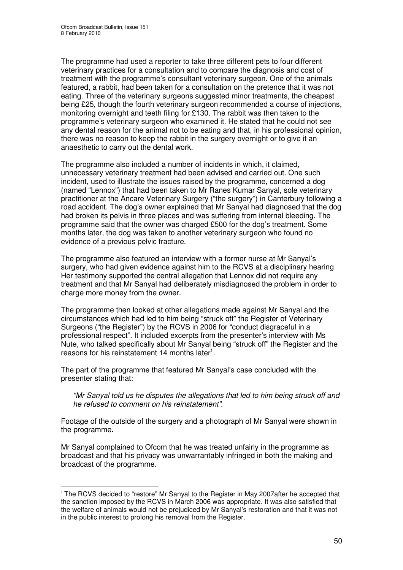The programme had used a reporter to take three different pets to four different veterinary practices for a consultation and to compare the diagnosis and cost of treatment with the programme's consultant veterinary surgeon. One of the animals featured, a rabbit, had been taken for a consultation on the pretence that it was not eating. Three of the veterinary surgeons suggested minor treatments, the cheapest being £25, though the fourth veterinary surgeon recommended a course of injections, monitoring overnight and teeth filing for £130. The rabbit was then taken to the programme's veterinary surgeon who examined it. He stated that he could not see any dental reason for the animal not to be eating and that, in his professional opinion, there was no reason to keep the rabbit in the surgery overnight or to give it an anaesthetic to carry out the dental work.

The programme also included a number of incidents in which, it claimed, unnecessary veterinary treatment had been advised and carried out. One such incident, used to illustrate the issues raised by the programme, concerned a dog (named "Lennox") that had been taken to Mr Ranes Kumar Sanyal, sole veterinary practitioner at the Ancare Veterinary Surgery ("the surgery") in Canterbury following a road accident. The dog's owner explained that Mr Sanyal had diagnosed that the dog had broken its pelvis in three places and was suffering from internal bleeding. The programme said that the owner was charged £500 for the dog's treatment. Some months later, the dog was taken to another veterinary surgeon who found no evidence of a previous pelvic fracture.

The programme also featured an interview with a former nurse at Mr Sanyal's surgery, who had given evidence against him to the RCVS at a disciplinary hearing. Her testimony supported the central allegation that Lennox did not require any treatment and that Mr Sanyal had deliberately misdiagnosed the problem in order to charge more money from the owner.

The programme then looked at other allegations made against Mr Sanyal and the circumstances which had led to him being "struck off" the Register of Veterinary Surgeons ("the Register") by the RCVS in 2006 for "conduct disgraceful in a professional respect". It included excerpts from the presenter's interview with Ms Nute, who talked specifically about Mr Sanyal being "struck off" the Register and the reasons for his reinstatement 14 months later<sup>1</sup>.

The part of the programme that featured Mr Sanyal's case concluded with the presenter stating that:

*"Mr Sanyal told us he disputes the allegations that led to him being struck off and he refused to comment on his reinstatement"*.

Footage of the outside of the surgery and a photograph of Mr Sanyal were shown in the programme.

Mr Sanyal complained to Ofcom that he was treated unfairly in the programme as broadcast and that his privacy was unwarrantably infringed in both the making and broadcast of the programme.

<sup>&</sup>lt;sup>1</sup> The RCVS decided to "restore" Mr Sanyal to the Register in May 2007after he accepted that the sanction imposed by the RCVS in March 2006 was appropriate. It was also satisfied that the welfare of animals would not be prejudiced by Mr Sanyal's restoration and that it was not in the public interest to prolong his removal from the Register.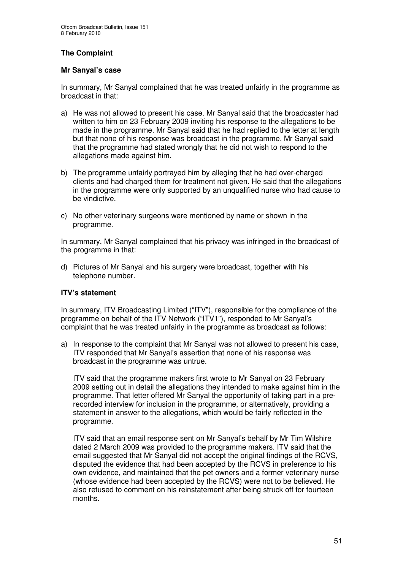### **The Complaint**

### **Mr Sanyal's case**

In summary, Mr Sanyal complained that he was treated unfairly in the programme as broadcast in that:

- a) He was not allowed to present his case. Mr Sanyal said that the broadcaster had written to him on 23 February 2009 inviting his response to the allegations to be made in the programme. Mr Sanyal said that he had replied to the letter at length but that none of his response was broadcast in the programme. Mr Sanyal said that the programme had stated wrongly that he did not wish to respond to the allegations made against him.
- b) The programme unfairly portrayed him by alleging that he had over-charged clients and had charged them for treatment not given. He said that the allegations in the programme were only supported by an unqualified nurse who had cause to be vindictive.
- c) No other veterinary surgeons were mentioned by name or shown in the programme.

In summary, Mr Sanyal complained that his privacy was infringed in the broadcast of the programme in that:

d) Pictures of Mr Sanyal and his surgery were broadcast, together with his telephone number.

### **ITV's statement**

In summary, ITV Broadcasting Limited ("ITV"), responsible for the compliance of the programme on behalf of the ITV Network ("ITV1"), responded to Mr Sanyal's complaint that he was treated unfairly in the programme as broadcast as follows:

a) In response to the complaint that Mr Sanyal was not allowed to present his case, ITV responded that Mr Sanyal's assertion that none of his response was broadcast in the programme was untrue.

ITV said that the programme makers first wrote to Mr Sanyal on 23 February 2009 setting out in detail the allegations they intended to make against him in the programme. That letter offered Mr Sanyal the opportunity of taking part in a prerecorded interview for inclusion in the programme, or alternatively, providing a statement in answer to the allegations, which would be fairly reflected in the programme.

ITV said that an email response sent on Mr Sanyal's behalf by Mr Tim Wilshire dated 2 March 2009 was provided to the programme makers. ITV said that the email suggested that Mr Sanyal did not accept the original findings of the RCVS, disputed the evidence that had been accepted by the RCVS in preference to his own evidence, and maintained that the pet owners and a former veterinary nurse (whose evidence had been accepted by the RCVS) were not to be believed. He also refused to comment on his reinstatement after being struck off for fourteen months.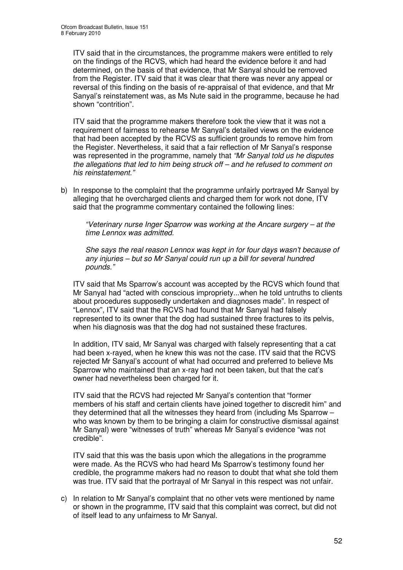ITV said that in the circumstances, the programme makers were entitled to rely on the findings of the RCVS, which had heard the evidence before it and had determined, on the basis of that evidence, that Mr Sanyal should be removed from the Register. ITV said that it was clear that there was never any appeal or reversal of this finding on the basis of re-appraisal of that evidence, and that Mr Sanyal's reinstatement was, as Ms Nute said in the programme, because he had shown "contrition".

ITV said that the programme makers therefore took the view that it was not a requirement of fairness to rehearse Mr Sanyal's detailed views on the evidence that had been accepted by the RCVS as sufficient grounds to remove him from the Register. Nevertheless, it said that a fair reflection of Mr Sanyal's response was represented in the programme, namely that *"Mr Sanyal told us he disputes the allegations that led to him being struck off – and he refused to comment on his reinstatement."*

b) In response to the complaint that the programme unfairly portrayed Mr Sanyal by alleging that he overcharged clients and charged them for work not done, ITV said that the programme commentary contained the following lines:

*"Veterinary nurse Inger Sparrow was working at the Ancare surgery – at the time Lennox was admitted.*

*She says the real reason Lennox was kept in for four days wasn't because of any injuries – but so Mr Sanyal could run up a bill for several hundred pounds."*

ITV said that Ms Sparrow's account was accepted by the RCVS which found that Mr Sanyal had "acted with conscious impropriety...when he told untruths to clients about procedures supposedly undertaken and diagnoses made". In respect of "Lennox", ITV said that the RCVS had found that Mr Sanyal had falsely represented to its owner that the dog had sustained three fractures to its pelvis, when his diagnosis was that the dog had not sustained these fractures.

In addition, ITV said, Mr Sanyal was charged with falsely representing that a cat had been x-rayed, when he knew this was not the case. ITV said that the RCVS rejected Mr Sanyal's account of what had occurred and preferred to believe Ms Sparrow who maintained that an x-ray had not been taken, but that the cat's owner had nevertheless been charged for it.

ITV said that the RCVS had rejected Mr Sanyal's contention that "former members of his staff and certain clients have joined together to discredit him" and they determined that all the witnesses they heard from (including Ms Sparrow – who was known by them to be bringing a claim for constructive dismissal against Mr Sanyal) were "witnesses of truth" whereas Mr Sanyal's evidence "was not credible".

ITV said that this was the basis upon which the allegations in the programme were made. As the RCVS who had heard Ms Sparrow's testimony found her credible, the programme makers had no reason to doubt that what she told them was true. ITV said that the portrayal of Mr Sanyal in this respect was not unfair.

c) In relation to Mr Sanyal's complaint that no other vets were mentioned by name or shown in the programme, ITV said that this complaint was correct, but did not of itself lead to any unfairness to Mr Sanyal.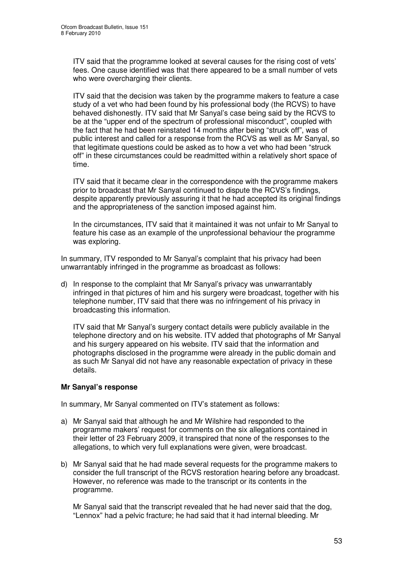ITV said that the programme looked at several causes for the rising cost of vets' fees. One cause identified was that there appeared to be a small number of vets who were overcharging their clients.

ITV said that the decision was taken by the programme makers to feature a case study of a vet who had been found by his professional body (the RCVS) to have behaved dishonestly. ITV said that Mr Sanyal's case being said by the RCVS to be at the "upper end of the spectrum of professional misconduct", coupled with the fact that he had been reinstated 14 months after being "struck off", was of public interest and called for a response from the RCVS as well as Mr Sanyal, so that legitimate questions could be asked as to how a vet who had been "struck off" in these circumstances could be readmitted within a relatively short space of time.

ITV said that it became clear in the correspondence with the programme makers prior to broadcast that Mr Sanyal continued to dispute the RCVS's findings, despite apparently previously assuring it that he had accepted its original findings and the appropriateness of the sanction imposed against him.

In the circumstances, ITV said that it maintained it was not unfair to Mr Sanyal to feature his case as an example of the unprofessional behaviour the programme was exploring.

In summary, ITV responded to Mr Sanyal's complaint that his privacy had been unwarrantably infringed in the programme as broadcast as follows:

d) In response to the complaint that Mr Sanyal's privacy was unwarrantably infringed in that pictures of him and his surgery were broadcast, together with his telephone number, ITV said that there was no infringement of his privacy in broadcasting this information.

ITV said that Mr Sanyal's surgery contact details were publicly available in the telephone directory and on his website. ITV added that photographs of Mr Sanyal and his surgery appeared on his website. ITV said that the information and photographs disclosed in the programme were already in the public domain and as such Mr Sanyal did not have any reasonable expectation of privacy in these details.

### **Mr Sanyal's response**

In summary, Mr Sanyal commented on ITV's statement as follows:

- a) Mr Sanyal said that although he and Mr Wilshire had responded to the programme makers' request for comments on the six allegations contained in their letter of 23 February 2009, it transpired that none of the responses to the allegations, to which very full explanations were given, were broadcast.
- b) Mr Sanyal said that he had made several requests for the programme makers to consider the full transcript of the RCVS restoration hearing before any broadcast. However, no reference was made to the transcript or its contents in the programme.

Mr Sanyal said that the transcript revealed that he had never said that the dog, "Lennox" had a pelvic fracture; he had said that it had internal bleeding. Mr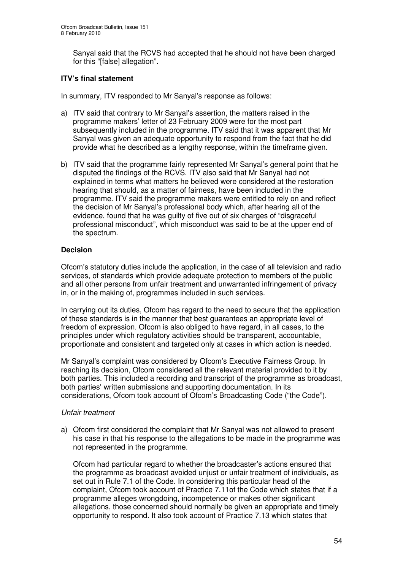Sanyal said that the RCVS had accepted that he should not have been charged for this "[false] allegation".

### **ITV's final statement**

In summary, ITV responded to Mr Sanyal's response as follows:

- a) ITV said that contrary to Mr Sanyal's assertion, the matters raised in the programme makers' letter of 23 February 2009 were for the most part subsequently included in the programme. ITV said that it was apparent that Mr Sanyal was given an adequate opportunity to respond from the fact that he did provide what he described as a lengthy response, within the timeframe given.
- b) ITV said that the programme fairly represented Mr Sanyal's general point that he disputed the findings of the RCVS. ITV also said that Mr Sanyal had not explained in terms what matters he believed were considered at the restoration hearing that should, as a matter of fairness, have been included in the programme. ITV said the programme makers were entitled to rely on and reflect the decision of Mr Sanyal's professional body which, after hearing all of the evidence, found that he was guilty of five out of six charges of "disgraceful professional misconduct", which misconduct was said to be at the upper end of the spectrum.

### **Decision**

Ofcom's statutory duties include the application, in the case of all television and radio services, of standards which provide adequate protection to members of the public and all other persons from unfair treatment and unwarranted infringement of privacy in, or in the making of, programmes included in such services.

In carrying out its duties, Ofcom has regard to the need to secure that the application of these standards is in the manner that best guarantees an appropriate level of freedom of expression. Ofcom is also obliged to have regard, in all cases, to the principles under which regulatory activities should be transparent, accountable, proportionate and consistent and targeted only at cases in which action is needed.

Mr Sanyal's complaint was considered by Ofcom's Executive Fairness Group. In reaching its decision, Ofcom considered all the relevant material provided to it by both parties. This included a recording and transcript of the programme as broadcast, both parties' written submissions and supporting documentation. In its considerations, Ofcom took account of Ofcom's Broadcasting Code ("the Code").

### *Unfair treatment*

a) Ofcom first considered the complaint that Mr Sanyal was not allowed to present his case in that his response to the allegations to be made in the programme was not represented in the programme.

Ofcom had particular regard to whether the broadcaster's actions ensured that the programme as broadcast avoided unjust or unfair treatment of individuals, as set out in Rule 7.1 of the Code. In considering this particular head of the complaint, Ofcom took account of Practice 7.11of the Code which states that if a programme alleges wrongdoing, incompetence or makes other significant allegations, those concerned should normally be given an appropriate and timely opportunity to respond. It also took account of Practice 7.13 which states that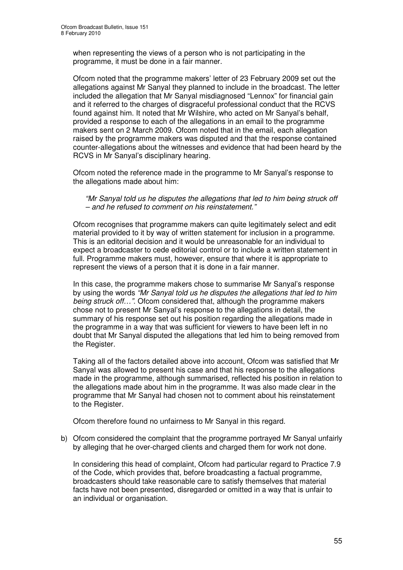when representing the views of a person who is not participating in the programme, it must be done in a fair manner.

Ofcom noted that the programme makers' letter of 23 February 2009 set out the allegations against Mr Sanyal they planned to include in the broadcast. The letter included the allegation that Mr Sanyal misdiagnosed "Lennox" for financial gain and it referred to the charges of disgraceful professional conduct that the RCVS found against him. It noted that Mr Wilshire, who acted on Mr Sanyal's behalf, provided a response to each of the allegations in an email to the programme makers sent on 2 March 2009. Ofcom noted that in the email, each allegation raised by the programme makers was disputed and that the response contained counter-allegations about the witnesses and evidence that had been heard by the RCVS in Mr Sanyal's disciplinary hearing.

Ofcom noted the reference made in the programme to Mr Sanyal's response to the allegations made about him:

*"Mr Sanyal told us he disputes the allegations that led to him being struck off – and he refused to comment on his reinstatement."*

Ofcom recognises that programme makers can quite legitimately select and edit material provided to it by way of written statement for inclusion in a programme. This is an editorial decision and it would be unreasonable for an individual to expect a broadcaster to cede editorial control or to include a written statement in full. Programme makers must, however, ensure that where it is appropriate to represent the views of a person that it is done in a fair manner.

In this case, the programme makers chose to summarise Mr Sanyal's response by using the words *"Mr Sanyal told us he disputes the allegations that led to him being struck off…"*. Ofcom considered that, although the programme makers chose not to present Mr Sanyal's response to the allegations in detail, the summary of his response set out his position regarding the allegations made in the programme in a way that was sufficient for viewers to have been left in no doubt that Mr Sanyal disputed the allegations that led him to being removed from the Register.

Taking all of the factors detailed above into account, Ofcom was satisfied that Mr Sanyal was allowed to present his case and that his response to the allegations made in the programme, although summarised, reflected his position in relation to the allegations made about him in the programme. It was also made clear in the programme that Mr Sanyal had chosen not to comment about his reinstatement to the Register.

Ofcom therefore found no unfairness to Mr Sanyal in this regard.

b) Ofcom considered the complaint that the programme portrayed Mr Sanyal unfairly by alleging that he over-charged clients and charged them for work not done.

In considering this head of complaint, Ofcom had particular regard to Practice 7.9 of the Code, which provides that, before broadcasting a factual programme, broadcasters should take reasonable care to satisfy themselves that material facts have not been presented, disregarded or omitted in a way that is unfair to an individual or organisation.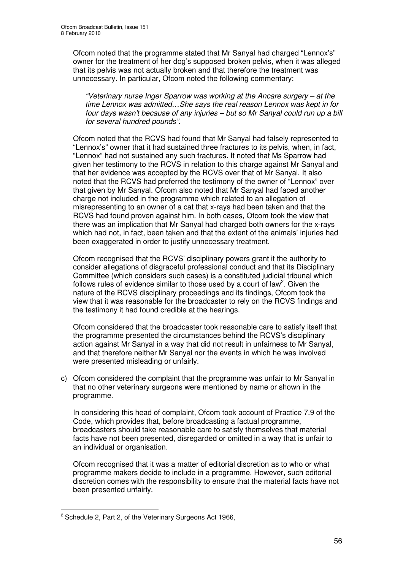Ofcom noted that the programme stated that Mr Sanyal had charged "Lennox's" owner for the treatment of her dog's supposed broken pelvis, when it was alleged that its pelvis was not actually broken and that therefore the treatment was unnecessary. In particular, Ofcom noted the following commentary:

*"Veterinary nurse Inger Sparrow was working at the Ancare surgery – at the time Lennox was admitted…She says the real reason Lennox was kept in for four days wasn't because of any injuries – but so Mr Sanyal could run up a bill for several hundred pounds".*

Ofcom noted that the RCVS had found that Mr Sanyal had falsely represented to "Lennox's" owner that it had sustained three fractures to its pelvis, when, in fact, "Lennox" had not sustained any such fractures. It noted that Ms Sparrow had given her testimony to the RCVS in relation to this charge against Mr Sanyal and that her evidence was accepted by the RCVS over that of Mr Sanyal. It also noted that the RCVS had preferred the testimony of the owner of "Lennox" over that given by Mr Sanyal. Ofcom also noted that Mr Sanyal had faced another charge not included in the programme which related to an allegation of misrepresenting to an owner of a cat that x-rays had been taken and that the RCVS had found proven against him. In both cases, Ofcom took the view that there was an implication that Mr Sanyal had charged both owners for the x-rays which had not, in fact, been taken and that the extent of the animals' injuries had been exaggerated in order to justify unnecessary treatment.

Ofcom recognised that the RCVS' disciplinary powers grant it the authority to consider allegations of disgraceful professional conduct and that its Disciplinary Committee (which considers such cases) is a constituted judicial tribunal which follows rules of evidence similar to those used by a court of law<sup>2</sup>. Given the nature of the RCVS disciplinary proceedings and its findings, Ofcom took the view that it was reasonable for the broadcaster to rely on the RCVS findings and the testimony it had found credible at the hearings.

Ofcom considered that the broadcaster took reasonable care to satisfy itself that the programme presented the circumstances behind the RCVS's disciplinary action against Mr Sanyal in a way that did not result in unfairness to Mr Sanyal, and that therefore neither Mr Sanyal nor the events in which he was involved were presented misleading or unfairly.

c) Ofcom considered the complaint that the programme was unfair to Mr Sanyal in that no other veterinary surgeons were mentioned by name or shown in the programme.

In considering this head of complaint, Ofcom took account of Practice 7.9 of the Code, which provides that, before broadcasting a factual programme, broadcasters should take reasonable care to satisfy themselves that material facts have not been presented, disregarded or omitted in a way that is unfair to an individual or organisation.

Ofcom recognised that it was a matter of editorial discretion as to who or what programme makers decide to include in a programme. However, such editorial discretion comes with the responsibility to ensure that the material facts have not been presented unfairly.

 $2$  Schedule 2, Part 2, of the Veterinary Surgeons Act 1966,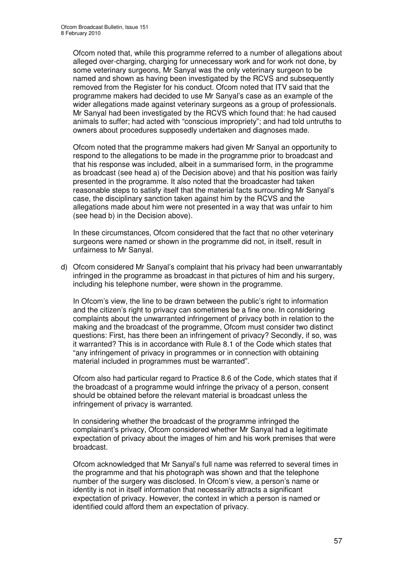Ofcom noted that, while this programme referred to a number of allegations about alleged over-charging, charging for unnecessary work and for work not done, by some veterinary surgeons, Mr Sanyal was the only veterinary surgeon to be named and shown as having been investigated by the RCVS and subsequently removed from the Register for his conduct. Ofcom noted that ITV said that the programme makers had decided to use Mr Sanyal's case as an example of the wider allegations made against veterinary surgeons as a group of professionals. Mr Sanyal had been investigated by the RCVS which found that: he had caused animals to suffer; had acted with "conscious impropriety"; and had told untruths to owners about procedures supposedly undertaken and diagnoses made.

Ofcom noted that the programme makers had given Mr Sanyal an opportunity to respond to the allegations to be made in the programme prior to broadcast and that his response was included, albeit in a summarised form, in the programme as broadcast (see head a) of the Decision above) and that his position was fairly presented in the programme. It also noted that the broadcaster had taken reasonable steps to satisfy itself that the material facts surrounding Mr Sanyal's case, the disciplinary sanction taken against him by the RCVS and the allegations made about him were not presented in a way that was unfair to him (see head b) in the Decision above).

In these circumstances, Ofcom considered that the fact that no other veterinary surgeons were named or shown in the programme did not, in itself, result in unfairness to Mr Sanyal.

d) Ofcom considered Mr Sanyal's complaint that his privacy had been unwarrantably infringed in the programme as broadcast in that pictures of him and his surgery, including his telephone number, were shown in the programme.

In Ofcom's view, the line to be drawn between the public's right to information and the citizen's right to privacy can sometimes be a fine one. In considering complaints about the unwarranted infringement of privacy both in relation to the making and the broadcast of the programme, Ofcom must consider two distinct questions: First, has there been an infringement of privacy? Secondly, if so, was it warranted? This is in accordance with Rule 8.1 of the Code which states that "any infringement of privacy in programmes or in connection with obtaining material included in programmes must be warranted".

Ofcom also had particular regard to Practice 8.6 of the Code, which states that if the broadcast of a programme would infringe the privacy of a person, consent should be obtained before the relevant material is broadcast unless the infringement of privacy is warranted.

In considering whether the broadcast of the programme infringed the complainant's privacy, Ofcom considered whether Mr Sanyal had a legitimate expectation of privacy about the images of him and his work premises that were broadcast.

Ofcom acknowledged that Mr Sanyal's full name was referred to several times in the programme and that his photograph was shown and that the telephone number of the surgery was disclosed. In Ofcom's view, a person's name or identity is not in itself information that necessarily attracts a significant expectation of privacy. However, the context in which a person is named or identified could afford them an expectation of privacy.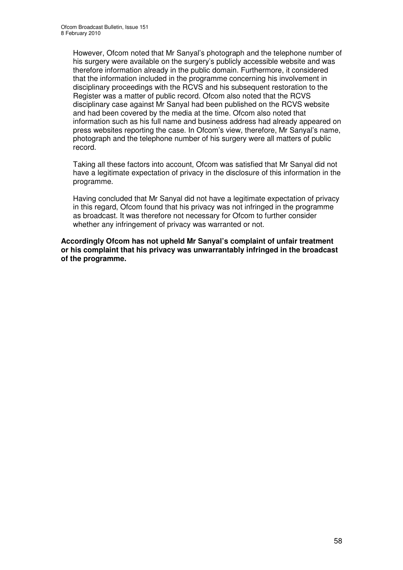However, Ofcom noted that Mr Sanyal's photograph and the telephone number of his surgery were available on the surgery's publicly accessible website and was therefore information already in the public domain. Furthermore, it considered that the information included in the programme concerning his involvement in disciplinary proceedings with the RCVS and his subsequent restoration to the Register was a matter of public record. Ofcom also noted that the RCVS disciplinary case against Mr Sanyal had been published on the RCVS website and had been covered by the media at the time. Ofcom also noted that information such as his full name and business address had already appeared on press websites reporting the case. In Ofcom's view, therefore, Mr Sanyal's name, photograph and the telephone number of his surgery were all matters of public record.

Taking all these factors into account, Ofcom was satisfied that Mr Sanyal did not have a legitimate expectation of privacy in the disclosure of this information in the programme.

Having concluded that Mr Sanyal did not have a legitimate expectation of privacy in this regard, Ofcom found that his privacy was not infringed in the programme as broadcast. It was therefore not necessary for Ofcom to further consider whether any infringement of privacy was warranted or not.

**Accordingly Ofcom has not upheld Mr Sanyal's complaint of unfair treatment or his complaint that his privacy was unwarrantably infringed in the broadcast of the programme.**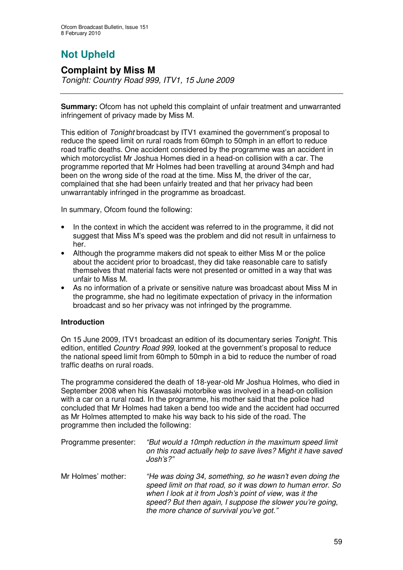# **Not Upheld**

### **Complaint by Miss M**

*Tonight: Country Road 999, ITV1, 15 June 2009*

**Summary:** Ofcom has not upheld this complaint of unfair treatment and unwarranted infringement of privacy made by Miss M.

This edition of *Tonight* broadcast by ITV1 examined the government's proposal to reduce the speed limit on rural roads from 60mph to 50mph in an effort to reduce road traffic deaths. One accident considered by the programme was an accident in which motorcyclist Mr Joshua Homes died in a head-on collision with a car. The programme reported that Mr Holmes had been travelling at around 34mph and had been on the wrong side of the road at the time. Miss M, the driver of the car, complained that she had been unfairly treated and that her privacy had been unwarrantably infringed in the programme as broadcast.

In summary, Ofcom found the following:

- In the context in which the accident was referred to in the programme, it did not suggest that Miss M's speed was the problem and did not result in unfairness to her.
- Although the programme makers did not speak to either Miss M or the police about the accident prior to broadcast, they did take reasonable care to satisfy themselves that material facts were not presented or omitted in a way that was unfair to Miss M.
- As no information of a private or sensitive nature was broadcast about Miss M in the programme, she had no legitimate expectation of privacy in the information broadcast and so her privacy was not infringed by the programme.

### **Introduction**

On 15 June 2009, ITV1 broadcast an edition of its documentary series *Tonight*. This edition, entitled *Country Road 999*, looked at the government's proposal to reduce the national speed limit from 60mph to 50mph in a bid to reduce the number of road traffic deaths on rural roads.

The programme considered the death of 18-year-old Mr Joshua Holmes, who died in September 2008 when his Kawasaki motorbike was involved in a head-on collision with a car on a rural road. In the programme, his mother said that the police had concluded that Mr Holmes had taken a bend too wide and the accident had occurred as Mr Holmes attempted to make his way back to his side of the road. The programme then included the following:

| Programme presenter: | "But would a 10mph reduction in the maximum speed limit<br>on this road actually help to save lives? Might it have saved<br>$J$ osh's?"                                                                                                                                                     |
|----------------------|---------------------------------------------------------------------------------------------------------------------------------------------------------------------------------------------------------------------------------------------------------------------------------------------|
| Mr Holmes' mother:   | "He was doing 34, something, so he wasn't even doing the<br>speed limit on that road, so it was down to human error. So<br>when I look at it from Josh's point of view, was it the<br>speed? But then again, I suppose the slower you're going,<br>the more chance of survival you've got." |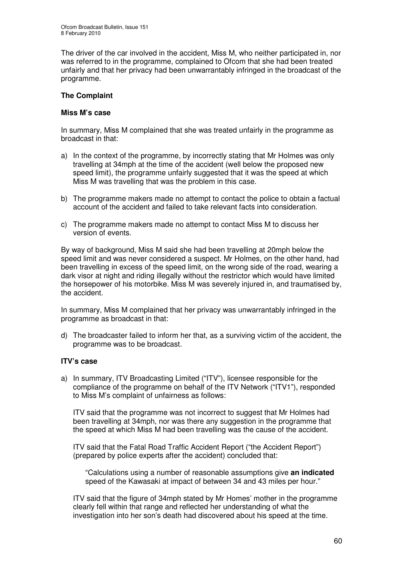The driver of the car involved in the accident, Miss M, who neither participated in, nor was referred to in the programme, complained to Ofcom that she had been treated unfairly and that her privacy had been unwarrantably infringed in the broadcast of the programme.

### **The Complaint**

### **Miss M's case**

In summary, Miss M complained that she was treated unfairly in the programme as broadcast in that:

- a) In the context of the programme, by incorrectly stating that Mr Holmes was only travelling at 34mph at the time of the accident (well below the proposed new speed limit), the programme unfairly suggested that it was the speed at which Miss M was travelling that was the problem in this case.
- b) The programme makers made no attempt to contact the police to obtain a factual account of the accident and failed to take relevant facts into consideration.
- c) The programme makers made no attempt to contact Miss M to discuss her version of events.

By way of background, Miss M said she had been travelling at 20mph below the speed limit and was never considered a suspect. Mr Holmes, on the other hand, had been travelling in excess of the speed limit, on the wrong side of the road, wearing a dark visor at night and riding illegally without the restrictor which would have limited the horsepower of his motorbike. Miss M was severely injured in, and traumatised by, the accident.

In summary, Miss M complained that her privacy was unwarrantably infringed in the programme as broadcast in that:

d) The broadcaster failed to inform her that, as a surviving victim of the accident, the programme was to be broadcast.

### **ITV's case**

a) In summary, ITV Broadcasting Limited ("ITV"), licensee responsible for the compliance of the programme on behalf of the ITV Network ("ITV1"), responded to Miss M's complaint of unfairness as follows:

ITV said that the programme was not incorrect to suggest that Mr Holmes had been travelling at 34mph, nor was there any suggestion in the programme that the speed at which Miss M had been travelling was the cause of the accident.

ITV said that the Fatal Road Traffic Accident Report ("the Accident Report") (prepared by police experts after the accident) concluded that:

"Calculations using a number of reasonable assumptions give **an indicated** speed of the Kawasaki at impact of between 34 and 43 miles per hour."

ITV said that the figure of 34mph stated by Mr Homes' mother in the programme clearly fell within that range and reflected her understanding of what the investigation into her son's death had discovered about his speed at the time.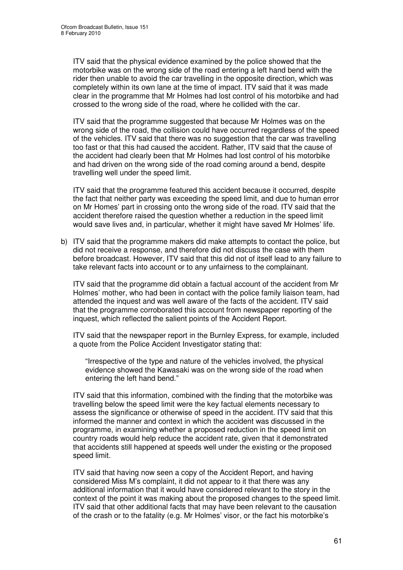ITV said that the physical evidence examined by the police showed that the motorbike was on the wrong side of the road entering a left hand bend with the rider then unable to avoid the car travelling in the opposite direction, which was completely within its own lane at the time of impact. ITV said that it was made clear in the programme that Mr Holmes had lost control of his motorbike and had crossed to the wrong side of the road, where he collided with the car.

ITV said that the programme suggested that because Mr Holmes was on the wrong side of the road, the collision could have occurred regardless of the speed of the vehicles. ITV said that there was no suggestion that the car was travelling too fast or that this had caused the accident. Rather, ITV said that the cause of the accident had clearly been that Mr Holmes had lost control of his motorbike and had driven on the wrong side of the road coming around a bend, despite travelling well under the speed limit.

ITV said that the programme featured this accident because it occurred, despite the fact that neither party was exceeding the speed limit, and due to human error on Mr Homes' part in crossing onto the wrong side of the road. ITV said that the accident therefore raised the question whether a reduction in the speed limit would save lives and, in particular, whether it might have saved Mr Holmes' life.

b) ITV said that the programme makers did make attempts to contact the police, but did not receive a response, and therefore did not discuss the case with them before broadcast. However, ITV said that this did not of itself lead to any failure to take relevant facts into account or to any unfairness to the complainant.

ITV said that the programme did obtain a factual account of the accident from Mr Holmes' mother, who had been in contact with the police family liaison team, had attended the inquest and was well aware of the facts of the accident. ITV said that the programme corroborated this account from newspaper reporting of the inquest, which reflected the salient points of the Accident Report.

ITV said that the newspaper report in the Burnley Express, for example, included a quote from the Police Accident Investigator stating that:

"Irrespective of the type and nature of the vehicles involved, the physical evidence showed the Kawasaki was on the wrong side of the road when entering the left hand bend."

ITV said that this information, combined with the finding that the motorbike was travelling below the speed limit were the key factual elements necessary to assess the significance or otherwise of speed in the accident. ITV said that this informed the manner and context in which the accident was discussed in the programme, in examining whether a proposed reduction in the speed limit on country roads would help reduce the accident rate, given that it demonstrated that accidents still happened at speeds well under the existing or the proposed speed limit.

ITV said that having now seen a copy of the Accident Report, and having considered Miss M's complaint, it did not appear to it that there was any additional information that it would have considered relevant to the story in the context of the point it was making about the proposed changes to the speed limit. ITV said that other additional facts that may have been relevant to the causation of the crash or to the fatality (e.g. Mr Holmes' visor, or the fact his motorbike's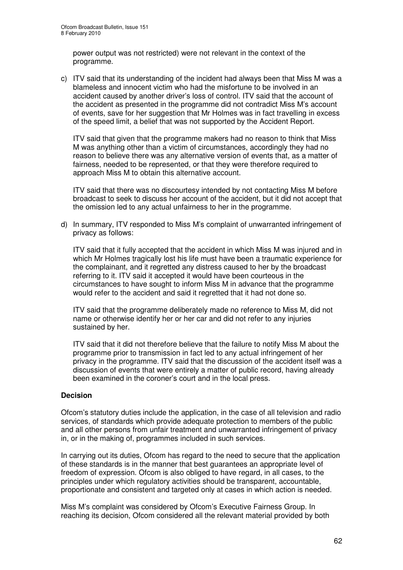power output was not restricted) were not relevant in the context of the programme.

c) ITV said that its understanding of the incident had always been that Miss M was a blameless and innocent victim who had the misfortune to be involved in an accident caused by another driver's loss of control. ITV said that the account of the accident as presented in the programme did not contradict Miss M's account of events, save for her suggestion that Mr Holmes was in fact travelling in excess of the speed limit, a belief that was not supported by the Accident Report.

ITV said that given that the programme makers had no reason to think that Miss M was anything other than a victim of circumstances, accordingly they had no reason to believe there was any alternative version of events that, as a matter of fairness, needed to be represented, or that they were therefore required to approach Miss M to obtain this alternative account.

ITV said that there was no discourtesy intended by not contacting Miss M before broadcast to seek to discuss her account of the accident, but it did not accept that the omission led to any actual unfairness to her in the programme.

d) In summary, ITV responded to Miss M's complaint of unwarranted infringement of privacy as follows:

ITV said that it fully accepted that the accident in which Miss M was injured and in which Mr Holmes tragically lost his life must have been a traumatic experience for the complainant, and it regretted any distress caused to her by the broadcast referring to it. ITV said it accepted it would have been courteous in the circumstances to have sought to inform Miss M in advance that the programme would refer to the accident and said it regretted that it had not done so.

ITV said that the programme deliberately made no reference to Miss M, did not name or otherwise identify her or her car and did not refer to any injuries sustained by her.

ITV said that it did not therefore believe that the failure to notify Miss M about the programme prior to transmission in fact led to any actual infringement of her privacy in the programme. ITV said that the discussion of the accident itself was a discussion of events that were entirely a matter of public record, having already been examined in the coroner's court and in the local press.

### **Decision**

Ofcom's statutory duties include the application, in the case of all television and radio services, of standards which provide adequate protection to members of the public and all other persons from unfair treatment and unwarranted infringement of privacy in, or in the making of, programmes included in such services.

In carrying out its duties, Ofcom has regard to the need to secure that the application of these standards is in the manner that best guarantees an appropriate level of freedom of expression. Ofcom is also obliged to have regard, in all cases, to the principles under which regulatory activities should be transparent, accountable, proportionate and consistent and targeted only at cases in which action is needed.

Miss M's complaint was considered by Ofcom's Executive Fairness Group. In reaching its decision, Ofcom considered all the relevant material provided by both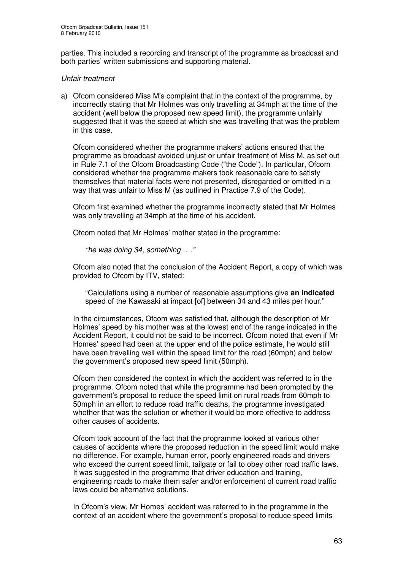parties. This included a recording and transcript of the programme as broadcast and both parties' written submissions and supporting material.

### *Unfair treatment*

a) Ofcom considered Miss M's complaint that in the context of the programme, by incorrectly stating that Mr Holmes was only travelling at 34mph at the time of the accident (well below the proposed new speed limit), the programme unfairly suggested that it was the speed at which she was travelling that was the problem in this case.

Ofcom considered whether the programme makers' actions ensured that the programme as broadcast avoided unjust or unfair treatment of Miss M, as set out in Rule 7.1 of the Ofcom Broadcasting Code ("the Code"). In particular, Ofcom considered whether the programme makers took reasonable care to satisfy themselves that material facts were not presented, disregarded or omitted in a way that was unfair to Miss M (as outlined in Practice 7.9 of the Code).

Ofcom first examined whether the programme incorrectly stated that Mr Holmes was only travelling at 34mph at the time of his accident.

Ofcom noted that Mr Holmes' mother stated in the programme:

*"he was doing 34, something …."*

Ofcom also noted that the conclusion of the Accident Report, a copy of which was provided to Ofcom by ITV, stated:

"Calculations using a number of reasonable assumptions give **an indicated** speed of the Kawasaki at impact [of] between 34 and 43 miles per hour."

In the circumstances, Ofcom was satisfied that, although the description of Mr Holmes' speed by his mother was at the lowest end of the range indicated in the Accident Report, it could not be said to be incorrect. Ofcom noted that even if Mr Homes' speed had been at the upper end of the police estimate, he would still have been travelling well within the speed limit for the road (60mph) and below the government's proposed new speed limit (50mph).

Ofcom then considered the context in which the accident was referred to in the programme. Ofcom noted that while the programme had been prompted by the government's proposal to reduce the speed limit on rural roads from 60mph to 50mph in an effort to reduce road traffic deaths, the programme investigated whether that was the solution or whether it would be more effective to address other causes of accidents.

Ofcom took account of the fact that the programme looked at various other causes of accidents where the proposed reduction in the speed limit would make no difference. For example, human error, poorly engineered roads and drivers who exceed the current speed limit, tailgate or fail to obey other road traffic laws. It was suggested in the programme that driver education and training. engineering roads to make them safer and/or enforcement of current road traffic laws could be alternative solutions.

In Ofcom's view, Mr Homes' accident was referred to in the programme in the context of an accident where the government's proposal to reduce speed limits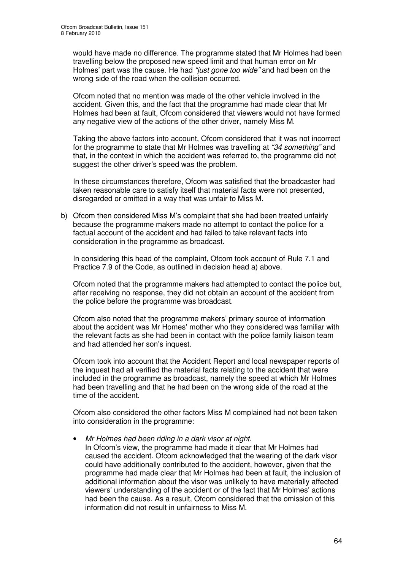would have made no difference. The programme stated that Mr Holmes had been travelling below the proposed new speed limit and that human error on Mr Holmes' part was the cause. He had *"just gone too wide"* and had been on the wrong side of the road when the collision occurred.

Ofcom noted that no mention was made of the other vehicle involved in the accident. Given this, and the fact that the programme had made clear that Mr Holmes had been at fault, Ofcom considered that viewers would not have formed any negative view of the actions of the other driver, namely Miss M.

Taking the above factors into account, Ofcom considered that it was not incorrect for the programme to state that Mr Holmes was travelling at *"34 something"* and that, in the context in which the accident was referred to, the programme did not suggest the other driver's speed was the problem.

In these circumstances therefore, Ofcom was satisfied that the broadcaster had taken reasonable care to satisfy itself that material facts were not presented, disregarded or omitted in a way that was unfair to Miss M.

b) Ofcom then considered Miss M's complaint that she had been treated unfairly because the programme makers made no attempt to contact the police for a factual account of the accident and had failed to take relevant facts into consideration in the programme as broadcast.

In considering this head of the complaint, Ofcom took account of Rule 7.1 and Practice 7.9 of the Code, as outlined in decision head a) above.

Ofcom noted that the programme makers had attempted to contact the police but, after receiving no response, they did not obtain an account of the accident from the police before the programme was broadcast.

Ofcom also noted that the programme makers' primary source of information about the accident was Mr Homes' mother who they considered was familiar with the relevant facts as she had been in contact with the police family liaison team and had attended her son's inquest.

Ofcom took into account that the Accident Report and local newspaper reports of the inquest had all verified the material facts relating to the accident that were included in the programme as broadcast, namely the speed at which Mr Holmes had been travelling and that he had been on the wrong side of the road at the time of the accident.

Ofcom also considered the other factors Miss M complained had not been taken into consideration in the programme:

#### • *Mr Holmes had been riding in a dark visor at night.*

In Ofcom's view, the programme had made it clear that Mr Holmes had caused the accident. Ofcom acknowledged that the wearing of the dark visor could have additionally contributed to the accident, however, given that the programme had made clear that Mr Holmes had been at fault, the inclusion of additional information about the visor was unlikely to have materially affected viewers' understanding of the accident or of the fact that Mr Holmes' actions had been the cause. As a result, Ofcom considered that the omission of this information did not result in unfairness to Miss M.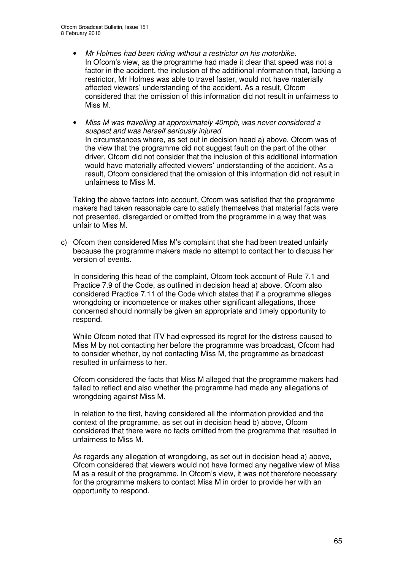- *Mr Holmes had been riding without a restrictor on his motorbike.* In Ofcom's view, as the programme had made it clear that speed was not a factor in the accident, the inclusion of the additional information that, lacking a restrictor, Mr Holmes was able to travel faster, would not have materially affected viewers' understanding of the accident. As a result, Ofcom considered that the omission of this information did not result in unfairness to Miss M.
- *Miss M was travelling at approximately 40mph, was never considered a suspect and was herself seriously injured.* In circumstances where, as set out in decision head a) above, Ofcom was of the view that the programme did not suggest fault on the part of the other driver, Ofcom did not consider that the inclusion of this additional information would have materially affected viewers' understanding of the accident. As a result, Ofcom considered that the omission of this information did not result in unfairness to Miss M.

Taking the above factors into account, Ofcom was satisfied that the programme makers had taken reasonable care to satisfy themselves that material facts were not presented, disregarded or omitted from the programme in a way that was unfair to Miss M.

c) Ofcom then considered Miss M's complaint that she had been treated unfairly because the programme makers made no attempt to contact her to discuss her version of events.

In considering this head of the complaint, Ofcom took account of Rule 7.1 and Practice 7.9 of the Code, as outlined in decision head a) above. Ofcom also considered Practice 7.11 of the Code which states that if a programme alleges wrongdoing or incompetence or makes other significant allegations, those concerned should normally be given an appropriate and timely opportunity to respond.

While Ofcom noted that ITV had expressed its regret for the distress caused to Miss M by not contacting her before the programme was broadcast, Ofcom had to consider whether, by not contacting Miss M, the programme as broadcast resulted in unfairness to her.

Ofcom considered the facts that Miss M alleged that the programme makers had failed to reflect and also whether the programme had made any allegations of wrongdoing against Miss M.

In relation to the first, having considered all the information provided and the context of the programme, as set out in decision head b) above, Ofcom considered that there were no facts omitted from the programme that resulted in unfairness to Miss M.

As regards any allegation of wrongdoing, as set out in decision head a) above, Ofcom considered that viewers would not have formed any negative view of Miss M as a result of the programme. In Ofcom's view, it was not therefore necessary for the programme makers to contact Miss M in order to provide her with an opportunity to respond.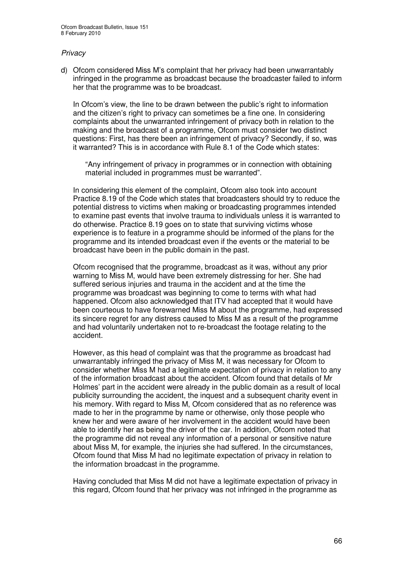### *Privacy*

d) Ofcom considered Miss M's complaint that her privacy had been unwarrantably infringed in the programme as broadcast because the broadcaster failed to inform her that the programme was to be broadcast.

In Ofcom's view, the line to be drawn between the public's right to information and the citizen's right to privacy can sometimes be a fine one. In considering complaints about the unwarranted infringement of privacy both in relation to the making and the broadcast of a programme, Ofcom must consider two distinct questions: First, has there been an infringement of privacy? Secondly, if so, was it warranted? This is in accordance with Rule 8.1 of the Code which states:

"Any infringement of privacy in programmes or in connection with obtaining material included in programmes must be warranted".

In considering this element of the complaint, Ofcom also took into account Practice 8.19 of the Code which states that broadcasters should try to reduce the potential distress to victims when making or broadcasting programmes intended to examine past events that involve trauma to individuals unless it is warranted to do otherwise. Practice 8.19 goes on to state that surviving victims whose experience is to feature in a programme should be informed of the plans for the programme and its intended broadcast even if the events or the material to be broadcast have been in the public domain in the past.

Ofcom recognised that the programme, broadcast as it was, without any prior warning to Miss M, would have been extremely distressing for her. She had suffered serious injuries and trauma in the accident and at the time the programme was broadcast was beginning to come to terms with what had happened. Ofcom also acknowledged that ITV had accepted that it would have been courteous to have forewarned Miss M about the programme, had expressed its sincere regret for any distress caused to Miss M as a result of the programme and had voluntarily undertaken not to re-broadcast the footage relating to the accident.

However, as this head of complaint was that the programme as broadcast had unwarrantably infringed the privacy of Miss M, it was necessary for Ofcom to consider whether Miss M had a legitimate expectation of privacy in relation to any of the information broadcast about the accident. Ofcom found that details of Mr Holmes' part in the accident were already in the public domain as a result of local publicity surrounding the accident, the inquest and a subsequent charity event in his memory. With regard to Miss M, Ofcom considered that as no reference was made to her in the programme by name or otherwise, only those people who knew her and were aware of her involvement in the accident would have been able to identify her as being the driver of the car. In addition, Ofcom noted that the programme did not reveal any information of a personal or sensitive nature about Miss M, for example, the injuries she had suffered. In the circumstances, Ofcom found that Miss M had no legitimate expectation of privacy in relation to the information broadcast in the programme.

Having concluded that Miss M did not have a legitimate expectation of privacy in this regard, Ofcom found that her privacy was not infringed in the programme as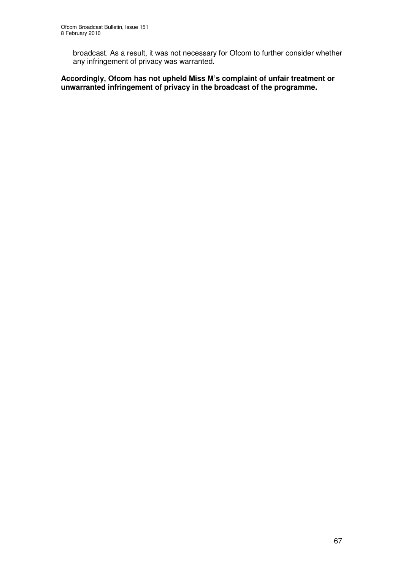broadcast. As a result, it was not necessary for Ofcom to further consider whether any infringement of privacy was warranted.

**Accordingly, Ofcom has not upheld Miss M's complaint of unfair treatment or unwarranted infringement of privacy in the broadcast of the programme.**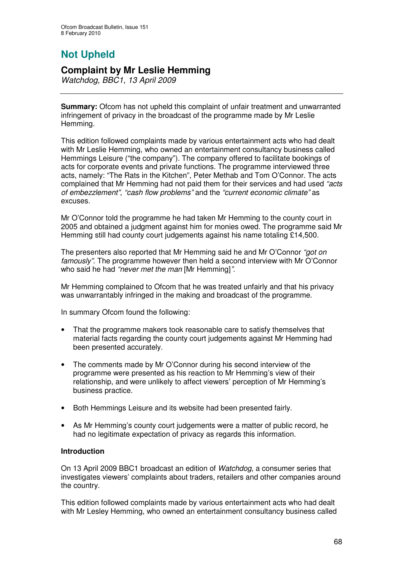# **Not Upheld**

### **Complaint by Mr Leslie Hemming**

*Watchdog, BBC1, 13 April 2009*

**Summary:** Ofcom has not upheld this complaint of unfair treatment and unwarranted infringement of privacy in the broadcast of the programme made by Mr Leslie Hemming.

This edition followed complaints made by various entertainment acts who had dealt with Mr Leslie Hemming, who owned an entertainment consultancy business called Hemmings Leisure ("the company"). The company offered to facilitate bookings of acts for corporate events and private functions. The programme interviewed three acts, namely: "The Rats in the Kitchen", Peter Methab and Tom O'Connor. The acts complained that Mr Hemming had not paid them for their services and had used *"acts of embezzlement"*, *"cash flow problems"* and the *"current economic climate"* as excuses.

Mr O'Connor told the programme he had taken Mr Hemming to the county court in 2005 and obtained a judgment against him for monies owed. The programme said Mr Hemming still had county court judgements against his name totaling £14,500.

The presenters also reported that Mr Hemming said he and Mr O'Connor *"got on famously"*. The programme however then held a second interview with Mr O'Connor who said he had *"never met the man* [Mr Hemming]*"*.

Mr Hemming complained to Ofcom that he was treated unfairly and that his privacy was unwarrantably infringed in the making and broadcast of the programme.

In summary Ofcom found the following:

- That the programme makers took reasonable care to satisfy themselves that material facts regarding the county court judgements against Mr Hemming had been presented accurately.
- The comments made by Mr O'Connor during his second interview of the programme were presented as his reaction to Mr Hemming's view of their relationship, and were unlikely to affect viewers' perception of Mr Hemming's business practice.
- Both Hemmings Leisure and its website had been presented fairly.
- As Mr Hemming's county court judgements were a matter of public record, he had no legitimate expectation of privacy as regards this information.

### **Introduction**

On 13 April 2009 BBC1 broadcast an edition of *Watchdog*, a consumer series that investigates viewers' complaints about traders, retailers and other companies around the country.

This edition followed complaints made by various entertainment acts who had dealt with Mr Lesley Hemming, who owned an entertainment consultancy business called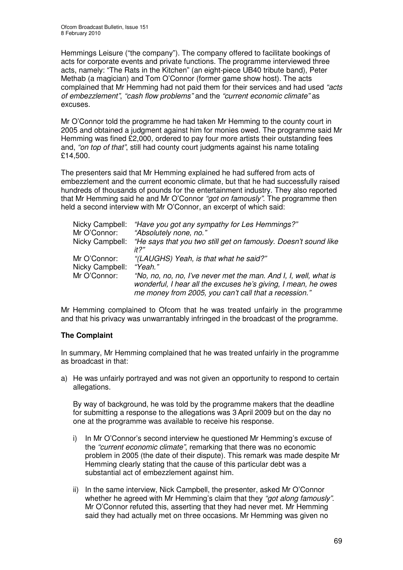Hemmings Leisure ("the company"). The company offered to facilitate bookings of acts for corporate events and private functions. The programme interviewed three acts, namely: "The Rats in the Kitchen" (an eight-piece UB40 tribute band), Peter Methab (a magician) and Tom O'Connor (former game show host). The acts complained that Mr Hemming had not paid them for their services and had used *"acts of embezzlement"*, *"cash flow problems"* and the *"current economic climate"* as excuses.

Mr O'Connor told the programme he had taken Mr Hemming to the county court in 2005 and obtained a judgment against him for monies owed. The programme said Mr Hemming was fined £2,000, ordered to pay four more artists their outstanding fees and, *"on top of that"*, still had county court judgments against his name totaling £14,500.

The presenters said that Mr Hemming explained he had suffered from acts of embezzlement and the current economic climate, but that he had successfully raised hundreds of thousands of pounds for the entertainment industry. They also reported that Mr Hemming said he and Mr O'Connor *"got on famously"*. The programme then held a second interview with Mr O'Connor, an excerpt of which said:

| Nicky Campbell: | "Have you got any sympathy for Les Hemmings?"                                                                                                                                               |
|-----------------|---------------------------------------------------------------------------------------------------------------------------------------------------------------------------------------------|
| Mr O'Connor:    | "Absolutely none, no."                                                                                                                                                                      |
| Nicky Campbell: | "He says that you two still get on famously. Doesn't sound like<br>it?"                                                                                                                     |
| Mr O'Connor:    | "(LAUGHS) Yeah, is that what he said?"                                                                                                                                                      |
| Nicky Campbell: | "Yeah."                                                                                                                                                                                     |
| Mr O'Connor:    | "No, no, no, no, I've never met the man. And I, I, well, what is<br>wonderful, I hear all the excuses he's giving, I mean, he owes<br>me money from 2005, you can't call that a recession." |

Mr Hemming complained to Ofcom that he was treated unfairly in the programme and that his privacy was unwarrantably infringed in the broadcast of the programme.

### **The Complaint**

In summary, Mr Hemming complained that he was treated unfairly in the programme as broadcast in that:

a) He was unfairly portrayed and was not given an opportunity to respond to certain allegations.

By way of background, he was told by the programme makers that the deadline for submitting a response to the allegations was 3 April 2009 but on the day no one at the programme was available to receive his response.

- i) In Mr O'Connor's second interview he questioned Mr Hemming's excuse of the *"current economic climate"*, remarking that there was no economic problem in 2005 (the date of their dispute). This remark was made despite Mr Hemming clearly stating that the cause of this particular debt was a substantial act of embezzlement against him.
- ii) In the same interview, Nick Campbell, the presenter, asked Mr O'Connor whether he agreed with Mr Hemming's claim that they *"got along famously"*. Mr O'Connor refuted this, asserting that they had never met. Mr Hemming said they had actually met on three occasions. Mr Hemming was given no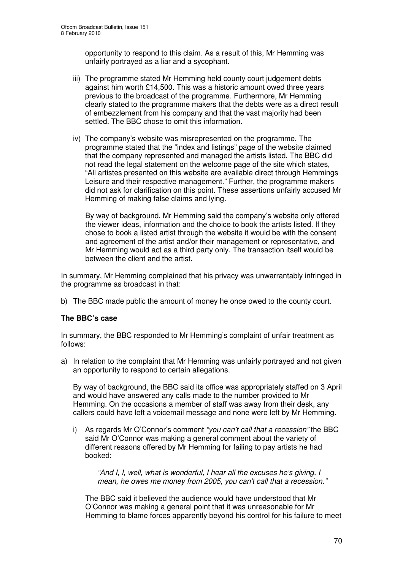opportunity to respond to this claim. As a result of this, Mr Hemming was unfairly portrayed as a liar and a sycophant.

- iii) The programme stated Mr Hemming held county court judgement debts against him worth £14,500. This was a historic amount owed three years previous to the broadcast of the programme. Furthermore, Mr Hemming clearly stated to the programme makers that the debts were as a direct result of embezzlement from his company and that the vast majority had been settled. The BBC chose to omit this information.
- iv) The company's website was misrepresented on the programme. The programme stated that the "index and listings" page of the website claimed that the company represented and managed the artists listed. The BBC did not read the legal statement on the welcome page of the site which states, "All artistes presented on this website are available direct through Hemmings Leisure and their respective management." Further, the programme makers did not ask for clarification on this point. These assertions unfairly accused Mr Hemming of making false claims and lying.

By way of background, Mr Hemming said the company's website only offered the viewer ideas, information and the choice to book the artists listed. If they chose to book a listed artist through the website it would be with the consent and agreement of the artist and/or their management or representative, and Mr Hemming would act as a third party only. The transaction itself would be between the client and the artist.

In summary, Mr Hemming complained that his privacy was unwarrantably infringed in the programme as broadcast in that:

b) The BBC made public the amount of money he once owed to the county court.

### **The BBC's case**

In summary, the BBC responded to Mr Hemming's complaint of unfair treatment as follows:

a) In relation to the complaint that Mr Hemming was unfairly portrayed and not given an opportunity to respond to certain allegations.

By way of background, the BBC said its office was appropriately staffed on 3 April and would have answered any calls made to the number provided to Mr Hemming. On the occasions a member of staff was away from their desk, any callers could have left a voicemail message and none were left by Mr Hemming.

i) As regards Mr O'Connor's comment *"you can't call that a recession"* the BBC said Mr O'Connor was making a general comment about the variety of different reasons offered by Mr Hemming for failing to pay artists he had booked:

*"And I, I, well, what is wonderful, I hear all the excuses he's giving, I mean, he owes me money from 2005, you can't call that a recession."*

The BBC said it believed the audience would have understood that Mr O'Connor was making a general point that it was unreasonable for Mr Hemming to blame forces apparently beyond his control for his failure to meet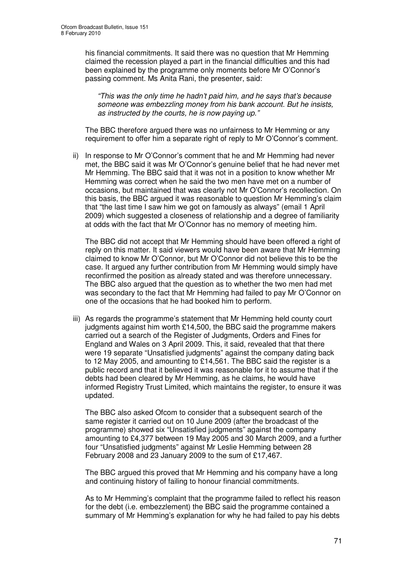his financial commitments. It said there was no question that Mr Hemming claimed the recession played a part in the financial difficulties and this had been explained by the programme only moments before Mr O'Connor's passing comment. Ms Anita Rani, the presenter, said:

*"This was the only time he hadn't paid him, and he says that's because someone was embezzling money from his bank account. But he insists, as instructed by the courts, he is now paying up."*

The BBC therefore argued there was no unfairness to Mr Hemming or any requirement to offer him a separate right of reply to Mr O'Connor's comment.

ii) In response to Mr O'Connor's comment that he and Mr Hemming had never met, the BBC said it was Mr O'Connor's genuine belief that he had never met Mr Hemming. The BBC said that it was not in a position to know whether Mr Hemming was correct when he said the two men have met on a number of occasions, but maintained that was clearly not Mr O'Connor's recollection. On this basis, the BBC argued it was reasonable to question Mr Hemming's claim that "the last time I saw him we got on famously as always" (email 1 April 2009) which suggested a closeness of relationship and a degree of familiarity at odds with the fact that Mr O'Connor has no memory of meeting him.

The BBC did not accept that Mr Hemming should have been offered a right of reply on this matter. It said viewers would have been aware that Mr Hemming claimed to know Mr O'Connor, but Mr O'Connor did not believe this to be the case. It argued any further contribution from Mr Hemming would simply have reconfirmed the position as already stated and was therefore unnecessary. The BBC also argued that the question as to whether the two men had met was secondary to the fact that Mr Hemming had failed to pay Mr O'Connor on one of the occasions that he had booked him to perform.

iii) As regards the programme's statement that Mr Hemming held county court judgments against him worth £14,500, the BBC said the programme makers carried out a search of the Register of Judgments, Orders and Fines for England and Wales on 3 April 2009. This, it said, revealed that that there were 19 separate "Unsatisfied judgments" against the company dating back to 12 May 2005, and amounting to £14,561. The BBC said the register is a public record and that it believed it was reasonable for it to assume that if the debts had been cleared by Mr Hemming, as he claims, he would have informed Registry Trust Limited, which maintains the register, to ensure it was updated.

The BBC also asked Ofcom to consider that a subsequent search of the same register it carried out on 10 June 2009 (after the broadcast of the programme) showed six "Unsatisfied judgments" against the company amounting to £4,377 between 19 May 2005 and 30 March 2009, and a further four "Unsatisfied judgments" against Mr Leslie Hemming between 28 February 2008 and 23 January 2009 to the sum of £17,467.

The BBC argued this proved that Mr Hemming and his company have a long and continuing history of failing to honour financial commitments.

As to Mr Hemming's complaint that the programme failed to reflect his reason for the debt (i.e. embezzlement) the BBC said the programme contained a summary of Mr Hemming's explanation for why he had failed to pay his debts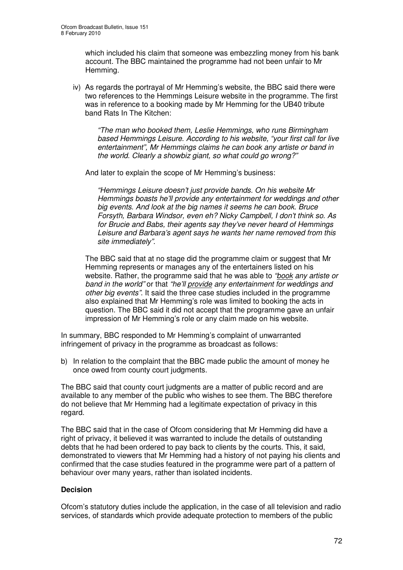which included his claim that someone was embezzling money from his bank account. The BBC maintained the programme had not been unfair to Mr Hemming.

iv) As regards the portrayal of Mr Hemming's website, the BBC said there were two references to the Hemmings Leisure website in the programme. The first was in reference to a booking made by Mr Hemming for the UB40 tribute band Rats In The Kitchen:

*"The man who booked them, Leslie Hemmings, who runs Birmingham based Hemmings Leisure. According to his website, "your first call for live entertainment", Mr Hemmings claims he can book any artiste or band in the world. Clearly a showbiz giant, so what could go wrong?"*

And later to explain the scope of Mr Hemming's business:

*"Hemmings Leisure doesn't just provide bands. On his website Mr Hemmings boasts he'll provide any entertainment for weddings and other big events. And look at the big names it seems he can book. Bruce Forsyth, Barbara Windsor, even eh? Nicky Campbell, I don't think so. As for Brucie and Babs, their agents say they've never heard of Hemmings Leisure and Barbara's agent says he wants her name removed from this site immediately".*

The BBC said that at no stage did the programme claim or suggest that Mr Hemming represents or manages any of the entertainers listed on his website. Rather, the programme said that he was able to *"book any artiste or band in the world"* or that *"he'll provide any entertainment for weddings and other big events"*. It said the three case studies included in the programme also explained that Mr Hemming's role was limited to booking the acts in question. The BBC said it did not accept that the programme gave an unfair impression of Mr Hemming's role or any claim made on his website.

In summary, BBC responded to Mr Hemming's complaint of unwarranted infringement of privacy in the programme as broadcast as follows:

b) In relation to the complaint that the BBC made public the amount of money he once owed from county court judgments.

The BBC said that county court judgments are a matter of public record and are available to any member of the public who wishes to see them. The BBC therefore do not believe that Mr Hemming had a legitimate expectation of privacy in this regard.

The BBC said that in the case of Ofcom considering that Mr Hemming did have a right of privacy, it believed it was warranted to include the details of outstanding debts that he had been ordered to pay back to clients by the courts. This, it said, demonstrated to viewers that Mr Hemming had a history of not paying his clients and confirmed that the case studies featured in the programme were part of a pattern of behaviour over many years, rather than isolated incidents.

### **Decision**

Ofcom's statutory duties include the application, in the case of all television and radio services, of standards which provide adequate protection to members of the public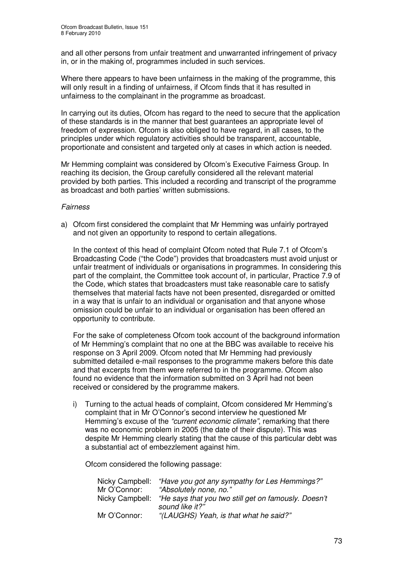and all other persons from unfair treatment and unwarranted infringement of privacy in, or in the making of, programmes included in such services.

Where there appears to have been unfairness in the making of the programme, this will only result in a finding of unfairness, if Ofcom finds that it has resulted in unfairness to the complainant in the programme as broadcast.

In carrying out its duties, Ofcom has regard to the need to secure that the application of these standards is in the manner that best guarantees an appropriate level of freedom of expression. Ofcom is also obliged to have regard, in all cases, to the principles under which regulatory activities should be transparent, accountable, proportionate and consistent and targeted only at cases in which action is needed.

Mr Hemming complaint was considered by Ofcom's Executive Fairness Group. In reaching its decision, the Group carefully considered all the relevant material provided by both parties. This included a recording and transcript of the programme as broadcast and both parties' written submissions.

#### *Fairness*

a) Ofcom first considered the complaint that Mr Hemming was unfairly portrayed and not given an opportunity to respond to certain allegations.

In the context of this head of complaint Ofcom noted that Rule 7.1 of Ofcom's Broadcasting Code ("the Code") provides that broadcasters must avoid unjust or unfair treatment of individuals or organisations in programmes. In considering this part of the complaint, the Committee took account of, in particular, Practice 7.9 of the Code, which states that broadcasters must take reasonable care to satisfy themselves that material facts have not been presented, disregarded or omitted in a way that is unfair to an individual or organisation and that anyone whose omission could be unfair to an individual or organisation has been offered an opportunity to contribute.

For the sake of completeness Ofcom took account of the background information of Mr Hemming's complaint that no one at the BBC was available to receive his response on 3 April 2009. Ofcom noted that Mr Hemming had previously submitted detailed e-mail responses to the programme makers before this date and that excerpts from them were referred to in the programme. Ofcom also found no evidence that the information submitted on 3 April had not been received or considered by the programme makers.

i) Turning to the actual heads of complaint, Ofcom considered Mr Hemming's complaint that in Mr O'Connor's second interview he questioned Mr Hemming's excuse of the *"current economic climate"*, remarking that there was no economic problem in 2005 (the date of their dispute). This was despite Mr Hemming clearly stating that the cause of this particular debt was a substantial act of embezzlement against him.

Ofcom considered the following passage:

| Nicky Campbell: | "Have you got any sympathy for Les Hemmings?"        |
|-----------------|------------------------------------------------------|
| Mr O'Connor:    | "Absolutely none, no."                               |
| Nicky Campbell: | "He says that you two still get on famously. Doesn't |
|                 | sound like it?"                                      |
| Mr O'Connor:    | "(LAUGHS) Yeah, is that what he said?"               |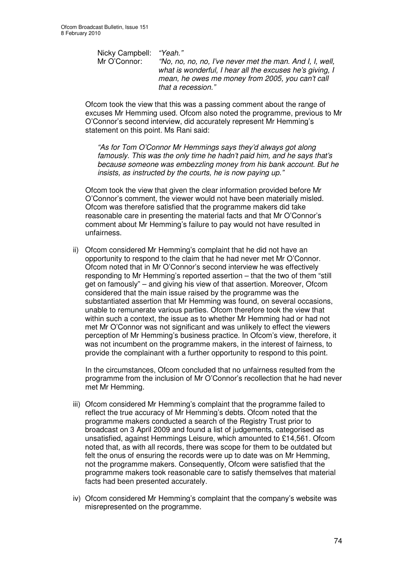Nicky Campbell: *"Yeah."* Mr O'Connor: *"No, no, no, no, I've never met the man. And I, I, well, what is wonderful, I hear all the excuses he's giving, I mean, he owes me money from 2005, you can't call that a recession."*

Ofcom took the view that this was a passing comment about the range of excuses Mr Hemming used. Ofcom also noted the programme, previous to Mr O'Connor's second interview, did accurately represent Mr Hemming's statement on this point. Ms Rani said:

*"As for Tom O'Connor Mr Hemmings says they'd always got along famously. This was the only time he hadn't paid him, and he says that's because someone was embezzling money from his bank account. But he insists, as instructed by the courts, he is now paying up."*

Ofcom took the view that given the clear information provided before Mr O'Connor's comment, the viewer would not have been materially misled. Ofcom was therefore satisfied that the programme makers did take reasonable care in presenting the material facts and that Mr O'Connor's comment about Mr Hemming's failure to pay would not have resulted in unfairness.

ii) Ofcom considered Mr Hemming's complaint that he did not have an opportunity to respond to the claim that he had never met Mr O'Connor. Ofcom noted that in Mr O'Connor's second interview he was effectively responding to Mr Hemming's reported assertion – that the two of them "still get on famously" – and giving his view of that assertion. Moreover, Ofcom considered that the main issue raised by the programme was the substantiated assertion that Mr Hemming was found, on several occasions, unable to remunerate various parties. Ofcom therefore took the view that within such a context, the issue as to whether Mr Hemming had or had not met Mr O'Connor was not significant and was unlikely to effect the viewers perception of Mr Hemming's business practice. In Ofcom's view, therefore, it was not incumbent on the programme makers, in the interest of fairness, to provide the complainant with a further opportunity to respond to this point.

In the circumstances, Ofcom concluded that no unfairness resulted from the programme from the inclusion of Mr O'Connor's recollection that he had never met Mr Hemming.

- iii) Ofcom considered Mr Hemming's complaint that the programme failed to reflect the true accuracy of Mr Hemming's debts. Ofcom noted that the programme makers conducted a search of the Registry Trust prior to broadcast on 3 April 2009 and found a list of judgements, categorised as unsatisfied, against Hemmings Leisure, which amounted to £14,561. Ofcom noted that, as with all records, there was scope for them to be outdated but felt the onus of ensuring the records were up to date was on Mr Hemming, not the programme makers. Consequently, Ofcom were satisfied that the programme makers took reasonable care to satisfy themselves that material facts had been presented accurately.
- iv) Ofcom considered Mr Hemming's complaint that the company's website was misrepresented on the programme.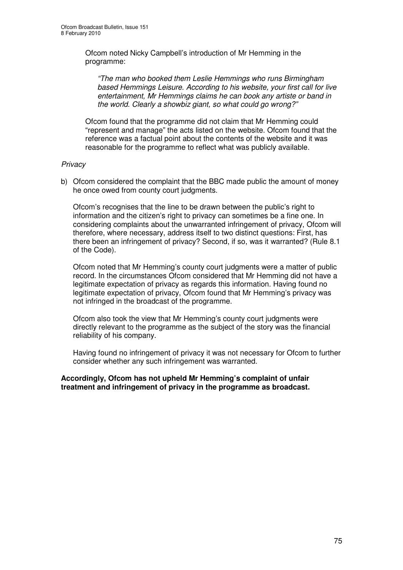Ofcom noted Nicky Campbell's introduction of Mr Hemming in the programme:

*"The man who booked them Leslie Hemmings who runs Birmingham based Hemmings Leisure. According to his website, your first call for live entertainment, Mr Hemmings claims he can book any artiste or band in the world. Clearly a showbiz giant, so what could go wrong?"*

Ofcom found that the programme did not claim that Mr Hemming could "represent and manage" the acts listed on the website. Ofcom found that the reference was a factual point about the contents of the website and it was reasonable for the programme to reflect what was publicly available.

#### *Privacy*

b) Ofcom considered the complaint that the BBC made public the amount of money he once owed from county court judgments.

Ofcom's recognises that the line to be drawn between the public's right to information and the citizen's right to privacy can sometimes be a fine one. In considering complaints about the unwarranted infringement of privacy, Ofcom will therefore, where necessary, address itself to two distinct questions: First, has there been an infringement of privacy? Second, if so, was it warranted? (Rule 8.1 of the Code).

Ofcom noted that Mr Hemming's county court judgments were a matter of public record. In the circumstances Ofcom considered that Mr Hemming did not have a legitimate expectation of privacy as regards this information. Having found no legitimate expectation of privacy, Ofcom found that Mr Hemming's privacy was not infringed in the broadcast of the programme.

Ofcom also took the view that Mr Hemming's county court judgments were directly relevant to the programme as the subject of the story was the financial reliability of his company.

Having found no infringement of privacy it was not necessary for Ofcom to further consider whether any such infringement was warranted.

**Accordingly, Ofcom has not upheld Mr Hemming's complaint of unfair treatment and infringement of privacy in the programme as broadcast.**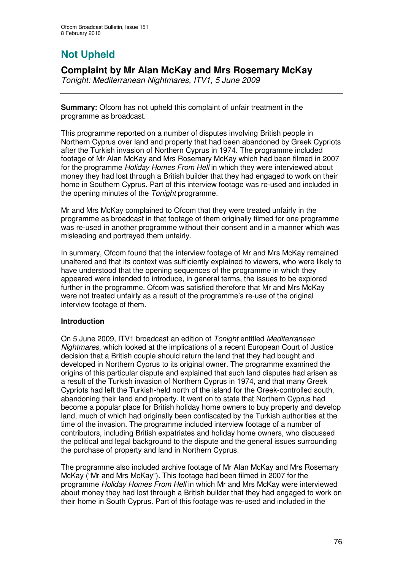# **Not Upheld**

### **Complaint by Mr Alan McKay and Mrs Rosemary McKay**

*Tonight: Mediterranean Nightmares, ITV1, 5 June 2009*

**Summary:** Ofcom has not upheld this complaint of unfair treatment in the programme as broadcast.

This programme reported on a number of disputes involving British people in Northern Cyprus over land and property that had been abandoned by Greek Cypriots after the Turkish invasion of Northern Cyprus in 1974. The programme included footage of Mr Alan McKay and Mrs Rosemary McKay which had been filmed in 2007 for the programme *Holiday Homes From Hell* in which they were interviewed about money they had lost through a British builder that they had engaged to work on their home in Southern Cyprus. Part of this interview footage was re-used and included in the opening minutes of the *Tonight* programme.

Mr and Mrs McKay complained to Ofcom that they were treated unfairly in the programme as broadcast in that footage of them originally filmed for one programme was re-used in another programme without their consent and in a manner which was misleading and portrayed them unfairly.

In summary, Ofcom found that the interview footage of Mr and Mrs McKay remained unaltered and that its context was sufficiently explained to viewers, who were likely to have understood that the opening sequences of the programme in which they appeared were intended to introduce, in general terms, the issues to be explored further in the programme. Ofcom was satisfied therefore that Mr and Mrs McKay were not treated unfairly as a result of the programme's re-use of the original interview footage of them.

#### **Introduction**

On 5 June 2009, ITV1 broadcast an edition of *Tonight* entitled *Mediterranean Nightmares*, which looked at the implications of a recent European Court of Justice decision that a British couple should return the land that they had bought and developed in Northern Cyprus to its original owner. The programme examined the origins of this particular dispute and explained that such land disputes had arisen as a result of the Turkish invasion of Northern Cyprus in 1974, and that many Greek Cypriots had left the Turkish-held north of the island for the Greek-controlled south, abandoning their land and property. It went on to state that Northern Cyprus had become a popular place for British holiday home owners to buy property and develop land, much of which had originally been confiscated by the Turkish authorities at the time of the invasion. The programme included interview footage of a number of contributors, including British expatriates and holiday home owners, who discussed the political and legal background to the dispute and the general issues surrounding the purchase of property and land in Northern Cyprus.

The programme also included archive footage of Mr Alan McKay and Mrs Rosemary McKay ("Mr and Mrs McKay"). This footage had been filmed in 2007 for the programme *Holiday Homes From Hell* in which Mr and Mrs McKay were interviewed about money they had lost through a British builder that they had engaged to work on their home in South Cyprus. Part of this footage was re-used and included in the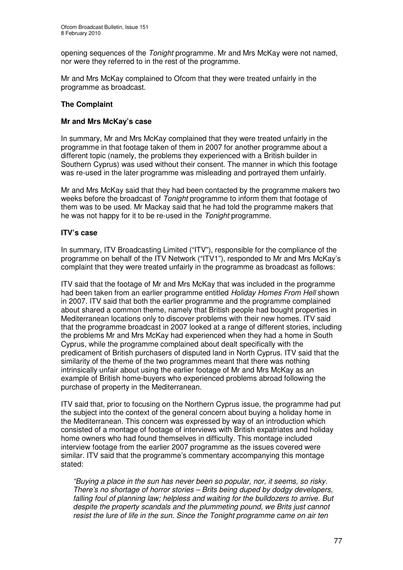opening sequences of the *Tonight* programme*.* Mr and Mrs McKay were not named, nor were they referred to in the rest of the programme.

Mr and Mrs McKay complained to Ofcom that they were treated unfairly in the programme as broadcast.

#### **The Complaint**

#### **Mr and Mrs McKay's case**

In summary, Mr and Mrs McKay complained that they were treated unfairly in the programme in that footage taken of them in 2007 for another programme about a different topic (namely, the problems they experienced with a British builder in Southern Cyprus) was used without their consent. The manner in which this footage was re-used in the later programme was misleading and portrayed them unfairly.

Mr and Mrs McKay said that they had been contacted by the programme makers two weeks before the broadcast of *Tonight* programme to inform them that footage of them was to be used. Mr Mackay said that he had told the programme makers that he was not happy for it to be re-used in the *Tonight* programme.

#### **ITV's case**

In summary, ITV Broadcasting Limited ("ITV"), responsible for the compliance of the programme on behalf of the ITV Network ("ITV1"), responded to Mr and Mrs McKay's complaint that they were treated unfairly in the programme as broadcast as follows:

ITV said that the footage of Mr and Mrs McKay that was included in the programme had been taken from an earlier programme entitled *Holiday Homes From Hell* shown in 2007. ITV said that both the earlier programme and the programme complained about shared a common theme, namely that British people had bought properties in Mediterranean locations only to discover problems with their new homes. ITV said that the programme broadcast in 2007 looked at a range of different stories, including the problems Mr and Mrs McKay had experienced when they had a home in South Cyprus, while the programme complained about dealt specifically with the predicament of British purchasers of disputed land in North Cyprus. ITV said that the similarity of the theme of the two programmes meant that there was nothing intrinsically unfair about using the earlier footage of Mr and Mrs McKay as an example of British home-buyers who experienced problems abroad following the purchase of property in the Mediterranean.

ITV said that, prior to focusing on the Northern Cyprus issue, the programme had put the subject into the context of the general concern about buying a holiday home in the Mediterranean. This concern was expressed by way of an introduction which consisted of a montage of footage of interviews with British expatriates and holiday home owners who had found themselves in difficulty. This montage included interview footage from the earlier 2007 programme as the issues covered were similar. ITV said that the programme's commentary accompanying this montage stated:

*"Buying a place in the sun has never been so popular, nor, it seems, so risky. There's no shortage of horror stories – Brits being duped by dodgy developers, falling foul of planning law; helpless and waiting for the bulldozers to arrive. But despite the property scandals and the plummeting pound, we Brits just cannot resist the lure of life in the sun. Since the Tonight programme came on air ten*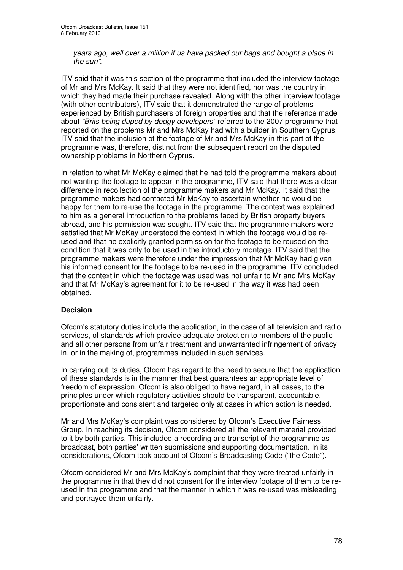*years ago, well over a million if us have packed our bags and bought a place in the sun"*.

ITV said that it was this section of the programme that included the interview footage of Mr and Mrs McKay. It said that they were not identified, nor was the country in which they had made their purchase revealed. Along with the other interview footage (with other contributors), ITV said that it demonstrated the range of problems experienced by British purchasers of foreign properties and that the reference made about *"Brits being duped by dodgy developers"* referred to the 2007 programme that reported on the problems Mr and Mrs McKay had with a builder in Southern Cyprus. ITV said that the inclusion of the footage of Mr and Mrs McKay in this part of the programme was, therefore, distinct from the subsequent report on the disputed ownership problems in Northern Cyprus.

In relation to what Mr McKay claimed that he had told the programme makers about not wanting the footage to appear in the programme, ITV said that there was a clear difference in recollection of the programme makers and Mr McKay. It said that the programme makers had contacted Mr McKay to ascertain whether he would be happy for them to re-use the footage in the programme. The context was explained to him as a general introduction to the problems faced by British property buyers abroad, and his permission was sought. ITV said that the programme makers were satisfied that Mr McKay understood the context in which the footage would be reused and that he explicitly granted permission for the footage to be reused on the condition that it was only to be used in the introductory montage. ITV said that the programme makers were therefore under the impression that Mr McKay had given his informed consent for the footage to be re-used in the programme. ITV concluded that the context in which the footage was used was not unfair to Mr and Mrs McKay and that Mr McKay's agreement for it to be re-used in the way it was had been obtained.

#### **Decision**

Ofcom's statutory duties include the application, in the case of all television and radio services, of standards which provide adequate protection to members of the public and all other persons from unfair treatment and unwarranted infringement of privacy in, or in the making of, programmes included in such services.

In carrying out its duties, Ofcom has regard to the need to secure that the application of these standards is in the manner that best guarantees an appropriate level of freedom of expression. Ofcom is also obliged to have regard, in all cases, to the principles under which regulatory activities should be transparent, accountable, proportionate and consistent and targeted only at cases in which action is needed.

Mr and Mrs McKay's complaint was considered by Ofcom's Executive Fairness Group. In reaching its decision, Ofcom considered all the relevant material provided to it by both parties. This included a recording and transcript of the programme as broadcast, both parties' written submissions and supporting documentation. In its considerations, Ofcom took account of Ofcom's Broadcasting Code ("the Code").

Ofcom considered Mr and Mrs McKay's complaint that they were treated unfairly in the programme in that they did not consent for the interview footage of them to be reused in the programme and that the manner in which it was re-used was misleading and portrayed them unfairly.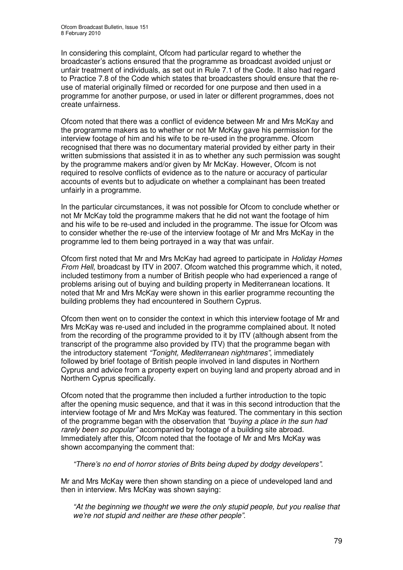In considering this complaint, Ofcom had particular regard to whether the broadcaster's actions ensured that the programme as broadcast avoided unjust or unfair treatment of individuals, as set out in Rule 7.1 of the Code. It also had regard to Practice 7.8 of the Code which states that broadcasters should ensure that the reuse of material originally filmed or recorded for one purpose and then used in a programme for another purpose, or used in later or different programmes, does not create unfairness.

Ofcom noted that there was a conflict of evidence between Mr and Mrs McKay and the programme makers as to whether or not Mr McKay gave his permission for the interview footage of him and his wife to be re-used in the programme. Ofcom recognised that there was no documentary material provided by either party in their written submissions that assisted it in as to whether any such permission was sought by the programme makers and/or given by Mr McKay. However, Ofcom is not required to resolve conflicts of evidence as to the nature or accuracy of particular accounts of events but to adjudicate on whether a complainant has been treated unfairly in a programme.

In the particular circumstances, it was not possible for Ofcom to conclude whether or not Mr McKay told the programme makers that he did not want the footage of him and his wife to be re-used and included in the programme. The issue for Ofcom was to consider whether the re-use of the interview footage of Mr and Mrs McKay in the programme led to them being portrayed in a way that was unfair.

Ofcom first noted that Mr and Mrs McKay had agreed to participate in *Holiday Homes From Hell*, broadcast by ITV in 2007. Ofcom watched this programme which, it noted, included testimony from a number of British people who had experienced a range of problems arising out of buying and building property in Mediterranean locations. It noted that Mr and Mrs McKay were shown in this earlier programme recounting the building problems they had encountered in Southern Cyprus.

Ofcom then went on to consider the context in which this interview footage of Mr and Mrs McKay was re-used and included in the programme complained about. It noted from the recording of the programme provided to it by ITV (although absent from the transcript of the programme also provided by ITV) that the programme began with the introductory statement *"Tonight, Mediterranean nightmares"*, immediately followed by brief footage of British people involved in land disputes in Northern Cyprus and advice from a property expert on buying land and property abroad and in Northern Cyprus specifically.

Ofcom noted that the programme then included a further introduction to the topic after the opening music sequence, and that it was in this second introduction that the interview footage of Mr and Mrs McKay was featured. The commentary in this section of the programme began with the observation that *"buying a place in the sun had rarely been so popular"* accompanied by footage of a building site abroad. Immediately after this, Ofcom noted that the footage of Mr and Mrs McKay was shown accompanying the comment that:

*"There's no end of horror stories of Brits being duped by dodgy developers"*.

Mr and Mrs McKay were then shown standing on a piece of undeveloped land and then in interview. Mrs McKay was shown saying:

*"At the beginning we thought we were the only stupid people, but you realise that we're not stupid and neither are these other people"*.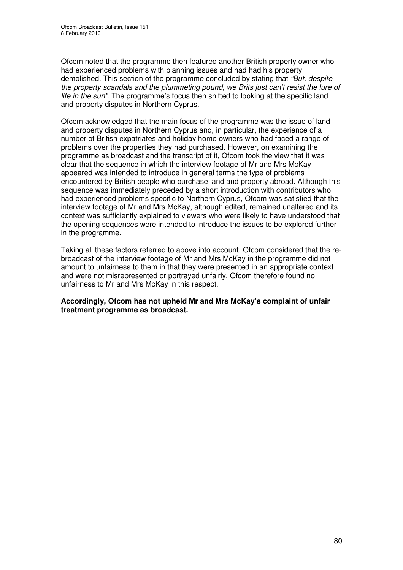Ofcom noted that the programme then featured another British property owner who had experienced problems with planning issues and had had his property demolished. This section of the programme concluded by stating that *"But, despite the property scandals and the plummeting pound, we Brits just can't resist the lure of life in the sun"*. The programme's focus then shifted to looking at the specific land and property disputes in Northern Cyprus.

Ofcom acknowledged that the main focus of the programme was the issue of land and property disputes in Northern Cyprus and, in particular, the experience of a number of British expatriates and holiday home owners who had faced a range of problems over the properties they had purchased. However, on examining the programme as broadcast and the transcript of it, Ofcom took the view that it was clear that the sequence in which the interview footage of Mr and Mrs McKay appeared was intended to introduce in general terms the type of problems encountered by British people who purchase land and property abroad. Although this sequence was immediately preceded by a short introduction with contributors who had experienced problems specific to Northern Cyprus, Ofcom was satisfied that the interview footage of Mr and Mrs McKay, although edited, remained unaltered and its context was sufficiently explained to viewers who were likely to have understood that the opening sequences were intended to introduce the issues to be explored further in the programme.

Taking all these factors referred to above into account, Ofcom considered that the rebroadcast of the interview footage of Mr and Mrs McKay in the programme did not amount to unfairness to them in that they were presented in an appropriate context and were not misrepresented or portrayed unfairly. Ofcom therefore found no unfairness to Mr and Mrs McKay in this respect.

**Accordingly, Ofcom has not upheld Mr and Mrs McKay's complaint of unfair treatment programme as broadcast.**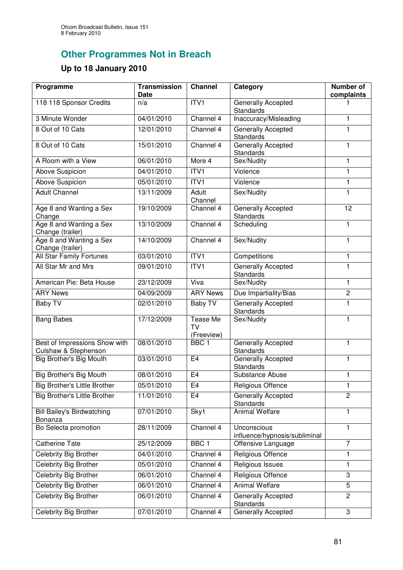## **Other Programmes Not in Breach**

### **Up to 18 January 2010**

| Programme                                             | <b>Transmission</b><br>Date | <b>Channel</b>                      | Category                                      | Number of<br>complaints |
|-------------------------------------------------------|-----------------------------|-------------------------------------|-----------------------------------------------|-------------------------|
| 118 118 Sponsor Credits                               | n/a                         | ITV1                                | Generally Accepted<br>Standards               |                         |
| 3 Minute Wonder                                       | 04/01/2010                  | Channel 4                           | Inaccuracy/Misleading                         | 1                       |
| 8 Out of 10 Cats                                      | 12/01/2010                  | Channel 4                           | Generally Accepted<br><b>Standards</b>        | 1                       |
| 8 Out of 10 Cats                                      | 15/01/2010                  | Channel 4                           | Generally Accepted<br><b>Standards</b>        | $\mathbf{1}$            |
| A Room with a View                                    | 06/01/2010                  | More 4                              | Sex/Nudity                                    | $\mathbf{1}$            |
| Above Suspicion                                       | 04/01/2010                  | ITV1                                | Violence                                      | $\mathbf{1}$            |
| Above Suspicion                                       | 05/01/2010                  | ITV <sub>1</sub>                    | Violence                                      | $\mathbf{1}$            |
| <b>Adult Channel</b>                                  | 13/11/2009                  | Adult<br>Channel                    | Sex/Nudity                                    | $\mathbf{1}$            |
| Age 8 and Wanting a Sex<br>Change                     | 19/10/2009                  | Channel 4                           | Generally Accepted<br><b>Standards</b>        | 12                      |
| Age 8 and Wanting a Sex<br>Change (trailer)           | 13/10/2009                  | Channel 4                           | Scheduling                                    | $\mathbf{1}$            |
| Age 8 and Wanting a Sex<br>Change (trailer)           | 14/10/2009                  | Channel 4                           | Sex/Nudity                                    | 1                       |
| <b>All Star Family Fortunes</b>                       | 03/01/2010                  | ITV1                                | Competitions                                  | $\mathbf{1}$            |
| All Star Mr and Mrs                                   | 09/01/2010                  | ITV1                                | Generally Accepted<br><b>Standards</b>        | $\mathbf{1}$            |
| American Pie: Beta House                              | 23/12/2009                  | Viva                                | Sex/Nudity                                    | $\mathbf{1}$            |
| <b>ARY News</b>                                       | 04/09/2009                  | <b>ARY News</b>                     | Due Impartiality/Bias                         | $\overline{2}$          |
| Baby TV                                               | 02/01/2010                  | Baby TV                             | <b>Generally Accepted</b><br><b>Standards</b> | $\mathbf{1}$            |
| <b>Bang Babes</b>                                     | 17/12/2009                  | Tease Me<br><b>TV</b><br>(Freeview) | Sex/Nudity                                    | $\mathbf{1}$            |
| Best of Impressions Show with<br>Culshaw & Stephenson | 08/01/2010                  | BBC <sub>1</sub>                    | Generally Accepted<br>Standards               | $\mathbf{1}$            |
| Big Brother's Big Mouth                               | 03/01/2010                  | E <sub>4</sub>                      | Generally Accepted<br>Standards               | $\mathbf{1}$            |
| Big Brother's Big Mouth                               | 08/01/2010                  | E <sub>4</sub>                      | Substance Abuse                               | 1                       |
| <b>Big Brother's Little Brother</b>                   | 05/01/2010                  | E4                                  | Religious Offence                             | 1                       |
| Big Brother's Little Brother                          | 11/01/2010                  | E <sub>4</sub>                      | <b>Generally Accepted</b><br>Standards        | $\overline{2}$          |
| <b>Bill Bailey's Birdwatching</b><br>Bonanza          | 07/01/2010                  | Sky1                                | Animal Welfare                                | $\mathbf{1}$            |
| Bo Selecta promotion                                  | 28/11/2009                  | Channel 4                           | Unconscious<br>influence/hypnosis/subliminal  | $\mathbf{1}$            |
| <b>Catherine Tate</b>                                 | 25/12/2009                  | BBC <sub>1</sub>                    | Offensive Language                            | $\overline{7}$          |
| Celebrity Big Brother                                 | 04/01/2010                  | Channel 4                           | Religious Offence                             | 1                       |
| <b>Celebrity Big Brother</b>                          | 05/01/2010                  | Channel 4                           | Religious Issues                              | 1                       |
| <b>Celebrity Big Brother</b>                          | 06/01/2010                  | Channel 4                           | Religious Offence                             | 3                       |
| <b>Celebrity Big Brother</b>                          | 06/01/2010                  | Channel 4                           | <b>Animal Welfare</b>                         | 5                       |
| Celebrity Big Brother                                 | 06/01/2010                  | Channel 4                           | Generally Accepted<br><b>Standards</b>        | $\mathbf{2}$            |
| Celebrity Big Brother                                 | 07/01/2010                  | Channel 4                           | Generally Accepted                            | 3                       |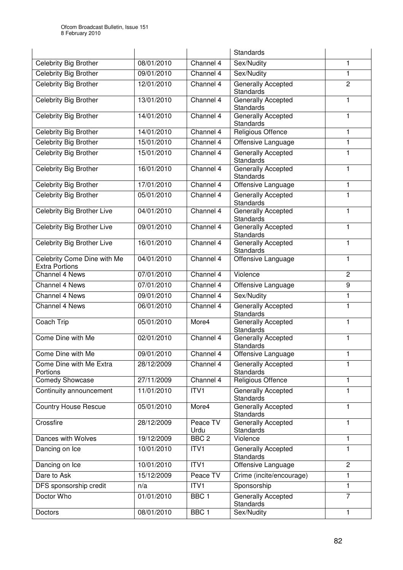|                                                      |            |                  | <b>Standards</b>                              |                |
|------------------------------------------------------|------------|------------------|-----------------------------------------------|----------------|
| Celebrity Big Brother                                | 08/01/2010 | Channel 4        | Sex/Nudity                                    | 1              |
| Celebrity Big Brother                                | 09/01/2010 | Channel 4        | Sex/Nudity                                    | 1              |
| Celebrity Big Brother                                | 12/01/2010 | Channel 4        | Generally Accepted<br>Standards               | $\overline{2}$ |
| <b>Celebrity Big Brother</b>                         | 13/01/2010 | Channel 4        | Generally Accepted<br>Standards               | 1              |
| Celebrity Big Brother                                | 14/01/2010 | Channel 4        | Generally Accepted<br><b>Standards</b>        | 1              |
| Celebrity Big Brother                                | 14/01/2010 | Channel 4        | Religious Offence                             | 1              |
| Celebrity Big Brother                                | 15/01/2010 | Channel 4        | Offensive Language                            | 1              |
| Celebrity Big Brother                                | 15/01/2010 | Channel 4        | Generally Accepted<br><b>Standards</b>        | 1              |
| Celebrity Big Brother                                | 16/01/2010 | Channel 4        | Generally Accepted<br><b>Standards</b>        | 1              |
| <b>Celebrity Big Brother</b>                         | 17/01/2010 | Channel 4        | Offensive Language                            | 1              |
| Celebrity Big Brother                                | 05/01/2010 | Channel 4        | <b>Generally Accepted</b><br><b>Standards</b> | 1              |
| Celebrity Big Brother Live                           | 04/01/2010 | Channel 4        | Generally Accepted<br><b>Standards</b>        | 1              |
| Celebrity Big Brother Live                           | 09/01/2010 | Channel 4        | Generally Accepted<br>Standards               | 1              |
| Celebrity Big Brother Live                           | 16/01/2010 | Channel 4        | Generally Accepted<br>Standards               | $\mathbf{1}$   |
| Celebrity Come Dine with Me<br><b>Extra Portions</b> | 04/01/2010 | Channel 4        | Offensive Language                            | 1              |
| Channel 4 News                                       | 07/01/2010 | Channel 4        | Violence                                      | $\overline{2}$ |
| Channel 4 News                                       | 07/01/2010 | Channel 4        | Offensive Language                            | 9              |
| Channel 4 News                                       | 09/01/2010 | Channel 4        | Sex/Nudity                                    | 1              |
| Channel 4 News                                       | 06/01/2010 | Channel 4        | Generally Accepted<br><b>Standards</b>        | $\mathbf{1}$   |
| Coach Trip                                           | 05/01/2010 | More4            | Generally Accepted<br><b>Standards</b>        | $\mathbf{1}$   |
| Come Dine with Me                                    | 02/01/2010 | Channel 4        | Generally Accepted<br><b>Standards</b>        | 1              |
| Come Dine with Me                                    | 09/01/2010 | Channel 4        | Offensive Language                            | 1              |
| Come Dine with Me Extra<br>Portions                  | 28/12/2009 | Channel 4        | <b>Generally Accepted</b><br>Standards        | 1              |
| Comedy Showcase                                      | 27/11/2009 | Channel 4        | Religious Offence                             | 1              |
| Continuity announcement                              | 11/01/2010 | ITV1             | Generally Accepted<br><b>Standards</b>        | 1              |
| <b>Country House Rescue</b>                          | 05/01/2010 | More4            | Generally Accepted<br><b>Standards</b>        | 1              |
| Crossfire                                            | 28/12/2009 | Peace TV<br>Urdu | Generally Accepted<br><b>Standards</b>        | 1              |
| Dances with Wolves                                   | 19/12/2009 | BBC <sub>2</sub> | Violence                                      | 1              |
| Dancing on Ice                                       | 10/01/2010 | ITV <sub>1</sub> | Generally Accepted<br><b>Standards</b>        | 1              |
| Dancing on Ice                                       | 10/01/2010 | ITV1             | Offensive Language                            | $\overline{c}$ |
| Dare to Ask                                          | 15/12/2009 | Peace TV         | Crime (incite/encourage)                      | 1              |
| DFS sponsorship credit                               | n/a        | ITV1             | Sponsorship                                   | 1              |
| Doctor Who                                           | 01/01/2010 | BBC <sub>1</sub> | Generally Accepted<br><b>Standards</b>        | $\overline{7}$ |
| Doctors                                              | 08/01/2010 | BBC <sub>1</sub> | Sex/Nudity                                    | 1              |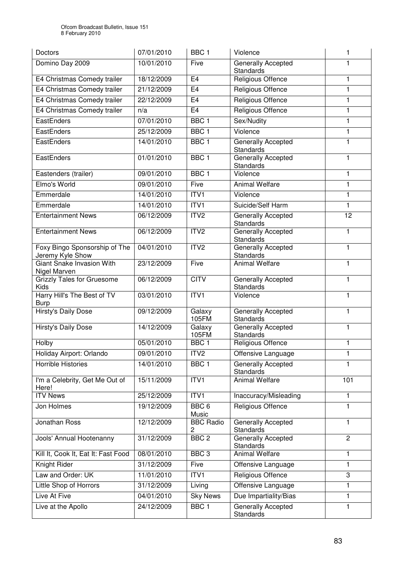| Doctors                                           | 07/01/2010 | BBC <sub>1</sub>          | Violence                               | 1               |
|---------------------------------------------------|------------|---------------------------|----------------------------------------|-----------------|
| Domino Day 2009                                   | 10/01/2010 | Five                      | Generally Accepted<br>Standards        | 1               |
| E4 Christmas Comedy trailer                       | 18/12/2009 | E <sub>4</sub>            | Religious Offence                      | 1               |
| E4 Christmas Comedy trailer                       | 21/12/2009 | E <sub>4</sub>            | Religious Offence                      | 1               |
| E4 Christmas Comedy trailer                       | 22/12/2009 | E4                        | Religious Offence                      | 1               |
| E4 Christmas Comedy trailer                       | n/a        | E <sub>4</sub>            | <b>Religious Offence</b>               | 1               |
| EastEnders                                        | 07/01/2010 | BBC <sub>1</sub>          | Sex/Nudity                             | 1               |
| EastEnders                                        | 25/12/2009 | BBC <sub>1</sub>          | Violence                               | 1               |
| EastEnders                                        | 14/01/2010 | BBC <sub>1</sub>          | Generally Accepted<br><b>Standards</b> | 1               |
| EastEnders                                        | 01/01/2010 | BBC <sub>1</sub>          | Generally Accepted<br><b>Standards</b> | 1               |
| Eastenders (trailer)                              | 09/01/2010 | BBC <sub>1</sub>          | Violence                               | 1               |
| Elmo's World                                      | 09/01/2010 | Five                      | <b>Animal Welfare</b>                  | 1               |
| Emmerdale                                         | 14/01/2010 | ITVI                      | Violence                               | $\mathbf{1}$    |
| Emmerdale                                         | 14/01/2010 | ITVI                      | Suicide/Self Harm                      | $\mathbf{1}$    |
| <b>Entertainment News</b>                         | 06/12/2009 | ITV2                      | Generally Accepted<br><b>Standards</b> | $\overline{12}$ |
| <b>Entertainment News</b>                         | 06/12/2009 | ITV2                      | <b>Generally Accepted</b><br>Standards | 1               |
| Foxy Bingo Sponsorship of The<br>Jeremy Kyle Show | 04/01/2010 | ITV2                      | Generally Accepted<br><b>Standards</b> | $\mathbf{1}$    |
| Giant Snake Invasion With<br>Nigel Marven         | 23/12/2009 | Five                      | <b>Animal Welfare</b>                  | 1               |
| <b>Grizzly Tales for Gruesome</b><br>Kids         | 06/12/2009 | <b>CITV</b>               | Generally Accepted<br>Standards        | $\mathbf{1}$    |
| Harry Hill's The Best of TV<br><b>Burp</b>        | 03/01/2010 | ITVI                      | Violence                               | $\mathbf{1}$    |
| <b>Hirsty's Daily Dose</b>                        | 09/12/2009 | Galaxy<br>105FM           | Generally Accepted<br>Standards        | 1               |
| <b>Hirsty's Daily Dose</b>                        | 14/12/2009 | Galaxy<br>105FM           | Generally Accepted<br>Standards        | 1               |
| Holby                                             | 05/01/2010 | BBC <sub>1</sub>          | Religious Offence                      | 1               |
| Holiday Airport: Orlando                          | 09/01/2010 | ITV <sub>2</sub>          | Offensive Language                     | 1               |
| <b>Horrible Histories</b>                         | 14/01/2010 | BBC <sub>1</sub>          | <b>Generally Accepted</b><br>Standards | 1               |
| I'm a Celebrity, Get Me Out of<br>Here!           | 15/11/2009 | ITV <sub>1</sub>          | Animal Welfare                         | 101             |
| <b>ITV News</b>                                   | 25/12/2009 | ITVI                      | Inaccuracy/Misleading                  | $\mathbf{1}$    |
| Jon Holmes                                        | 19/12/2009 | BBC <sub>6</sub><br>Music | Religious Offence                      | 1               |
| Jonathan Ross                                     | 12/12/2009 | <b>BBC Radio</b><br>2     | Generally Accepted<br><b>Standards</b> | $\mathbf{1}$    |
| Jools' Annual Hootenanny                          | 31/12/2009 | BBC <sub>2</sub>          | Generally Accepted<br><b>Standards</b> | $\overline{2}$  |
| Kill It, Cook It, Eat It: Fast Food               | 08/01/2010 | BBC <sub>3</sub>          | <b>Animal Welfare</b>                  | 1               |
| Knight Rider                                      | 31/12/2009 | Five                      | Offensive Language                     | 1               |
| Law and Order: UK                                 | 11/01/2010 | ITV1                      | Religious Offence                      | $\sqrt{3}$      |
| Little Shop of Horrors                            | 31/12/2009 | Living                    | Offensive Language                     | 1               |
| Live At Five                                      | 04/01/2010 | <b>Sky News</b>           | Due Impartiality/Bias                  | 1               |
| Live at the Apollo                                | 24/12/2009 | BBC <sub>1</sub>          | <b>Generally Accepted</b><br>Standards | $\mathbf{1}$    |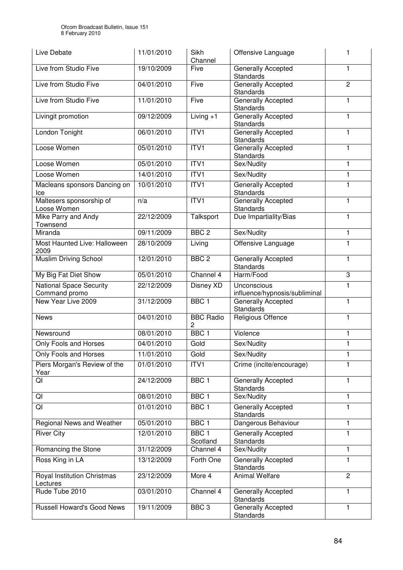| Live Debate                                     | 11/01/2010 | Sikh<br>Channel                    | Offensive Language                           |                |
|-------------------------------------------------|------------|------------------------------------|----------------------------------------------|----------------|
| Live from Studio Five                           | 19/10/2009 | Five                               | Generally Accepted<br>Standards              | 1              |
| Live from Studio Five                           | 04/01/2010 | Five                               | Generally Accepted<br><b>Standards</b>       | $\overline{2}$ |
| Live from Studio Five                           | 11/01/2010 | Five                               | Generally Accepted<br>Standards              | 1              |
| Livingit promotion                              | 09/12/2009 | Living $+1$                        | <b>Generally Accepted</b><br>Standards       | $\mathbf{1}$   |
| London Tonight                                  | 06/01/2010 | ITVI                               | Generally Accepted<br>Standards              | 1              |
| Loose Women                                     | 05/01/2010 | ITVI                               | Generally Accepted<br>Standards              | 1              |
| Loose Women                                     | 05/01/2010 | ITV1                               | Sex/Nudity                                   | $\mathbf 1$    |
| Loose Women                                     | 14/01/2010 | ITV1                               | Sex/Nudity                                   | 1              |
| Macleans sponsors Dancing on<br>Ice             | 10/01/2010 | ITVI                               | Generally Accepted<br>Standards              | 1              |
| Maltesers sponsorship of<br>Loose Women         | n/a        | ITVI                               | <b>Generally Accepted</b><br>Standards       | 1              |
| Mike Parry and Andy<br>Townsend                 | 22/12/2009 | Talksport                          | Due Impartiality/Bias                        | 1              |
| Miranda                                         | 09/11/2009 | BBC <sub>2</sub>                   | Sex/Nudity                                   | 1              |
| Most Haunted Live: Halloween<br>2009            | 28/10/2009 | Living                             | Offensive Language                           | 1              |
| Muslim Driving School                           | 12/01/2010 | BBC <sub>2</sub>                   | Generally Accepted<br>Standards              | 1              |
| My Big Fat Diet Show                            | 05/01/2010 | Channel 4                          | Harm/Food                                    | 3              |
| <b>National Space Security</b><br>Command promo | 22/12/2009 | Disney XD                          | Unconscious<br>influence/hypnosis/subliminal | 1              |
| New Year Live 2009                              | 31/12/2009 | BBC <sub>1</sub>                   | Generally Accepted<br>Standards              | 1              |
| <b>News</b>                                     | 04/01/2010 | <b>BBC Radio</b><br>$\overline{c}$ | <b>Religious Offence</b>                     | 1              |
| Newsround                                       | 08/01/2010 | BBC <sub>1</sub>                   | Violence                                     | 1              |
| Only Fools and Horses                           | 04/01/2010 | Gold                               | Sex/Nudity                                   | 1              |
| <b>Only Fools and Horses</b>                    | 11/01/2010 | Gold                               | Sex/Nudity                                   | 1              |
| Piers Morgan's Review of the<br>Year            | 01/01/2010 | ITV1                               | Crime (incite/encourage)                     | 1              |
| QI                                              | 24/12/2009 | BBC <sub>1</sub>                   | Generally Accepted<br>Standards              | 1              |
| QI                                              | 08/01/2010 | BBC <sub>1</sub>                   | Sex/Nudity                                   | 1              |
| QI                                              | 01/01/2010 | BBC <sub>1</sub>                   | Generally Accepted<br>Standards              | 1              |
| Regional News and Weather                       | 05/01/2010 | BBC <sub>1</sub>                   | Dangerous Behaviour                          | 1              |
| <b>River City</b>                               | 12/01/2010 | BBC <sub>1</sub><br>Scotland       | <b>Generally Accepted</b><br>Standards       | 1              |
| Romancing the Stone                             | 31/12/2009 | Channel 4                          | Sex/Nudity                                   | 1              |
| Ross King in LA                                 | 13/12/2009 | Forth One                          | Generally Accepted<br>Standards              | 1              |
| Royal Institution Christmas<br>Lectures         | 23/12/2009 | More 4                             | Animal Welfare                               | $\overline{c}$ |
| Rude Tube 2010                                  | 03/01/2010 | Channel 4                          | Generally Accepted<br>Standards              | 1              |
| <b>Russell Howard's Good News</b>               | 19/11/2009 | BBC <sub>3</sub>                   | Generally Accepted<br>Standards              | 1              |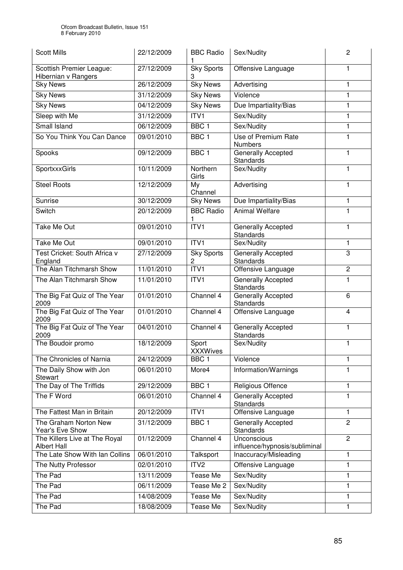| <b>Scott Mills</b>                                  | 22/12/2009 | <b>BBC Radio</b>         | Sex/Nudity                                   | $\overline{c}$ |
|-----------------------------------------------------|------------|--------------------------|----------------------------------------------|----------------|
| Scottish Premier League:<br>Hibernian v Rangers     | 27/12/2009 | <b>Sky Sports</b><br>3   | Offensive Language                           | 1              |
| <b>Sky News</b>                                     | 26/12/2009 | <b>Sky News</b>          | Advertising                                  | 1              |
| <b>Sky News</b>                                     | 31/12/2009 | <b>Sky News</b>          | Violence                                     | 1              |
| <b>Sky News</b>                                     | 04/12/2009 | <b>Sky News</b>          | Due Impartiality/Bias                        | $\mathbf{1}$   |
| Sleep with Me                                       | 31/12/2009 | ITVI                     | Sex/Nudity                                   | 1              |
| <b>Small Island</b>                                 | 06/12/2009 | BBC <sub>1</sub>         | Sex/Nudity                                   | 1              |
| So You Think You Can Dance                          | 09/01/2010 | BBC <sub>1</sub>         | Use of Premium Rate<br><b>Numbers</b>        | $\mathbf{1}$   |
| Spooks                                              | 09/12/2009 | BBC <sub>1</sub>         | Generally Accepted<br><b>Standards</b>       | 1              |
| SportxxxGirls                                       | 10/11/2009 | Northern<br>Girls        | Sex/Nudity                                   | $\mathbf{1}$   |
| <b>Steel Roots</b>                                  | 12/12/2009 | My<br>Channel            | Advertising                                  | 1              |
| Sunrise                                             | 30/12/2009 | <b>Sky News</b>          | Due Impartiality/Bias                        | 1              |
| Switch                                              | 20/12/2009 | <b>BBC Radio</b><br>1    | <b>Animal Welfare</b>                        | 1              |
| Take Me Out                                         | 09/01/2010 | ITVI                     | Generally Accepted<br><b>Standards</b>       | 1              |
| <b>Take Me Out</b>                                  | 09/01/2010 | ITV <sub>1</sub>         | Sex/Nudity                                   | 1              |
| Test Cricket: South Africa v<br>England             | 27/12/2009 | <b>Sky Sports</b><br>2   | Generally Accepted<br>Standards              | 3              |
| The Alan Titchmarsh Show                            | 11/01/2010 | ITVI                     | Offensive Language                           | $\overline{c}$ |
| The Alan Titchmarsh Show                            | 11/01/2010 | ITV1                     | Generally Accepted<br><b>Standards</b>       | 1              |
| The Big Fat Quiz of The Year<br>2009                | 01/01/2010 | Channel 4                | Generally Accepted<br><b>Standards</b>       | 6              |
| The Big Fat Quiz of The Year<br>2009                | 01/01/2010 | Channel 4                | Offensive Language                           | 4              |
| The Big Fat Quiz of The Year<br>2009                | 04/01/2010 | Channel 4                | Generally Accepted<br>Standards              | 1              |
| The Boudoir promo                                   | 18/12/2009 | Sport<br><b>XXXWives</b> | Sex/Nudity                                   | 1              |
| The Chronicles of Narnia                            | 24/12/2009 | BBC <sub>1</sub>         | Violence                                     | 1              |
| The Daily Show with Jon<br><b>Stewart</b>           | 06/01/2010 | More4                    | Information/Warnings                         | 1              |
| The Day of The Triffids                             | 29/12/2009 | BBC <sub>1</sub>         | Religious Offence                            | 1              |
| The F Word                                          | 06/01/2010 | Channel 4                | <b>Generally Accepted</b><br>Standards       | 1              |
| The Fattest Man in Britain                          | 20/12/2009 | ITVI                     | Offensive Language                           | 1              |
| The Graham Norton New<br>Year's Eve Show            | 31/12/2009 | BBC <sub>1</sub>         | Generally Accepted<br><b>Standards</b>       | $\overline{2}$ |
| The Killers Live at The Royal<br><b>Albert Hall</b> | 01/12/2009 | Channel 4                | Unconscious<br>influence/hypnosis/subliminal | $\overline{2}$ |
| The Late Show With Ian Collins                      | 06/01/2010 | Talksport                | Inaccuracy/Misleading                        | 1              |
| The Nutty Professor                                 | 02/01/2010 | ITV <sub>2</sub>         | Offensive Language                           | 1              |
| The Pad                                             | 13/11/2009 | Tease Me                 | Sex/Nudity                                   | 1              |
| The Pad                                             | 06/11/2009 | Tease Me 2               | Sex/Nudity                                   | 1              |
| The Pad                                             | 14/08/2009 | Tease Me                 | Sex/Nudity                                   | 1              |
| The Pad                                             | 18/08/2009 | Tease Me                 | Sex/Nudity                                   | 1              |